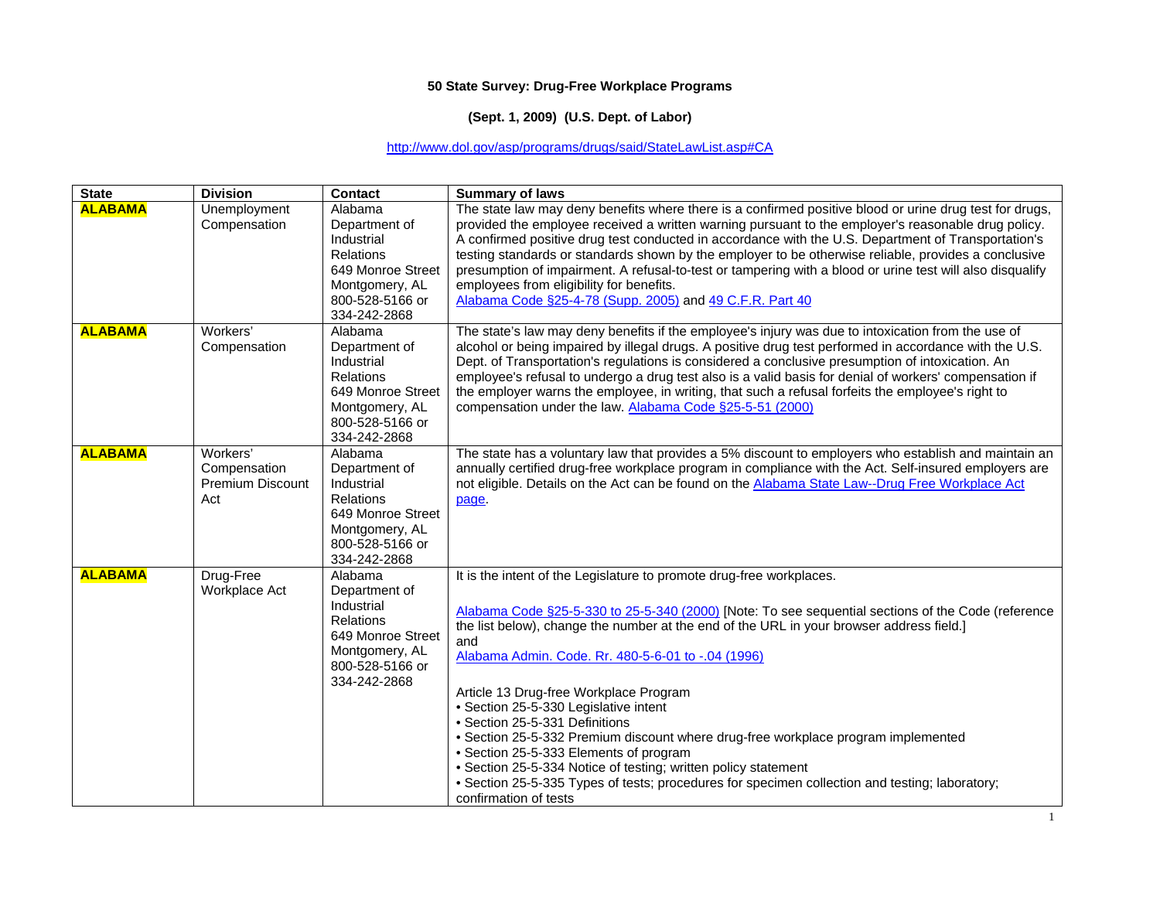## **50 State Survey: Drug-Free Workplace Programs**

## **(Sept. 1, 2009) (U.S. Dept. of Labor)**

## <http://www.dol.gov/asp/programs/drugs/said/StateLawList.asp#CA>

| <b>State</b>   | <b>Division</b>                                            | Contact                                                                                                                       | <b>Summary of laws</b>                                                                                                                                                                                                                                                                                                                                                                                                                                                                                                                                                                                                                                                                                                                                                               |
|----------------|------------------------------------------------------------|-------------------------------------------------------------------------------------------------------------------------------|--------------------------------------------------------------------------------------------------------------------------------------------------------------------------------------------------------------------------------------------------------------------------------------------------------------------------------------------------------------------------------------------------------------------------------------------------------------------------------------------------------------------------------------------------------------------------------------------------------------------------------------------------------------------------------------------------------------------------------------------------------------------------------------|
| <b>ALABAMA</b> | Unemployment<br>Compensation                               | Alabama<br>Department of<br>Industrial<br>Relations<br>649 Monroe Street<br>Montgomery, AL<br>800-528-5166 or<br>334-242-2868 | The state law may deny benefits where there is a confirmed positive blood or urine drug test for drugs,<br>provided the employee received a written warning pursuant to the employer's reasonable drug policy.<br>A confirmed positive drug test conducted in accordance with the U.S. Department of Transportation's<br>testing standards or standards shown by the employer to be otherwise reliable, provides a conclusive<br>presumption of impairment. A refusal-to-test or tampering with a blood or urine test will also disqualify<br>employees from eligibility for benefits.<br>Alabama Code §25-4-78 (Supp. 2005) and 49 C.F.R. Part 40                                                                                                                                   |
| <b>ALABAMA</b> | Workers'<br>Compensation                                   | Alabama<br>Department of<br>Industrial<br>Relations<br>649 Monroe Street<br>Montgomery, AL<br>800-528-5166 or<br>334-242-2868 | The state's law may deny benefits if the employee's injury was due to intoxication from the use of<br>alcohol or being impaired by illegal drugs. A positive drug test performed in accordance with the U.S.<br>Dept. of Transportation's regulations is considered a conclusive presumption of intoxication. An<br>employee's refusal to undergo a drug test also is a valid basis for denial of workers' compensation if<br>the employer warns the employee, in writing, that such a refusal forfeits the employee's right to<br>compensation under the law. Alabama Code §25-5-51 (2000)                                                                                                                                                                                          |
| <b>ALABAMA</b> | Workers'<br>Compensation<br><b>Premium Discount</b><br>Act | Alabama<br>Department of<br>Industrial<br>Relations<br>649 Monroe Street<br>Montgomery, AL<br>800-528-5166 or<br>334-242-2868 | The state has a voluntary law that provides a 5% discount to employers who establish and maintain an<br>annually certified drug-free workplace program in compliance with the Act. Self-insured employers are<br>not eligible. Details on the Act can be found on the Alabama State Law--Drug Free Workplace Act<br>page.                                                                                                                                                                                                                                                                                                                                                                                                                                                            |
| <b>ALABAMA</b> | Drug-Free<br>Workplace Act                                 | Alabama<br>Department of<br>Industrial<br>Relations<br>649 Monroe Street<br>Montgomery, AL<br>800-528-5166 or<br>334-242-2868 | It is the intent of the Legislature to promote drug-free workplaces.<br>Alabama Code §25-5-330 to 25-5-340 (2000) [Note: To see sequential sections of the Code (reference<br>the list below), change the number at the end of the URL in your browser address field.]<br>and<br>Alabama Admin. Code. Rr. 480-5-6-01 to -.04 (1996)<br>Article 13 Drug-free Workplace Program<br>· Section 25-5-330 Legislative intent<br>• Section 25-5-331 Definitions<br>• Section 25-5-332 Premium discount where drug-free workplace program implemented<br>• Section 25-5-333 Elements of program<br>• Section 25-5-334 Notice of testing; written policy statement<br>• Section 25-5-335 Types of tests; procedures for specimen collection and testing; laboratory;<br>confirmation of tests |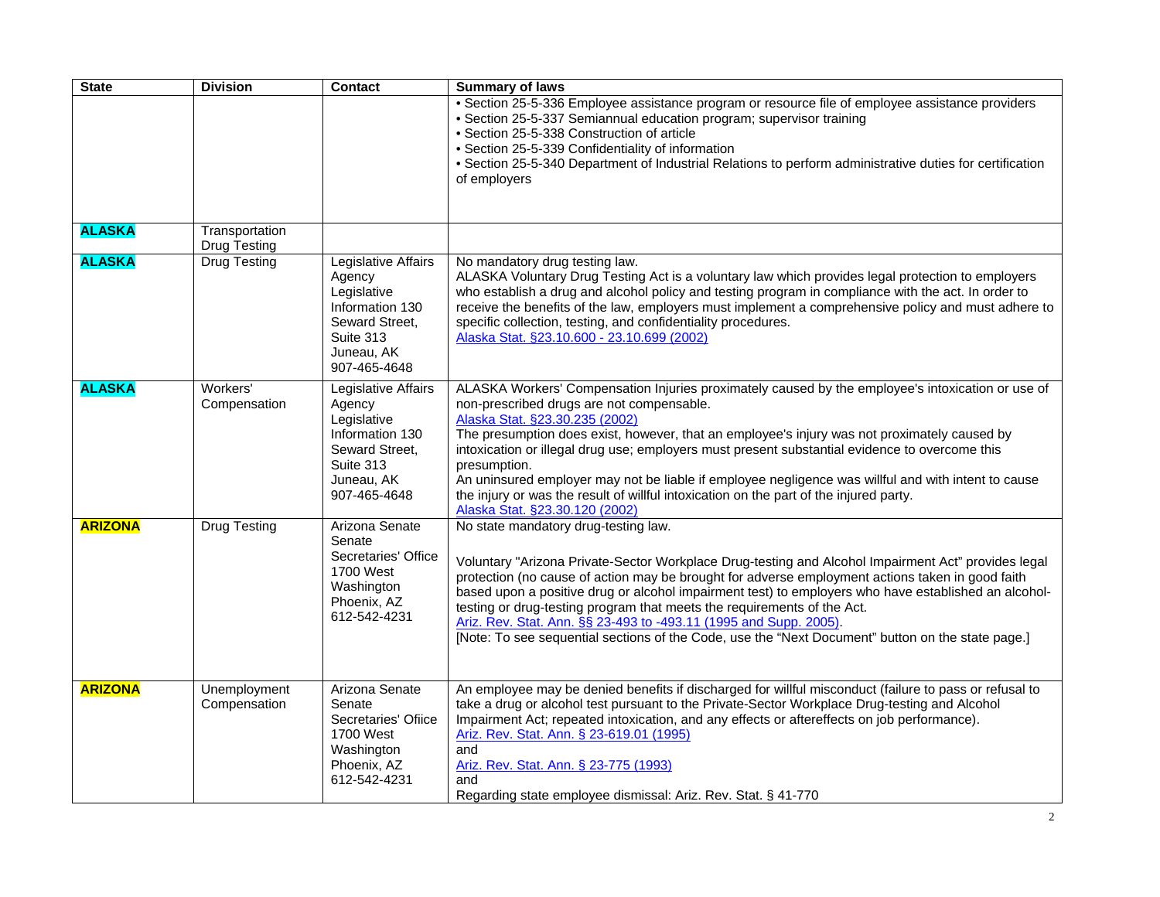| <b>State</b>   | <b>Division</b>                | Contact                                                                                                                      | <b>Summary of laws</b>                                                                                                                                                                                                                                                                                                                                                                                                                                                                                                                                                                                                                |
|----------------|--------------------------------|------------------------------------------------------------------------------------------------------------------------------|---------------------------------------------------------------------------------------------------------------------------------------------------------------------------------------------------------------------------------------------------------------------------------------------------------------------------------------------------------------------------------------------------------------------------------------------------------------------------------------------------------------------------------------------------------------------------------------------------------------------------------------|
|                |                                |                                                                                                                              | • Section 25-5-336 Employee assistance program or resource file of employee assistance providers<br>• Section 25-5-337 Semiannual education program; supervisor training<br>• Section 25-5-338 Construction of article<br>• Section 25-5-339 Confidentiality of information<br>• Section 25-5-340 Department of Industrial Relations to perform administrative duties for certification<br>of employers                                                                                                                                                                                                                               |
| <b>ALASKA</b>  | Transportation<br>Drug Testing |                                                                                                                              |                                                                                                                                                                                                                                                                                                                                                                                                                                                                                                                                                                                                                                       |
| <b>ALASKA</b>  | Drug Testing                   | Legislative Affairs<br>Agency<br>Legislative<br>Information 130<br>Seward Street,<br>Suite 313<br>Juneau, AK<br>907-465-4648 | No mandatory drug testing law.<br>ALASKA Voluntary Drug Testing Act is a voluntary law which provides legal protection to employers<br>who establish a drug and alcohol policy and testing program in compliance with the act. In order to<br>receive the benefits of the law, employers must implement a comprehensive policy and must adhere to<br>specific collection, testing, and confidentiality procedures.<br>Alaska Stat. §23.10.600 - 23.10.699 (2002)                                                                                                                                                                      |
| <b>ALASKA</b>  | Workers'<br>Compensation       | Legislative Affairs<br>Agency<br>Legislative<br>Information 130<br>Seward Street,<br>Suite 313<br>Juneau, AK<br>907-465-4648 | ALASKA Workers' Compensation Injuries proximately caused by the employee's intoxication or use of<br>non-prescribed drugs are not compensable.<br>Alaska Stat. §23.30.235 (2002)<br>The presumption does exist, however, that an employee's injury was not proximately caused by<br>intoxication or illegal drug use; employers must present substantial evidence to overcome this<br>presumption.<br>An uninsured employer may not be liable if employee negligence was willful and with intent to cause<br>the injury or was the result of willful intoxication on the part of the injured party.<br>Alaska Stat. §23.30.120 (2002) |
| <b>ARIZONA</b> | <b>Drug Testing</b>            | Arizona Senate<br>Senate<br>Secretaries' Office<br>1700 West<br>Washington<br>Phoenix, AZ<br>612-542-4231                    | No state mandatory drug-testing law.<br>Voluntary "Arizona Private-Sector Workplace Drug-testing and Alcohol Impairment Act" provides legal<br>protection (no cause of action may be brought for adverse employment actions taken in good faith<br>based upon a positive drug or alcohol impairment test) to employers who have established an alcohol-<br>testing or drug-testing program that meets the requirements of the Act.<br>Ariz. Rev. Stat. Ann. §§ 23-493 to -493.11 (1995 and Supp. 2005).<br>[Note: To see sequential sections of the Code, use the "Next Document" button on the state page.]                          |
| <b>ARIZONA</b> | Unemployment<br>Compensation   | Arizona Senate<br>Senate<br>Secretaries' Ofiice<br>1700 West<br>Washington<br>Phoenix, AZ<br>612-542-4231                    | An employee may be denied benefits if discharged for willful misconduct (failure to pass or refusal to<br>take a drug or alcohol test pursuant to the Private-Sector Workplace Drug-testing and Alcohol<br>Impairment Act; repeated intoxication, and any effects or aftereffects on job performance).<br>Ariz. Rev. Stat. Ann. § 23-619.01 (1995)<br>and<br>Ariz. Rev. Stat. Ann. § 23-775 (1993)<br>and<br>Regarding state employee dismissal: Ariz. Rev. Stat. § 41-770                                                                                                                                                            |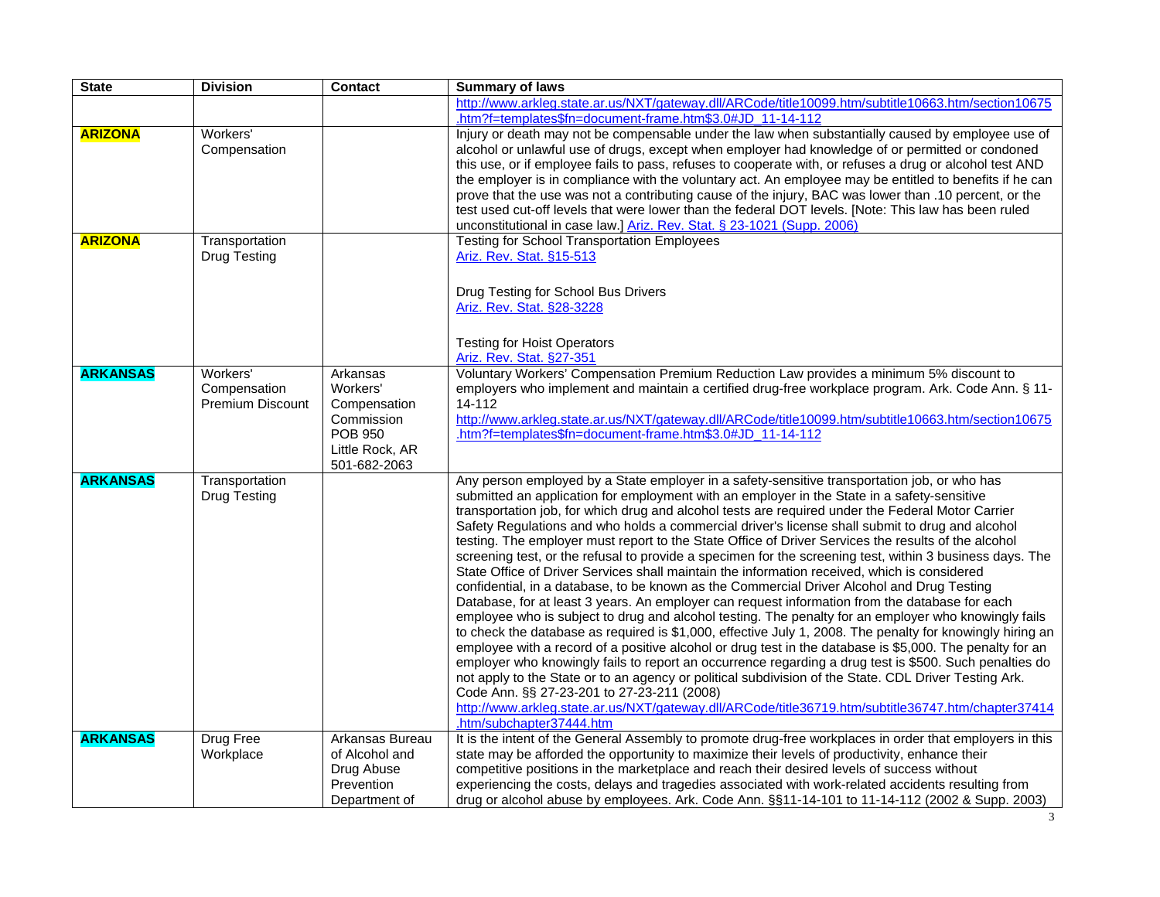| <b>State</b>    | <b>Division</b>                                     | <b>Contact</b>                                                                                          | <b>Summary of laws</b>                                                                                                                                                                                                                                                                                                                                                                                                                                                                                                                                                                                                                                                                                                                                                                                                                                                                                                                                                                                                                                                                                                                                                                                                                                                                                                                                                                                                                                                                                                                                                                                                                                     |
|-----------------|-----------------------------------------------------|---------------------------------------------------------------------------------------------------------|------------------------------------------------------------------------------------------------------------------------------------------------------------------------------------------------------------------------------------------------------------------------------------------------------------------------------------------------------------------------------------------------------------------------------------------------------------------------------------------------------------------------------------------------------------------------------------------------------------------------------------------------------------------------------------------------------------------------------------------------------------------------------------------------------------------------------------------------------------------------------------------------------------------------------------------------------------------------------------------------------------------------------------------------------------------------------------------------------------------------------------------------------------------------------------------------------------------------------------------------------------------------------------------------------------------------------------------------------------------------------------------------------------------------------------------------------------------------------------------------------------------------------------------------------------------------------------------------------------------------------------------------------------|
|                 |                                                     |                                                                                                         | http://www.arkleg.state.ar.us/NXT/gateway.dll/ARCode/title10099.htm/subtitle10663.htm/section10675<br>htm?f=templates\$fn=document-frame.htm\$3.0#JD_11-14-112                                                                                                                                                                                                                                                                                                                                                                                                                                                                                                                                                                                                                                                                                                                                                                                                                                                                                                                                                                                                                                                                                                                                                                                                                                                                                                                                                                                                                                                                                             |
| <b>ARIZONA</b>  | Workers'<br>Compensation                            |                                                                                                         | Injury or death may not be compensable under the law when substantially caused by employee use of<br>alcohol or unlawful use of drugs, except when employer had knowledge of or permitted or condoned<br>this use, or if employee fails to pass, refuses to cooperate with, or refuses a drug or alcohol test AND<br>the employer is in compliance with the voluntary act. An employee may be entitled to benefits if he can<br>prove that the use was not a contributing cause of the injury, BAC was lower than .10 percent, or the<br>test used cut-off levels that were lower than the federal DOT levels. [Note: This law has been ruled<br>unconstitutional in case law.] Ariz. Rev. Stat. § 23-1021 (Supp. 2006)                                                                                                                                                                                                                                                                                                                                                                                                                                                                                                                                                                                                                                                                                                                                                                                                                                                                                                                                    |
| <b>ARIZONA</b>  | Transportation<br><b>Drug Testing</b>               |                                                                                                         | <b>Testing for School Transportation Employees</b><br>Ariz. Rev. Stat. §15-513<br>Drug Testing for School Bus Drivers<br>Ariz. Rev. Stat. §28-3228<br><b>Testing for Hoist Operators</b><br>Ariz. Rev. Stat. §27-351                                                                                                                                                                                                                                                                                                                                                                                                                                                                                                                                                                                                                                                                                                                                                                                                                                                                                                                                                                                                                                                                                                                                                                                                                                                                                                                                                                                                                                       |
| <b>ARKANSAS</b> | Workers'<br>Compensation<br><b>Premium Discount</b> | Arkansas<br>Workers'<br>Compensation<br>Commission<br><b>POB 950</b><br>Little Rock, AR<br>501-682-2063 | Voluntary Workers' Compensation Premium Reduction Law provides a minimum 5% discount to<br>employers who implement and maintain a certified drug-free workplace program. Ark. Code Ann. § 11-<br>14-112<br>http://www.arkleg.state.ar.us/NXT/gateway.dll/ARCode/title10099.htm/subtitle10663.htm/section10675<br>htm?f=templates\$fn=document-frame.htm\$3.0#JD 11-14-112                                                                                                                                                                                                                                                                                                                                                                                                                                                                                                                                                                                                                                                                                                                                                                                                                                                                                                                                                                                                                                                                                                                                                                                                                                                                                  |
| <b>ARKANSAS</b> | Transportation<br><b>Drug Testing</b>               |                                                                                                         | Any person employed by a State employer in a safety-sensitive transportation job, or who has<br>submitted an application for employment with an employer in the State in a safety-sensitive<br>transportation job, for which drug and alcohol tests are required under the Federal Motor Carrier<br>Safety Regulations and who holds a commercial driver's license shall submit to drug and alcohol<br>testing. The employer must report to the State Office of Driver Services the results of the alcohol<br>screening test, or the refusal to provide a specimen for the screening test, within 3 business days. The<br>State Office of Driver Services shall maintain the information received, which is considered<br>confidential, in a database, to be known as the Commercial Driver Alcohol and Drug Testing<br>Database, for at least 3 years. An employer can request information from the database for each<br>employee who is subject to drug and alcohol testing. The penalty for an employer who knowingly fails<br>to check the database as required is \$1,000, effective July 1, 2008. The penalty for knowingly hiring an<br>employee with a record of a positive alcohol or drug test in the database is \$5,000. The penalty for an<br>employer who knowingly fails to report an occurrence regarding a drug test is \$500. Such penalties do<br>not apply to the State or to an agency or political subdivision of the State. CDL Driver Testing Ark.<br>Code Ann. §§ 27-23-201 to 27-23-211 (2008)<br>http://www.arkleg.state.ar.us/NXT/gateway.dll/ARCode/title36719.htm/subtitle36747.htm/chapter37414<br>.htm/subchapter37444.htm |
| <b>ARKANSAS</b> | Drug Free<br>Workplace                              | Arkansas Bureau<br>of Alcohol and<br>Drug Abuse<br>Prevention<br>Department of                          | It is the intent of the General Assembly to promote drug-free workplaces in order that employers in this<br>state may be afforded the opportunity to maximize their levels of productivity, enhance their<br>competitive positions in the marketplace and reach their desired levels of success without<br>experiencing the costs, delays and tragedies associated with work-related accidents resulting from<br>drug or alcohol abuse by employees. Ark. Code Ann. §§11-14-101 to 11-14-112 (2002 & Supp. 2003)                                                                                                                                                                                                                                                                                                                                                                                                                                                                                                                                                                                                                                                                                                                                                                                                                                                                                                                                                                                                                                                                                                                                           |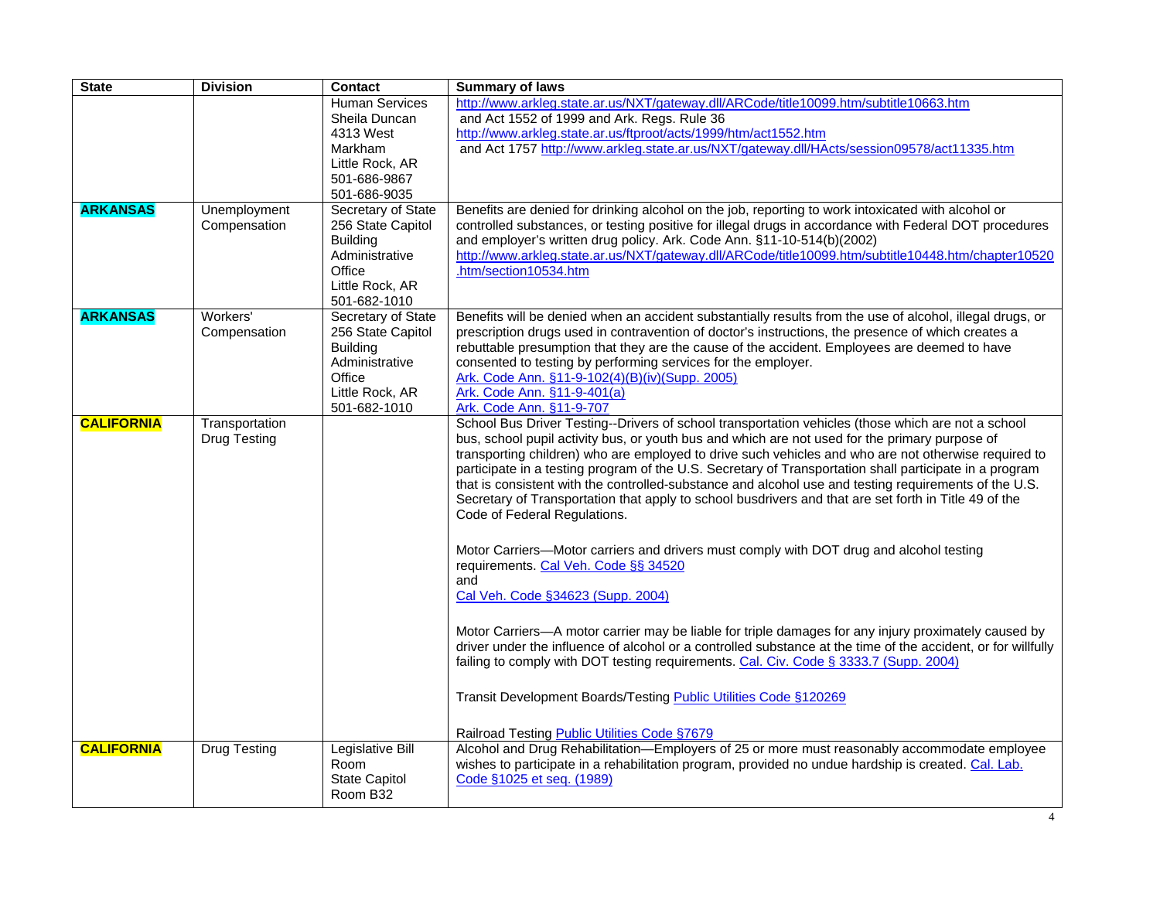| <b>State</b>      | <b>Division</b>     | Contact                            | <b>Summary of laws</b>                                                                                                                                                                                                |
|-------------------|---------------------|------------------------------------|-----------------------------------------------------------------------------------------------------------------------------------------------------------------------------------------------------------------------|
|                   |                     | <b>Human Services</b>              | http://www.arkleg.state.ar.us/NXT/gateway.dll/ARCode/title10099.htm/subtitle10663.htm                                                                                                                                 |
|                   |                     | Sheila Duncan                      | and Act 1552 of 1999 and Ark. Regs. Rule 36                                                                                                                                                                           |
|                   |                     | 4313 West                          | http://www.arkleg.state.ar.us/ftproot/acts/1999/htm/act1552.htm                                                                                                                                                       |
|                   |                     | Markham                            | and Act 1757 http://www.arkleg.state.ar.us/NXT/gateway.dll/HActs/session09578/act11335.htm                                                                                                                            |
|                   |                     | Little Rock, AR                    |                                                                                                                                                                                                                       |
|                   |                     | 501-686-9867                       |                                                                                                                                                                                                                       |
| <b>ARKANSAS</b>   | Unemployment        | 501-686-9035<br>Secretary of State | Benefits are denied for drinking alcohol on the job, reporting to work intoxicated with alcohol or                                                                                                                    |
|                   | Compensation        | 256 State Capitol                  | controlled substances, or testing positive for illegal drugs in accordance with Federal DOT procedures                                                                                                                |
|                   |                     | <b>Building</b>                    | and employer's written drug policy. Ark. Code Ann. §11-10-514(b)(2002)                                                                                                                                                |
|                   |                     | Administrative                     | http://www.arkleg.state.ar.us/NXT/gateway.dll/ARCode/title10099.htm/subtitle10448.htm/chapter10520                                                                                                                    |
|                   |                     | Office                             | .htm/section10534.htm                                                                                                                                                                                                 |
|                   |                     | Little Rock, AR                    |                                                                                                                                                                                                                       |
|                   |                     | 501-682-1010                       |                                                                                                                                                                                                                       |
| <b>ARKANSAS</b>   | Workers'            | Secretary of State                 | Benefits will be denied when an accident substantially results from the use of alcohol, illegal drugs, or                                                                                                             |
|                   | Compensation        | 256 State Capitol                  | prescription drugs used in contravention of doctor's instructions, the presence of which creates a                                                                                                                    |
|                   |                     | <b>Building</b>                    | rebuttable presumption that they are the cause of the accident. Employees are deemed to have                                                                                                                          |
|                   |                     | Administrative                     | consented to testing by performing services for the employer.                                                                                                                                                         |
|                   |                     | Office                             | Ark. Code Ann. §11-9-102(4)(B)(iv)(Supp. 2005)<br>Ark. Code Ann. §11-9-401(a)                                                                                                                                         |
|                   |                     | Little Rock, AR<br>501-682-1010    | Ark. Code Ann. §11-9-707                                                                                                                                                                                              |
| <b>CALIFORNIA</b> | Transportation      |                                    | School Bus Driver Testing--Drivers of school transportation vehicles (those which are not a school                                                                                                                    |
|                   | <b>Drug Testing</b> |                                    | bus, school pupil activity bus, or youth bus and which are not used for the primary purpose of                                                                                                                        |
|                   |                     |                                    | transporting children) who are employed to drive such vehicles and who are not otherwise required to                                                                                                                  |
|                   |                     |                                    | participate in a testing program of the U.S. Secretary of Transportation shall participate in a program                                                                                                               |
|                   |                     |                                    | that is consistent with the controlled-substance and alcohol use and testing requirements of the U.S.                                                                                                                 |
|                   |                     |                                    | Secretary of Transportation that apply to school busdrivers and that are set forth in Title 49 of the                                                                                                                 |
|                   |                     |                                    | Code of Federal Regulations.                                                                                                                                                                                          |
|                   |                     |                                    |                                                                                                                                                                                                                       |
|                   |                     |                                    | Motor Carriers-Motor carriers and drivers must comply with DOT drug and alcohol testing                                                                                                                               |
|                   |                     |                                    | requirements. Cal Veh. Code §§ 34520                                                                                                                                                                                  |
|                   |                     |                                    | and<br>Cal Veh. Code §34623 (Supp. 2004)                                                                                                                                                                              |
|                   |                     |                                    |                                                                                                                                                                                                                       |
|                   |                     |                                    |                                                                                                                                                                                                                       |
|                   |                     |                                    | Motor Carriers—A motor carrier may be liable for triple damages for any injury proximately caused by<br>driver under the influence of alcohol or a controlled substance at the time of the accident, or for willfully |
|                   |                     |                                    | failing to comply with DOT testing requirements. Cal. Civ. Code § 3333.7 (Supp. 2004)                                                                                                                                 |
|                   |                     |                                    |                                                                                                                                                                                                                       |
|                   |                     |                                    | Transit Development Boards/Testing Public Utilities Code §120269                                                                                                                                                      |
|                   |                     |                                    |                                                                                                                                                                                                                       |
|                   |                     |                                    | Railroad Testing Public Utilities Code §7679                                                                                                                                                                          |
| <b>CALIFORNIA</b> | <b>Drug Testing</b> | Legislative Bill                   | Alcohol and Drug Rehabilitation-Employers of 25 or more must reasonably accommodate employee                                                                                                                          |
|                   |                     | Room                               | wishes to participate in a rehabilitation program, provided no undue hardship is created. Cal. Lab.                                                                                                                   |
|                   |                     | <b>State Capitol</b>               | Code §1025 et seq. (1989)                                                                                                                                                                                             |
|                   |                     | Room B32                           |                                                                                                                                                                                                                       |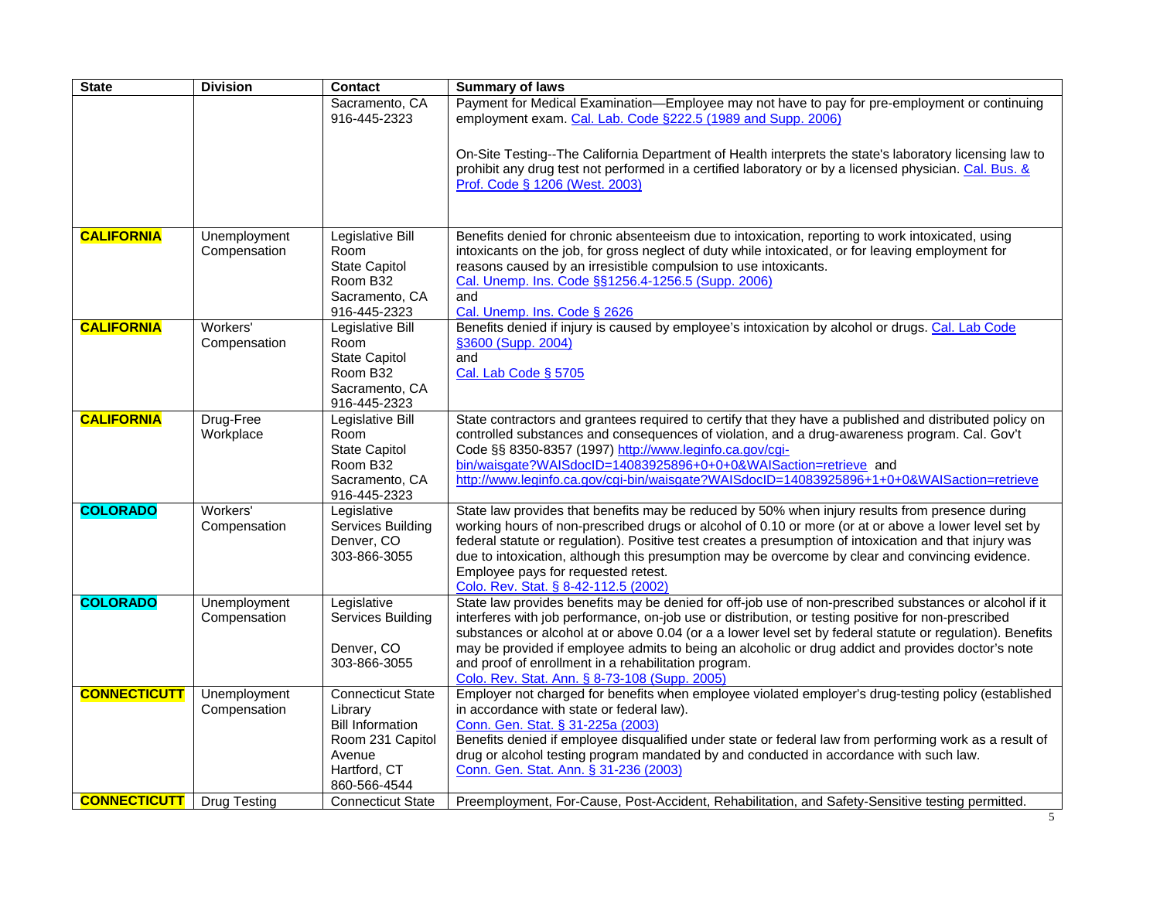| <b>State</b>        | <b>Division</b>              | <b>Contact</b>                                                                                                               | <b>Summary of laws</b>                                                                                                                                                                                                                                                                                                                                                                                                                                                                                                                      |
|---------------------|------------------------------|------------------------------------------------------------------------------------------------------------------------------|---------------------------------------------------------------------------------------------------------------------------------------------------------------------------------------------------------------------------------------------------------------------------------------------------------------------------------------------------------------------------------------------------------------------------------------------------------------------------------------------------------------------------------------------|
|                     |                              | Sacramento, CA<br>916-445-2323                                                                                               | Payment for Medical Examination-Employee may not have to pay for pre-employment or continuing<br>employment exam. Cal. Lab. Code §222.5 (1989 and Supp. 2006)                                                                                                                                                                                                                                                                                                                                                                               |
|                     |                              |                                                                                                                              | On-Site Testing--The California Department of Health interprets the state's laboratory licensing law to<br>prohibit any drug test not performed in a certified laboratory or by a licensed physician. Cal. Bus. &<br>Prof. Code § 1206 (West. 2003)                                                                                                                                                                                                                                                                                         |
| <b>CALIFORNIA</b>   | Unemployment<br>Compensation | Legislative Bill<br>Room<br><b>State Capitol</b><br>Room B32<br>Sacramento, CA<br>916-445-2323                               | Benefits denied for chronic absenteeism due to intoxication, reporting to work intoxicated, using<br>intoxicants on the job, for gross neglect of duty while intoxicated, or for leaving employment for<br>reasons caused by an irresistible compulsion to use intoxicants.<br>Cal. Unemp. Ins. Code §§1256.4-1256.5 (Supp. 2006)<br>and<br>Cal. Unemp. Ins. Code § 2626                                                                                                                                                                    |
| <b>CALIFORNIA</b>   | Workers'<br>Compensation     | Legislative Bill<br>Room<br><b>State Capitol</b><br>Room B32<br>Sacramento, CA<br>916-445-2323                               | Benefits denied if injury is caused by employee's intoxication by alcohol or drugs. Cal. Lab Code<br>§3600 (Supp. 2004)<br>and<br>Cal. Lab Code § 5705                                                                                                                                                                                                                                                                                                                                                                                      |
| <b>CALIFORNIA</b>   | Drug-Free<br>Workplace       | Legislative Bill<br>Room<br><b>State Capitol</b><br>Room B32<br>Sacramento, CA<br>916-445-2323                               | State contractors and grantees required to certify that they have a published and distributed policy on<br>controlled substances and consequences of violation, and a drug-awareness program. Cal. Gov't<br>Code §§ 8350-8357 (1997) http://www.leginfo.ca.gov/cgi-<br>bin/waisgate?WAISdocID=14083925896+0+0+0&WAISaction=retrieve and<br>http://www.leginfo.ca.gov/cgi-bin/waisgate?WAISdocID=14083925896+1+0+0&WAISaction=retrieve                                                                                                       |
| <b>COLORADO</b>     | Workers'<br>Compensation     | Legislative<br>Services Building<br>Denver, CO<br>303-866-3055                                                               | State law provides that benefits may be reduced by 50% when injury results from presence during<br>working hours of non-prescribed drugs or alcohol of 0.10 or more (or at or above a lower level set by<br>federal statute or regulation). Positive test creates a presumption of intoxication and that injury was<br>due to intoxication, although this presumption may be overcome by clear and convincing evidence.<br>Employee pays for requested retest.<br>Colo. Rev. Stat. § 8-42-112.5 (2002)                                      |
| <b>COLORADO</b>     | Unemployment<br>Compensation | Legislative<br>Services Building<br>Denver, CO<br>303-866-3055                                                               | State law provides benefits may be denied for off-job use of non-prescribed substances or alcohol if it<br>interferes with job performance, on-job use or distribution, or testing positive for non-prescribed<br>substances or alcohol at or above 0.04 (or a a lower level set by federal statute or regulation). Benefits<br>may be provided if employee admits to being an alcoholic or drug addict and provides doctor's note<br>and proof of enrollment in a rehabilitation program.<br>Colo. Rev. Stat. Ann. § 8-73-108 (Supp. 2005) |
| <b>CONNECTICUTT</b> | Unemployment<br>Compensation | <b>Connecticut State</b><br>Library<br><b>Bill Information</b><br>Room 231 Capitol<br>Avenue<br>Hartford, CT<br>860-566-4544 | Employer not charged for benefits when employee violated employer's drug-testing policy (established<br>in accordance with state or federal law).<br>Conn. Gen. Stat. § 31-225a (2003)<br>Benefits denied if employee disqualified under state or federal law from performing work as a result of<br>drug or alcohol testing program mandated by and conducted in accordance with such law.<br>Conn. Gen. Stat. Ann. § 31-236 (2003)                                                                                                        |
| <b>CONNECTICUTT</b> | <b>Drug Testing</b>          | <b>Connecticut State</b>                                                                                                     | Preemployment, For-Cause, Post-Accident, Rehabilitation, and Safety-Sensitive testing permitted.                                                                                                                                                                                                                                                                                                                                                                                                                                            |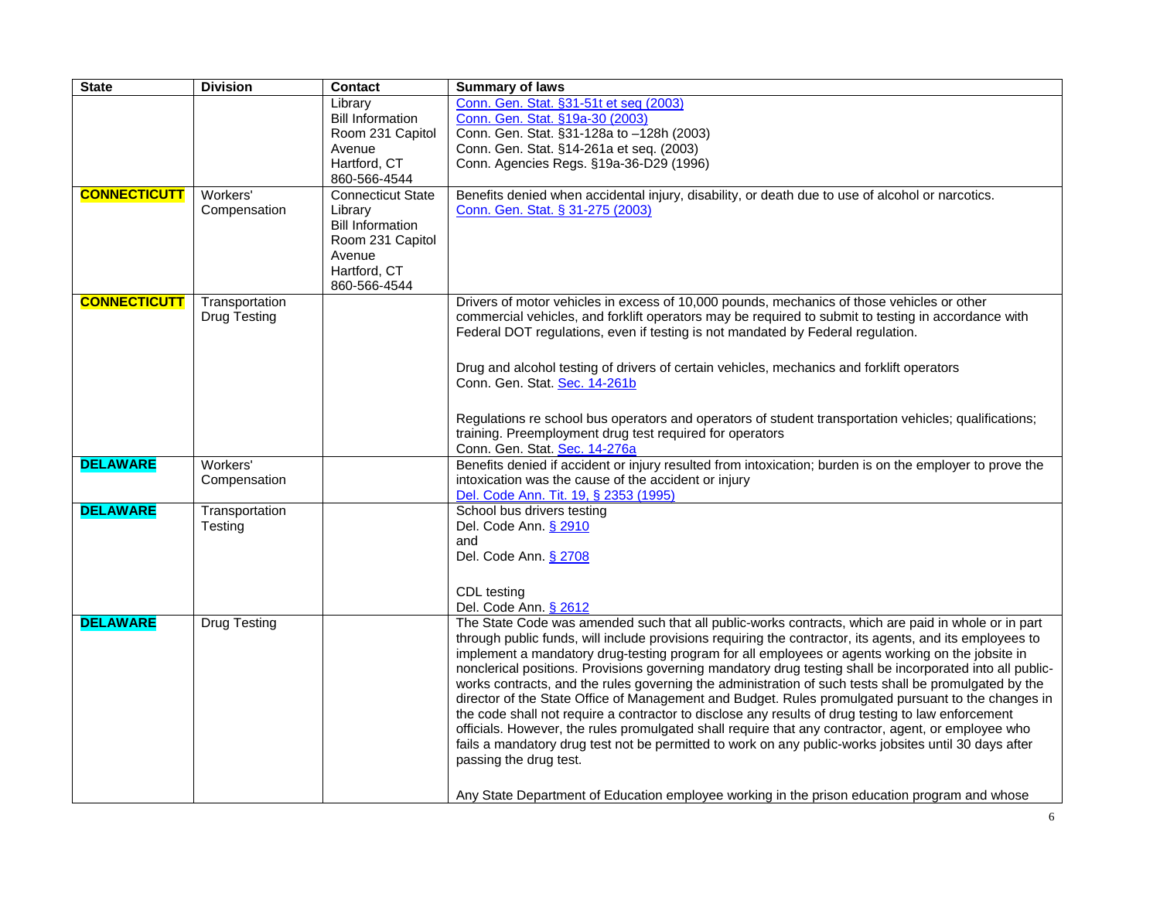| <b>State</b>        | <b>Division</b>                | <b>Contact</b>                                                                                                               | <b>Summary of laws</b>                                                                                                                                                                                                                                                                                                                                                                                                                                                                                                                                                                                                                                                                                                                                                                                                                                                                                                                                                                                                                                                                           |
|---------------------|--------------------------------|------------------------------------------------------------------------------------------------------------------------------|--------------------------------------------------------------------------------------------------------------------------------------------------------------------------------------------------------------------------------------------------------------------------------------------------------------------------------------------------------------------------------------------------------------------------------------------------------------------------------------------------------------------------------------------------------------------------------------------------------------------------------------------------------------------------------------------------------------------------------------------------------------------------------------------------------------------------------------------------------------------------------------------------------------------------------------------------------------------------------------------------------------------------------------------------------------------------------------------------|
|                     |                                | Library<br><b>Bill Information</b><br>Room 231 Capitol<br>Avenue<br>Hartford, CT<br>860-566-4544                             | Conn. Gen. Stat. §31-51t et seq (2003)<br>Conn. Gen. Stat. §19a-30 (2003)<br>Conn. Gen. Stat. §31-128a to -128h (2003)<br>Conn. Gen. Stat. §14-261a et seq. (2003)<br>Conn. Agencies Regs. §19a-36-D29 (1996)                                                                                                                                                                                                                                                                                                                                                                                                                                                                                                                                                                                                                                                                                                                                                                                                                                                                                    |
| <b>CONNECTICUTT</b> | Workers'<br>Compensation       | <b>Connecticut State</b><br>Library<br><b>Bill Information</b><br>Room 231 Capitol<br>Avenue<br>Hartford, CT<br>860-566-4544 | Benefits denied when accidental injury, disability, or death due to use of alcohol or narcotics.<br>Conn. Gen. Stat. § 31-275 (2003)                                                                                                                                                                                                                                                                                                                                                                                                                                                                                                                                                                                                                                                                                                                                                                                                                                                                                                                                                             |
| <b>CONNECTICUTT</b> | Transportation<br>Drug Testing |                                                                                                                              | Drivers of motor vehicles in excess of 10,000 pounds, mechanics of those vehicles or other<br>commercial vehicles, and forklift operators may be required to submit to testing in accordance with<br>Federal DOT regulations, even if testing is not mandated by Federal regulation.<br>Drug and alcohol testing of drivers of certain vehicles, mechanics and forklift operators<br>Conn. Gen. Stat. Sec. 14-261b<br>Regulations re school bus operators and operators of student transportation vehicles; qualifications;<br>training. Preemployment drug test required for operators<br>Conn. Gen. Stat. Sec. 14-276a                                                                                                                                                                                                                                                                                                                                                                                                                                                                         |
| <b>DELAWARE</b>     | Workers'<br>Compensation       |                                                                                                                              | Benefits denied if accident or injury resulted from intoxication; burden is on the employer to prove the<br>intoxication was the cause of the accident or injury<br>Del. Code Ann. Tit. 19, § 2353 (1995)                                                                                                                                                                                                                                                                                                                                                                                                                                                                                                                                                                                                                                                                                                                                                                                                                                                                                        |
| <b>DELAWARE</b>     | Transportation<br>Testing      |                                                                                                                              | School bus drivers testing<br>Del. Code Ann. § 2910<br>and<br>Del. Code Ann. § 2708<br>CDL testing<br>Del. Code Ann. § 2612                                                                                                                                                                                                                                                                                                                                                                                                                                                                                                                                                                                                                                                                                                                                                                                                                                                                                                                                                                      |
| <b>DELAWARE</b>     | <b>Drug Testing</b>            |                                                                                                                              | The State Code was amended such that all public-works contracts, which are paid in whole or in part<br>through public funds, will include provisions requiring the contractor, its agents, and its employees to<br>implement a mandatory drug-testing program for all employees or agents working on the jobsite in<br>nonclerical positions. Provisions governing mandatory drug testing shall be incorporated into all public-<br>works contracts, and the rules governing the administration of such tests shall be promulgated by the<br>director of the State Office of Management and Budget. Rules promulgated pursuant to the changes in<br>the code shall not require a contractor to disclose any results of drug testing to law enforcement<br>officials. However, the rules promulgated shall require that any contractor, agent, or employee who<br>fails a mandatory drug test not be permitted to work on any public-works jobsites until 30 days after<br>passing the drug test.<br>Any State Department of Education employee working in the prison education program and whose |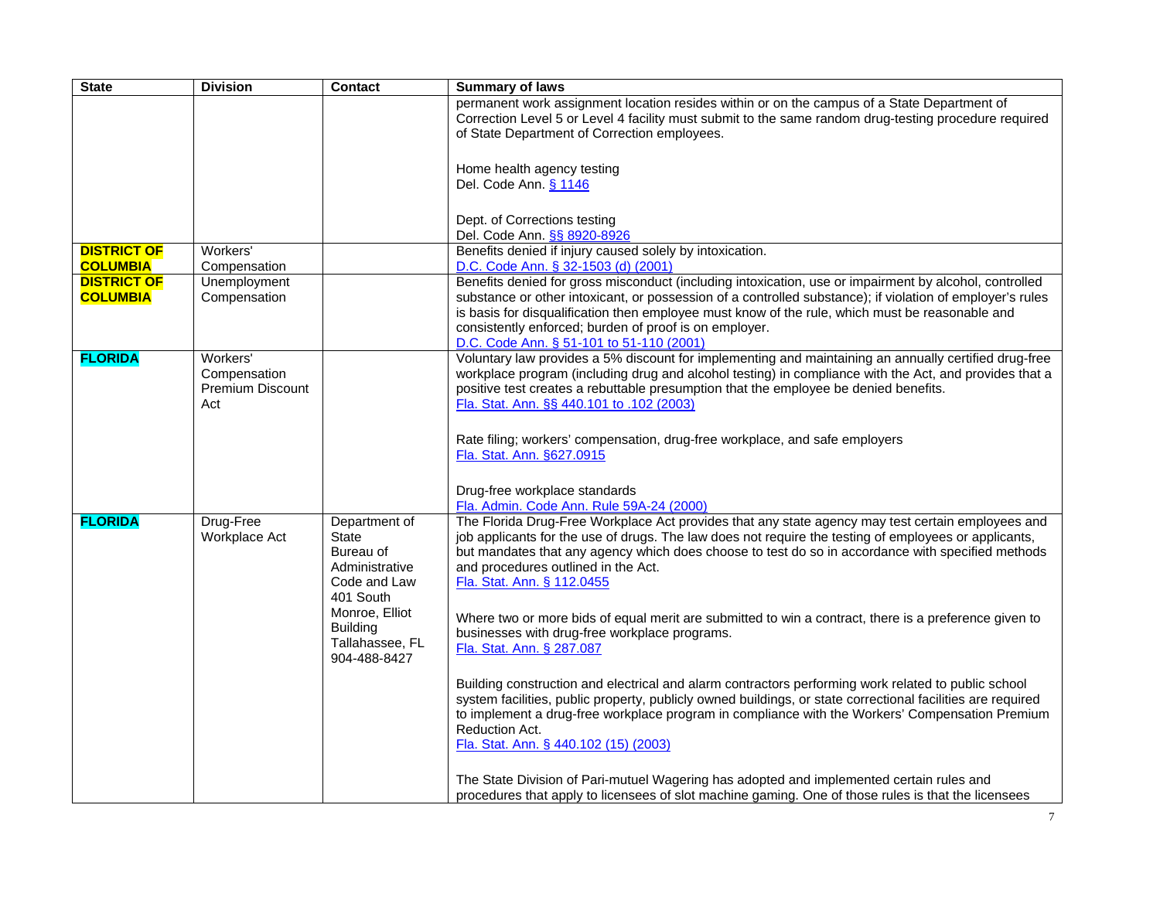| <b>State</b>       | <b>Division</b>         | Contact                            | <b>Summary of laws</b>                                                                                                                                                                                             |
|--------------------|-------------------------|------------------------------------|--------------------------------------------------------------------------------------------------------------------------------------------------------------------------------------------------------------------|
|                    |                         |                                    | permanent work assignment location resides within or on the campus of a State Department of                                                                                                                        |
|                    |                         |                                    | Correction Level 5 or Level 4 facility must submit to the same random drug-testing procedure required                                                                                                              |
|                    |                         |                                    | of State Department of Correction employees.                                                                                                                                                                       |
|                    |                         |                                    |                                                                                                                                                                                                                    |
|                    |                         |                                    | Home health agency testing<br>Del. Code Ann. § 1146                                                                                                                                                                |
|                    |                         |                                    |                                                                                                                                                                                                                    |
|                    |                         |                                    |                                                                                                                                                                                                                    |
|                    |                         |                                    | Dept. of Corrections testing<br>Del. Code Ann. §§ 8920-8926                                                                                                                                                        |
| <b>DISTRICT OF</b> | Workers'                |                                    | Benefits denied if injury caused solely by intoxication.                                                                                                                                                           |
| <b>COLUMBIA</b>    | Compensation            |                                    | D.C. Code Ann. § 32-1503 (d) (2001)                                                                                                                                                                                |
| <b>DISTRICT OF</b> | Unemployment            |                                    | Benefits denied for gross misconduct (including intoxication, use or impairment by alcohol, controlled                                                                                                             |
| <b>COLUMBIA</b>    | Compensation            |                                    | substance or other intoxicant, or possession of a controlled substance); if violation of employer's rules                                                                                                          |
|                    |                         |                                    | is basis for disqualification then employee must know of the rule, which must be reasonable and                                                                                                                    |
|                    |                         |                                    | consistently enforced; burden of proof is on employer.                                                                                                                                                             |
| <b>FLORIDA</b>     | Workers'                |                                    | D.C. Code Ann. § 51-101 to 51-110 (2001)<br>Voluntary law provides a 5% discount for implementing and maintaining an annually certified drug-free                                                                  |
|                    | Compensation            |                                    | workplace program (including drug and alcohol testing) in compliance with the Act, and provides that a                                                                                                             |
|                    | <b>Premium Discount</b> |                                    | positive test creates a rebuttable presumption that the employee be denied benefits.                                                                                                                               |
|                    | Act                     |                                    | Fla. Stat. Ann. §§ 440.101 to .102 (2003)                                                                                                                                                                          |
|                    |                         |                                    |                                                                                                                                                                                                                    |
|                    |                         |                                    | Rate filing; workers' compensation, drug-free workplace, and safe employers                                                                                                                                        |
|                    |                         |                                    | Fla. Stat. Ann. §627.0915                                                                                                                                                                                          |
|                    |                         |                                    |                                                                                                                                                                                                                    |
|                    |                         |                                    | Drug-free workplace standards                                                                                                                                                                                      |
| <b>FLORIDA</b>     | Drug-Free               |                                    | Fla. Admin. Code Ann. Rule 59A-24 (2000)                                                                                                                                                                           |
|                    | Workplace Act           | Department of<br><b>State</b>      | The Florida Drug-Free Workplace Act provides that any state agency may test certain employees and<br>job applicants for the use of drugs. The law does not require the testing of employees or applicants,         |
|                    |                         | Bureau of                          | but mandates that any agency which does choose to test do so in accordance with specified methods                                                                                                                  |
|                    |                         | Administrative                     | and procedures outlined in the Act.                                                                                                                                                                                |
|                    |                         | Code and Law                       | Fla. Stat. Ann. § 112.0455                                                                                                                                                                                         |
|                    |                         | 401 South                          |                                                                                                                                                                                                                    |
|                    |                         | Monroe, Elliot                     | Where two or more bids of equal merit are submitted to win a contract, there is a preference given to                                                                                                              |
|                    |                         | <b>Building</b><br>Tallahassee, FL | businesses with drug-free workplace programs.                                                                                                                                                                      |
|                    |                         | 904-488-8427                       | Fla. Stat. Ann. § 287.087                                                                                                                                                                                          |
|                    |                         |                                    |                                                                                                                                                                                                                    |
|                    |                         |                                    | Building construction and electrical and alarm contractors performing work related to public school<br>system facilities, public property, publicly owned buildings, or state correctional facilities are required |
|                    |                         |                                    | to implement a drug-free workplace program in compliance with the Workers' Compensation Premium                                                                                                                    |
|                    |                         |                                    | Reduction Act.                                                                                                                                                                                                     |
|                    |                         |                                    | Fla. Stat. Ann. § 440.102 (15) (2003)                                                                                                                                                                              |
|                    |                         |                                    |                                                                                                                                                                                                                    |
|                    |                         |                                    | The State Division of Pari-mutuel Wagering has adopted and implemented certain rules and                                                                                                                           |
|                    |                         |                                    | procedures that apply to licensees of slot machine gaming. One of those rules is that the licensees                                                                                                                |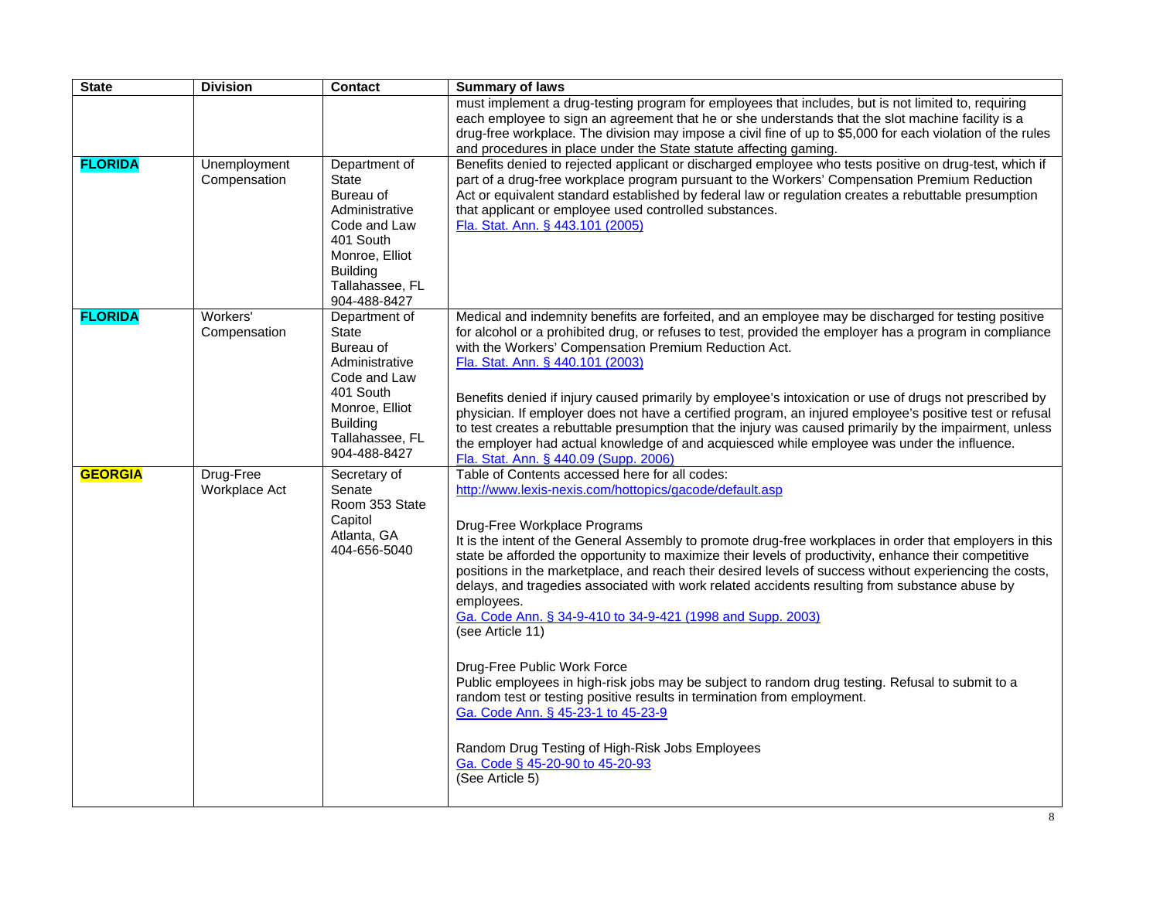| <b>State</b>   | <b>Division</b>              | <b>Contact</b>                                                                                                                                                    | <b>Summary of laws</b>                                                                                                                                                                                                                                                                                                                                                                                                                                                                                                                                                                                                                                                                                                                                                                                                                                                                                                                                                                                                                   |
|----------------|------------------------------|-------------------------------------------------------------------------------------------------------------------------------------------------------------------|------------------------------------------------------------------------------------------------------------------------------------------------------------------------------------------------------------------------------------------------------------------------------------------------------------------------------------------------------------------------------------------------------------------------------------------------------------------------------------------------------------------------------------------------------------------------------------------------------------------------------------------------------------------------------------------------------------------------------------------------------------------------------------------------------------------------------------------------------------------------------------------------------------------------------------------------------------------------------------------------------------------------------------------|
|                |                              |                                                                                                                                                                   | must implement a drug-testing program for employees that includes, but is not limited to, requiring<br>each employee to sign an agreement that he or she understands that the slot machine facility is a<br>drug-free workplace. The division may impose a civil fine of up to \$5,000 for each violation of the rules<br>and procedures in place under the State statute affecting gaming.                                                                                                                                                                                                                                                                                                                                                                                                                                                                                                                                                                                                                                              |
| <b>FLORIDA</b> | Unemployment<br>Compensation | Department of<br><b>State</b><br>Bureau of<br>Administrative<br>Code and Law<br>401 South<br>Monroe, Elliot<br><b>Building</b><br>Tallahassee, FL<br>904-488-8427 | Benefits denied to rejected applicant or discharged employee who tests positive on drug-test, which if<br>part of a drug-free workplace program pursuant to the Workers' Compensation Premium Reduction<br>Act or equivalent standard established by federal law or regulation creates a rebuttable presumption<br>that applicant or employee used controlled substances.<br>Fla. Stat. Ann. § 443.101 (2005)                                                                                                                                                                                                                                                                                                                                                                                                                                                                                                                                                                                                                            |
| <b>FLORIDA</b> | Workers'<br>Compensation     | Department of<br><b>State</b><br>Bureau of<br>Administrative<br>Code and Law<br>401 South<br>Monroe, Elliot<br><b>Building</b><br>Tallahassee, FL<br>904-488-8427 | Medical and indemnity benefits are forfeited, and an employee may be discharged for testing positive<br>for alcohol or a prohibited drug, or refuses to test, provided the employer has a program in compliance<br>with the Workers' Compensation Premium Reduction Act.<br>Fla. Stat. Ann. § 440.101 (2003)<br>Benefits denied if injury caused primarily by employee's intoxication or use of drugs not prescribed by<br>physician. If employer does not have a certified program, an injured employee's positive test or refusal<br>to test creates a rebuttable presumption that the injury was caused primarily by the impairment, unless<br>the employer had actual knowledge of and acquiesced while employee was under the influence.<br>Fla. Stat. Ann. § 440.09 (Supp. 2006)                                                                                                                                                                                                                                                   |
| <b>GEORGIA</b> | Drug-Free<br>Workplace Act   | Secretary of<br>Senate<br>Room 353 State<br>Capitol<br>Atlanta, GA<br>404-656-5040                                                                                | Table of Contents accessed here for all codes:<br>http://www.lexis-nexis.com/hottopics/gacode/default.asp<br>Drug-Free Workplace Programs<br>It is the intent of the General Assembly to promote drug-free workplaces in order that employers in this<br>state be afforded the opportunity to maximize their levels of productivity, enhance their competitive<br>positions in the marketplace, and reach their desired levels of success without experiencing the costs,<br>delays, and tragedies associated with work related accidents resulting from substance abuse by<br>employees.<br>Ga. Code Ann. § 34-9-410 to 34-9-421 (1998 and Supp. 2003)<br>(see Article 11)<br>Drug-Free Public Work Force<br>Public employees in high-risk jobs may be subject to random drug testing. Refusal to submit to a<br>random test or testing positive results in termination from employment.<br>Ga. Code Ann. § 45-23-1 to 45-23-9<br>Random Drug Testing of High-Risk Jobs Employees<br>Ga. Code § 45-20-90 to 45-20-93<br>(See Article 5) |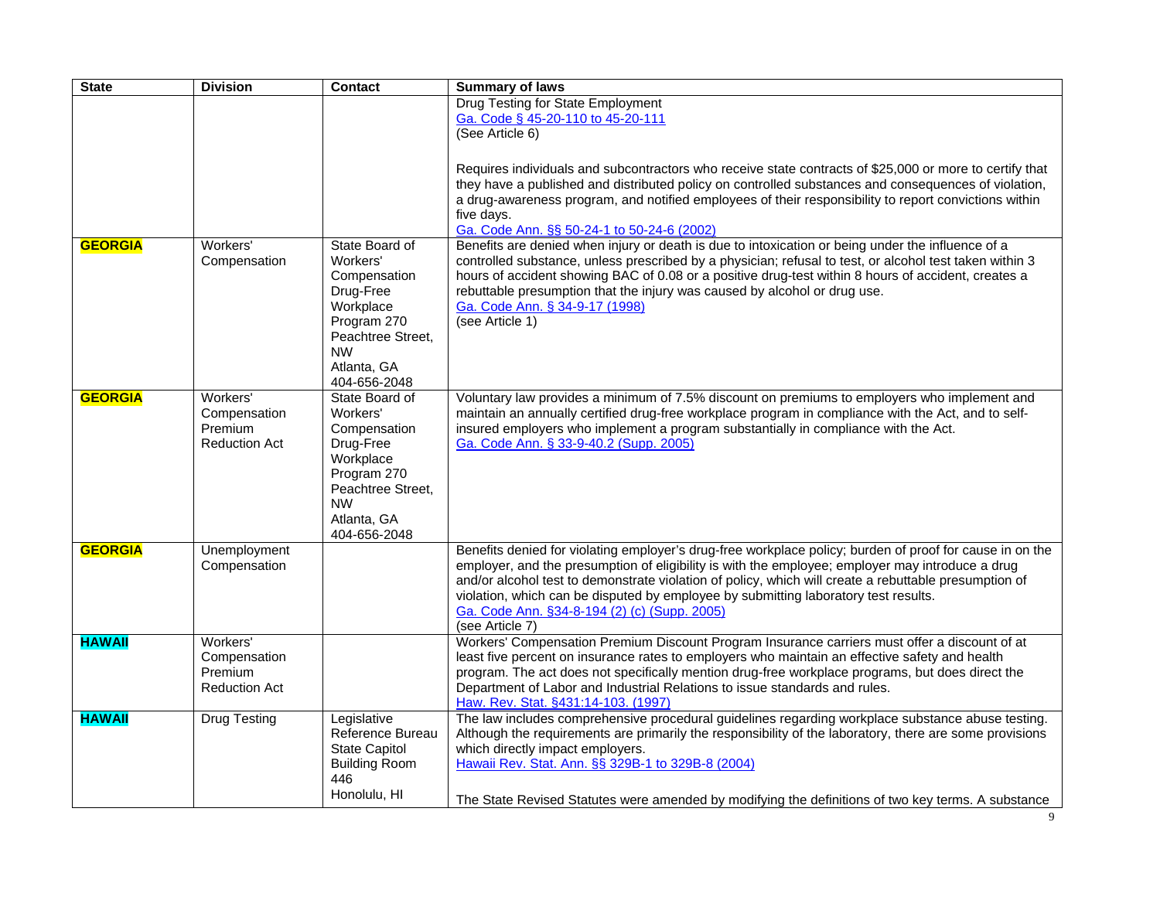| <b>State</b>   | <b>Division</b>                 | <b>Contact</b>                           | <b>Summary of laws</b>                                                                                                                                                                                        |
|----------------|---------------------------------|------------------------------------------|---------------------------------------------------------------------------------------------------------------------------------------------------------------------------------------------------------------|
|                |                                 |                                          | Drug Testing for State Employment<br>Ga. Code § 45-20-110 to 45-20-111                                                                                                                                        |
|                |                                 |                                          | (See Article 6)                                                                                                                                                                                               |
|                |                                 |                                          |                                                                                                                                                                                                               |
|                |                                 |                                          | Requires individuals and subcontractors who receive state contracts of \$25,000 or more to certify that                                                                                                       |
|                |                                 |                                          | they have a published and distributed policy on controlled substances and consequences of violation,<br>a drug-awareness program, and notified employees of their responsibility to report convictions within |
|                |                                 |                                          | five days.                                                                                                                                                                                                    |
| <b>GEORGIA</b> | Workers'                        | State Board of                           | Ga. Code Ann. §§ 50-24-1 to 50-24-6 (2002)<br>Benefits are denied when injury or death is due to intoxication or being under the influence of a                                                               |
|                | Compensation                    | Workers'                                 | controlled substance, unless prescribed by a physician; refusal to test, or alcohol test taken within 3                                                                                                       |
|                |                                 | Compensation<br>Drug-Free                | hours of accident showing BAC of 0.08 or a positive drug-test within 8 hours of accident, creates a<br>rebuttable presumption that the injury was caused by alcohol or drug use.                              |
|                |                                 | Workplace                                | Ga. Code Ann. § 34-9-17 (1998)                                                                                                                                                                                |
|                |                                 | Program 270<br>Peachtree Street,         | (see Article 1)                                                                                                                                                                                               |
|                |                                 | <b>NW</b>                                |                                                                                                                                                                                                               |
|                |                                 | Atlanta, GA                              |                                                                                                                                                                                                               |
| <b>GEORGIA</b> | Workers'                        | 404-656-2048<br>State Board of           | Voluntary law provides a minimum of 7.5% discount on premiums to employers who implement and                                                                                                                  |
|                | Compensation                    | Workers'                                 | maintain an annually certified drug-free workplace program in compliance with the Act, and to self-                                                                                                           |
|                | Premium<br><b>Reduction Act</b> | Compensation<br>Drug-Free                | insured employers who implement a program substantially in compliance with the Act.<br>Ga. Code Ann. § 33-9-40.2 (Supp. 2005)                                                                                 |
|                |                                 | Workplace                                |                                                                                                                                                                                                               |
|                |                                 | Program 270<br>Peachtree Street,         |                                                                                                                                                                                                               |
|                |                                 | <b>NW</b>                                |                                                                                                                                                                                                               |
|                |                                 | Atlanta, GA<br>404-656-2048              |                                                                                                                                                                                                               |
| <b>GEORGIA</b> | Unemployment                    |                                          | Benefits denied for violating employer's drug-free workplace policy; burden of proof for cause in on the                                                                                                      |
|                | Compensation                    |                                          | employer, and the presumption of eligibility is with the employee; employer may introduce a drug                                                                                                              |
|                |                                 |                                          | and/or alcohol test to demonstrate violation of policy, which will create a rebuttable presumption of<br>violation, which can be disputed by employee by submitting laboratory test results.                  |
|                |                                 |                                          | Ga. Code Ann. §34-8-194 (2) (c) (Supp. 2005)                                                                                                                                                                  |
| <b>HAWAII</b>  | Workers'                        |                                          | (see Article 7)<br>Workers' Compensation Premium Discount Program Insurance carriers must offer a discount of at                                                                                              |
|                | Compensation                    |                                          | least five percent on insurance rates to employers who maintain an effective safety and health                                                                                                                |
|                | Premium<br><b>Reduction Act</b> |                                          | program. The act does not specifically mention drug-free workplace programs, but does direct the<br>Department of Labor and Industrial Relations to issue standards and rules.                                |
|                |                                 |                                          | Haw. Rev. Stat. §431:14-103. (1997)                                                                                                                                                                           |
| <b>HAWAII</b>  | <b>Drug Testing</b>             | Legislative                              | The law includes comprehensive procedural guidelines regarding workplace substance abuse testing.                                                                                                             |
|                |                                 | Reference Bureau<br><b>State Capitol</b> | Although the requirements are primarily the responsibility of the laboratory, there are some provisions<br>which directly impact employers.                                                                   |
|                |                                 | <b>Building Room</b>                     | Hawaii Rev. Stat. Ann. §§ 329B-1 to 329B-8 (2004)                                                                                                                                                             |
|                |                                 | 446<br>Honolulu, HI                      |                                                                                                                                                                                                               |
|                |                                 |                                          | The State Revised Statutes were amended by modifying the definitions of two key terms. A substance                                                                                                            |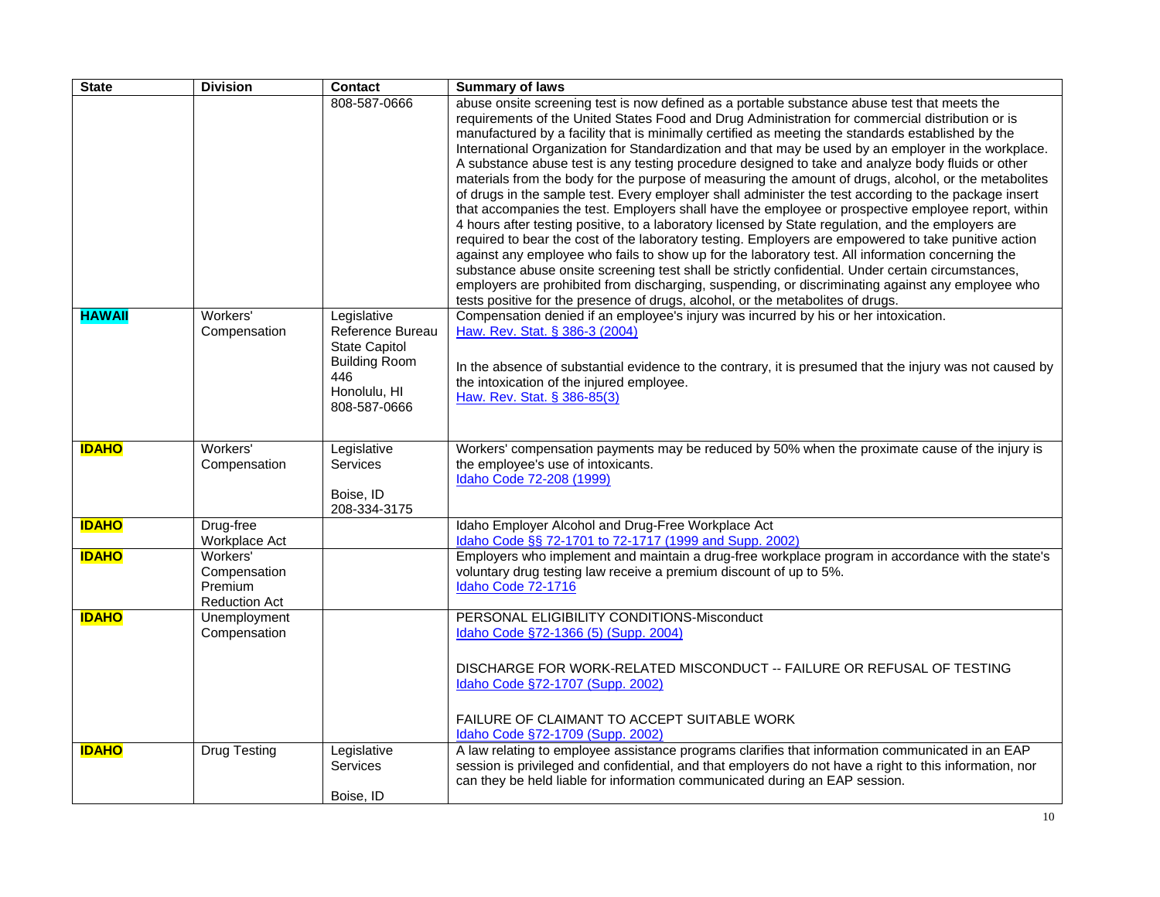| <b>State</b>  | <b>Division</b>                                             | Contact                                                                                                         | <b>Summary of laws</b>                                                                                                                                                                                                                                                                                                                                                                                                                                                                                                                                                                                                                                                                                                                                                                                                                                                                                                                                                                                                                                                                                                                                                                                                                                                                                                                                                                                                                                         |
|---------------|-------------------------------------------------------------|-----------------------------------------------------------------------------------------------------------------|----------------------------------------------------------------------------------------------------------------------------------------------------------------------------------------------------------------------------------------------------------------------------------------------------------------------------------------------------------------------------------------------------------------------------------------------------------------------------------------------------------------------------------------------------------------------------------------------------------------------------------------------------------------------------------------------------------------------------------------------------------------------------------------------------------------------------------------------------------------------------------------------------------------------------------------------------------------------------------------------------------------------------------------------------------------------------------------------------------------------------------------------------------------------------------------------------------------------------------------------------------------------------------------------------------------------------------------------------------------------------------------------------------------------------------------------------------------|
|               |                                                             | 808-587-0666                                                                                                    | abuse onsite screening test is now defined as a portable substance abuse test that meets the<br>requirements of the United States Food and Drug Administration for commercial distribution or is<br>manufactured by a facility that is minimally certified as meeting the standards established by the<br>International Organization for Standardization and that may be used by an employer in the workplace.<br>A substance abuse test is any testing procedure designed to take and analyze body fluids or other<br>materials from the body for the purpose of measuring the amount of drugs, alcohol, or the metabolites<br>of drugs in the sample test. Every employer shall administer the test according to the package insert<br>that accompanies the test. Employers shall have the employee or prospective employee report, within<br>4 hours after testing positive, to a laboratory licensed by State regulation, and the employers are<br>required to bear the cost of the laboratory testing. Employers are empowered to take punitive action<br>against any employee who fails to show up for the laboratory test. All information concerning the<br>substance abuse onsite screening test shall be strictly confidential. Under certain circumstances,<br>employers are prohibited from discharging, suspending, or discriminating against any employee who<br>tests positive for the presence of drugs, alcohol, or the metabolites of drugs. |
| <b>HAWAII</b> | Workers'<br>Compensation                                    | Legislative<br>Reference Bureau<br>State Capitol<br><b>Building Room</b><br>446<br>Honolulu, HI<br>808-587-0666 | Compensation denied if an employee's injury was incurred by his or her intoxication.<br>Haw. Rev. Stat. § 386-3 (2004)<br>In the absence of substantial evidence to the contrary, it is presumed that the injury was not caused by<br>the intoxication of the injured employee.<br>Haw. Rev. Stat. § 386-85(3)                                                                                                                                                                                                                                                                                                                                                                                                                                                                                                                                                                                                                                                                                                                                                                                                                                                                                                                                                                                                                                                                                                                                                 |
| <b>IDAHO</b>  | Workers'<br>Compensation                                    | Legislative<br><b>Services</b><br>Boise, ID<br>208-334-3175                                                     | Workers' compensation payments may be reduced by 50% when the proximate cause of the injury is<br>the employee's use of intoxicants.<br>Idaho Code 72-208 (1999)                                                                                                                                                                                                                                                                                                                                                                                                                                                                                                                                                                                                                                                                                                                                                                                                                                                                                                                                                                                                                                                                                                                                                                                                                                                                                               |
| <b>IDAHO</b>  | Drug-free<br>Workplace Act                                  |                                                                                                                 | Idaho Employer Alcohol and Drug-Free Workplace Act<br>Idaho Code §§ 72-1701 to 72-1717 (1999 and Supp. 2002)                                                                                                                                                                                                                                                                                                                                                                                                                                                                                                                                                                                                                                                                                                                                                                                                                                                                                                                                                                                                                                                                                                                                                                                                                                                                                                                                                   |
| <b>IDAHO</b>  | Workers'<br>Compensation<br>Premium<br><b>Reduction Act</b> |                                                                                                                 | Employers who implement and maintain a drug-free workplace program in accordance with the state's<br>voluntary drug testing law receive a premium discount of up to 5%.<br>Idaho Code 72-1716                                                                                                                                                                                                                                                                                                                                                                                                                                                                                                                                                                                                                                                                                                                                                                                                                                                                                                                                                                                                                                                                                                                                                                                                                                                                  |
| <b>IDAHO</b>  | Unemployment<br>Compensation                                |                                                                                                                 | PERSONAL ELIGIBILITY CONDITIONS-Misconduct<br>Idaho Code §72-1366 (5) (Supp. 2004)<br>DISCHARGE FOR WORK-RELATED MISCONDUCT -- FAILURE OR REFUSAL OF TESTING<br>Idaho Code §72-1707 (Supp. 2002)<br>FAILURE OF CLAIMANT TO ACCEPT SUITABLE WORK<br>Idaho Code §72-1709 (Supp. 2002)                                                                                                                                                                                                                                                                                                                                                                                                                                                                                                                                                                                                                                                                                                                                                                                                                                                                                                                                                                                                                                                                                                                                                                            |
| <b>IDAHO</b>  | <b>Drug Testing</b>                                         | Legislative<br><b>Services</b><br>Boise, ID                                                                     | A law relating to employee assistance programs clarifies that information communicated in an EAP<br>session is privileged and confidential, and that employers do not have a right to this information, nor<br>can they be held liable for information communicated during an EAP session.                                                                                                                                                                                                                                                                                                                                                                                                                                                                                                                                                                                                                                                                                                                                                                                                                                                                                                                                                                                                                                                                                                                                                                     |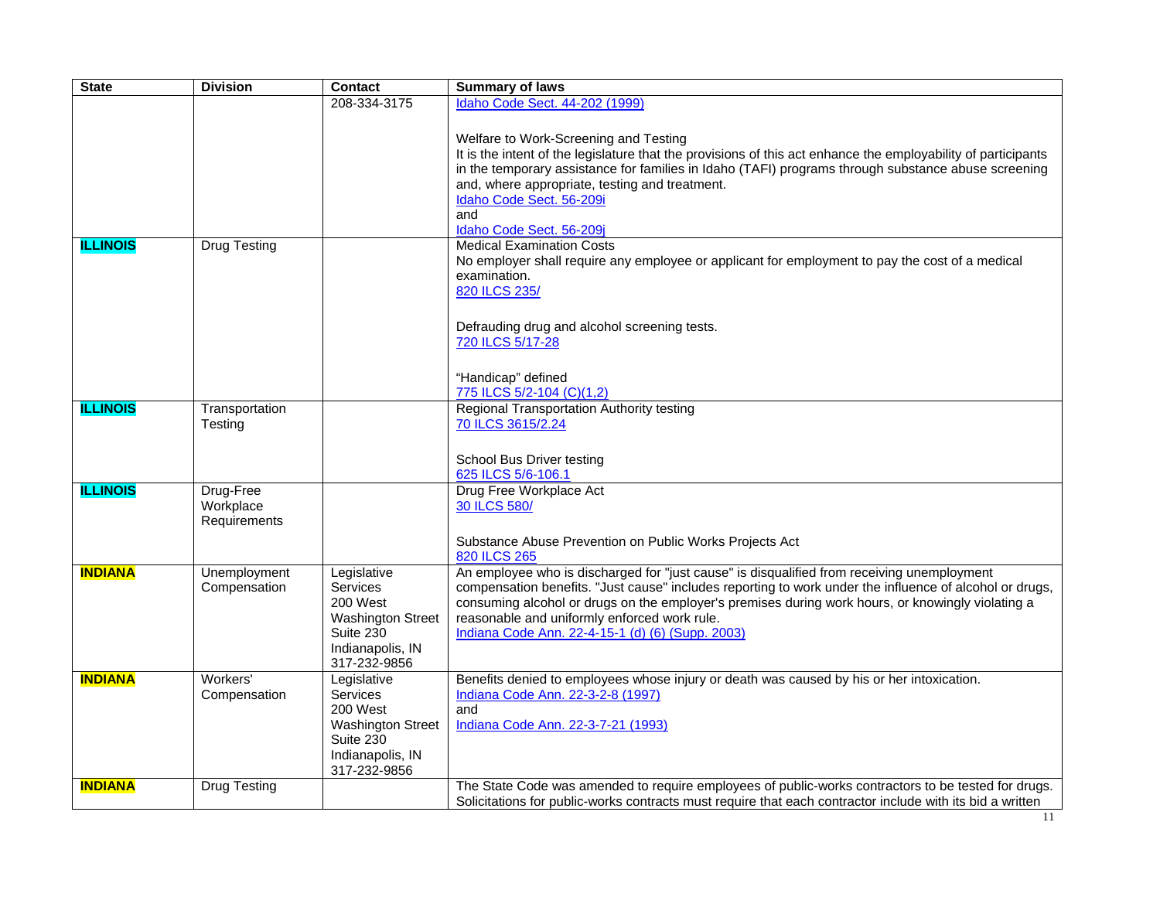| <b>State</b>    | <b>Division</b>                        | <b>Contact</b>                                                                                                          | <b>Summary of laws</b>                                                                                                                                                                                                                                                                                                                                                                                         |
|-----------------|----------------------------------------|-------------------------------------------------------------------------------------------------------------------------|----------------------------------------------------------------------------------------------------------------------------------------------------------------------------------------------------------------------------------------------------------------------------------------------------------------------------------------------------------------------------------------------------------------|
|                 |                                        | 208-334-3175                                                                                                            | Idaho Code Sect. 44-202 (1999)                                                                                                                                                                                                                                                                                                                                                                                 |
|                 |                                        |                                                                                                                         | Welfare to Work-Screening and Testing<br>It is the intent of the legislature that the provisions of this act enhance the employability of participants<br>in the temporary assistance for families in Idaho (TAFI) programs through substance abuse screening<br>and, where appropriate, testing and treatment.<br>Idaho Code Sect. 56-209i<br>and<br>Idaho Code Sect. 56-209j                                 |
| <b>ILLINOIS</b> | <b>Drug Testing</b>                    |                                                                                                                         | <b>Medical Examination Costs</b><br>No employer shall require any employee or applicant for employment to pay the cost of a medical<br>examination.<br>820 ILCS 235/<br>Defrauding drug and alcohol screening tests.<br>720 ILCS 5/17-28<br>"Handicap" defined<br>775 ILCS 5/2-104 (C)(1,2)                                                                                                                    |
| <b>ILLINOIS</b> | Transportation<br>Testing              |                                                                                                                         | Regional Transportation Authority testing<br>70 ILCS 3615/2.24<br>School Bus Driver testing<br>625 ILCS 5/6-106.1                                                                                                                                                                                                                                                                                              |
| <b>ILLINOIS</b> | Drug-Free<br>Workplace<br>Requirements |                                                                                                                         | Drug Free Workplace Act<br>30 ILCS 580/<br>Substance Abuse Prevention on Public Works Projects Act<br>820 ILCS 265                                                                                                                                                                                                                                                                                             |
| <b>INDIANA</b>  | Unemployment<br>Compensation           | Legislative<br><b>Services</b><br>200 West<br><b>Washington Street</b><br>Suite 230<br>Indianapolis, IN<br>317-232-9856 | An employee who is discharged for "just cause" is disqualified from receiving unemployment<br>compensation benefits. "Just cause" includes reporting to work under the influence of alcohol or drugs,<br>consuming alcohol or drugs on the employer's premises during work hours, or knowingly violating a<br>reasonable and uniformly enforced work rule.<br>Indiana Code Ann. 22-4-15-1 (d) (6) (Supp. 2003) |
| <b>INDIANA</b>  | Workers'<br>Compensation               | Legislative<br><b>Services</b><br>200 West<br><b>Washington Street</b><br>Suite 230<br>Indianapolis, IN<br>317-232-9856 | Benefits denied to employees whose injury or death was caused by his or her intoxication.<br>Indiana Code Ann. 22-3-2-8 (1997)<br>and<br>Indiana Code Ann. 22-3-7-21 (1993)                                                                                                                                                                                                                                    |
| <b>INDIANA</b>  | <b>Drug Testing</b>                    |                                                                                                                         | The State Code was amended to require employees of public-works contractors to be tested for drugs.<br>Solicitations for public-works contracts must require that each contractor include with its bid a written                                                                                                                                                                                               |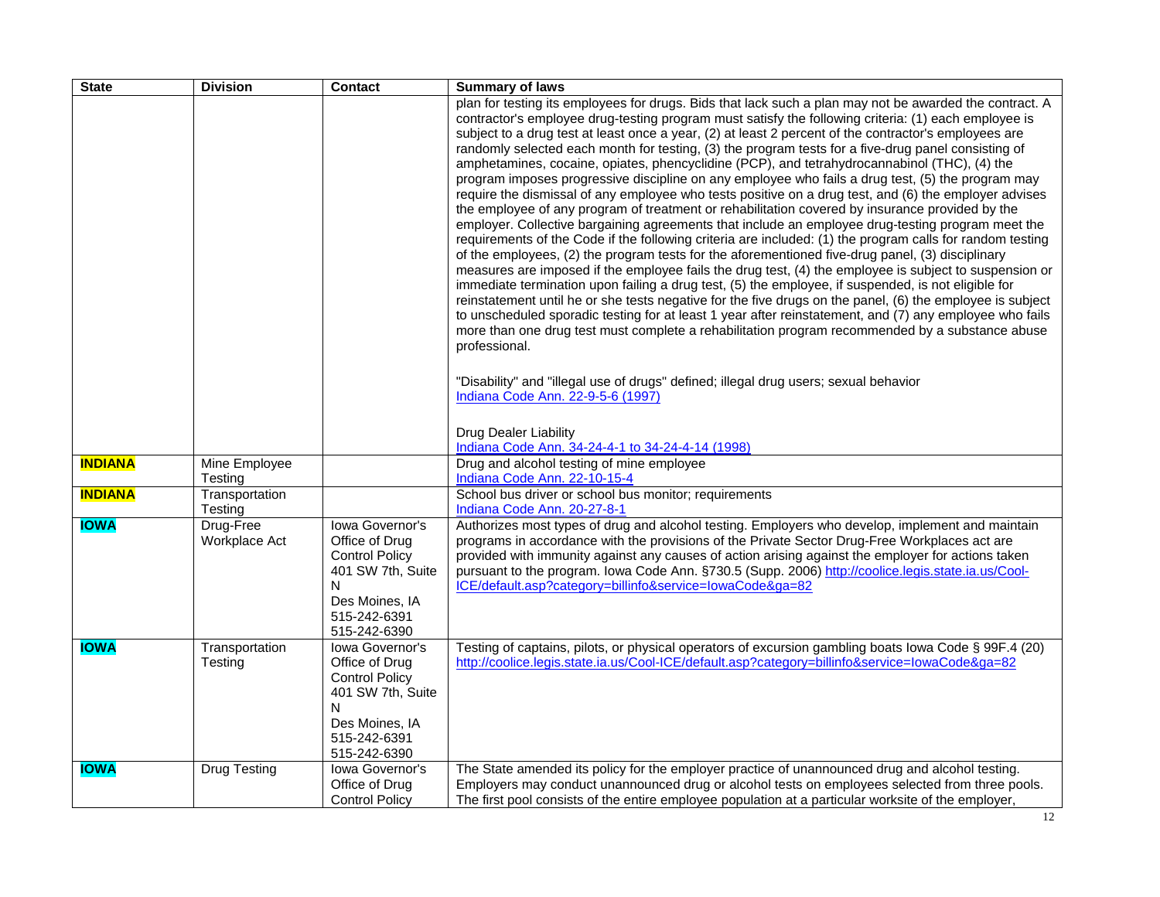| <b>State</b>   | <b>Division</b>            | Contact                                                                                                                                | <b>Summary of laws</b>                                                                                                                                                                                                                                                                                                                                                                                                                                                                                                                                                                                                                                                                                                                                                                                                                                                                                                                                                                                                                                                                                                                                                                                                                                                                                                                                                                                                                                                                                                                                                                                                                                                                                                                                                                                                                                                                           |
|----------------|----------------------------|----------------------------------------------------------------------------------------------------------------------------------------|--------------------------------------------------------------------------------------------------------------------------------------------------------------------------------------------------------------------------------------------------------------------------------------------------------------------------------------------------------------------------------------------------------------------------------------------------------------------------------------------------------------------------------------------------------------------------------------------------------------------------------------------------------------------------------------------------------------------------------------------------------------------------------------------------------------------------------------------------------------------------------------------------------------------------------------------------------------------------------------------------------------------------------------------------------------------------------------------------------------------------------------------------------------------------------------------------------------------------------------------------------------------------------------------------------------------------------------------------------------------------------------------------------------------------------------------------------------------------------------------------------------------------------------------------------------------------------------------------------------------------------------------------------------------------------------------------------------------------------------------------------------------------------------------------------------------------------------------------------------------------------------------------|
|                |                            |                                                                                                                                        | plan for testing its employees for drugs. Bids that lack such a plan may not be awarded the contract. A<br>contractor's employee drug-testing program must satisfy the following criteria: (1) each employee is<br>subject to a drug test at least once a year, (2) at least 2 percent of the contractor's employees are<br>randomly selected each month for testing, (3) the program tests for a five-drug panel consisting of<br>amphetamines, cocaine, opiates, phencyclidine (PCP), and tetrahydrocannabinol (THC), (4) the<br>program imposes progressive discipline on any employee who fails a drug test, (5) the program may<br>require the dismissal of any employee who tests positive on a drug test, and (6) the employer advises<br>the employee of any program of treatment or rehabilitation covered by insurance provided by the<br>employer. Collective bargaining agreements that include an employee drug-testing program meet the<br>requirements of the Code if the following criteria are included: (1) the program calls for random testing<br>of the employees, (2) the program tests for the aforementioned five-drug panel, (3) disciplinary<br>measures are imposed if the employee fails the drug test, (4) the employee is subject to suspension or<br>immediate termination upon failing a drug test, (5) the employee, if suspended, is not eligible for<br>reinstatement until he or she tests negative for the five drugs on the panel, (6) the employee is subject<br>to unscheduled sporadic testing for at least 1 year after reinstatement, and (7) any employee who fails<br>more than one drug test must complete a rehabilitation program recommended by a substance abuse<br>professional.<br>"Disability" and "illegal use of drugs" defined; illegal drug users; sexual behavior<br>Indiana Code Ann. 22-9-5-6 (1997)<br><b>Drug Dealer Liability</b> |
| <b>INDIANA</b> | Mine Employee              |                                                                                                                                        | Indiana Code Ann. 34-24-4-1 to 34-24-4-14 (1998)<br>Drug and alcohol testing of mine employee                                                                                                                                                                                                                                                                                                                                                                                                                                                                                                                                                                                                                                                                                                                                                                                                                                                                                                                                                                                                                                                                                                                                                                                                                                                                                                                                                                                                                                                                                                                                                                                                                                                                                                                                                                                                    |
|                | Testing                    |                                                                                                                                        | Indiana Code Ann. 22-10-15-4                                                                                                                                                                                                                                                                                                                                                                                                                                                                                                                                                                                                                                                                                                                                                                                                                                                                                                                                                                                                                                                                                                                                                                                                                                                                                                                                                                                                                                                                                                                                                                                                                                                                                                                                                                                                                                                                     |
| <b>INDIANA</b> | Transportation<br>Testing  |                                                                                                                                        | School bus driver or school bus monitor; requirements<br>Indiana Code Ann. 20-27-8-1                                                                                                                                                                                                                                                                                                                                                                                                                                                                                                                                                                                                                                                                                                                                                                                                                                                                                                                                                                                                                                                                                                                                                                                                                                                                                                                                                                                                                                                                                                                                                                                                                                                                                                                                                                                                             |
| <b>IOWA</b>    | Drug-Free<br>Workplace Act | Iowa Governor's<br>Office of Drug<br><b>Control Policy</b><br>401 SW 7th, Suite<br>N<br>Des Moines, IA<br>515-242-6391<br>515-242-6390 | Authorizes most types of drug and alcohol testing. Employers who develop, implement and maintain<br>programs in accordance with the provisions of the Private Sector Drug-Free Workplaces act are<br>provided with immunity against any causes of action arising against the employer for actions taken<br>pursuant to the program. Iowa Code Ann. §730.5 (Supp. 2006) http://coolice.legis.state.ia.us/Cool-<br>ICE/default.asp?category=billinfo&service=lowaCode&ga=82                                                                                                                                                                                                                                                                                                                                                                                                                                                                                                                                                                                                                                                                                                                                                                                                                                                                                                                                                                                                                                                                                                                                                                                                                                                                                                                                                                                                                        |
| <b>IOWA</b>    | Transportation<br>Testing  | Iowa Governor's<br>Office of Drug<br><b>Control Policy</b><br>401 SW 7th, Suite<br>N<br>Des Moines, IA<br>515-242-6391<br>515-242-6390 | Testing of captains, pilots, or physical operators of excursion gambling boats lowa Code § 99F.4 (20)<br>http://coolice.legis.state.ia.us/Cool-ICE/default.asp?category=billinfo&service=lowaCode&ga=82                                                                                                                                                                                                                                                                                                                                                                                                                                                                                                                                                                                                                                                                                                                                                                                                                                                                                                                                                                                                                                                                                                                                                                                                                                                                                                                                                                                                                                                                                                                                                                                                                                                                                          |
| <b>IOWA</b>    | <b>Drug Testing</b>        | Iowa Governor's<br>Office of Drug<br><b>Control Policy</b>                                                                             | The State amended its policy for the employer practice of unannounced drug and alcohol testing.<br>Employers may conduct unannounced drug or alcohol tests on employees selected from three pools.<br>The first pool consists of the entire employee population at a particular worksite of the employer,                                                                                                                                                                                                                                                                                                                                                                                                                                                                                                                                                                                                                                                                                                                                                                                                                                                                                                                                                                                                                                                                                                                                                                                                                                                                                                                                                                                                                                                                                                                                                                                        |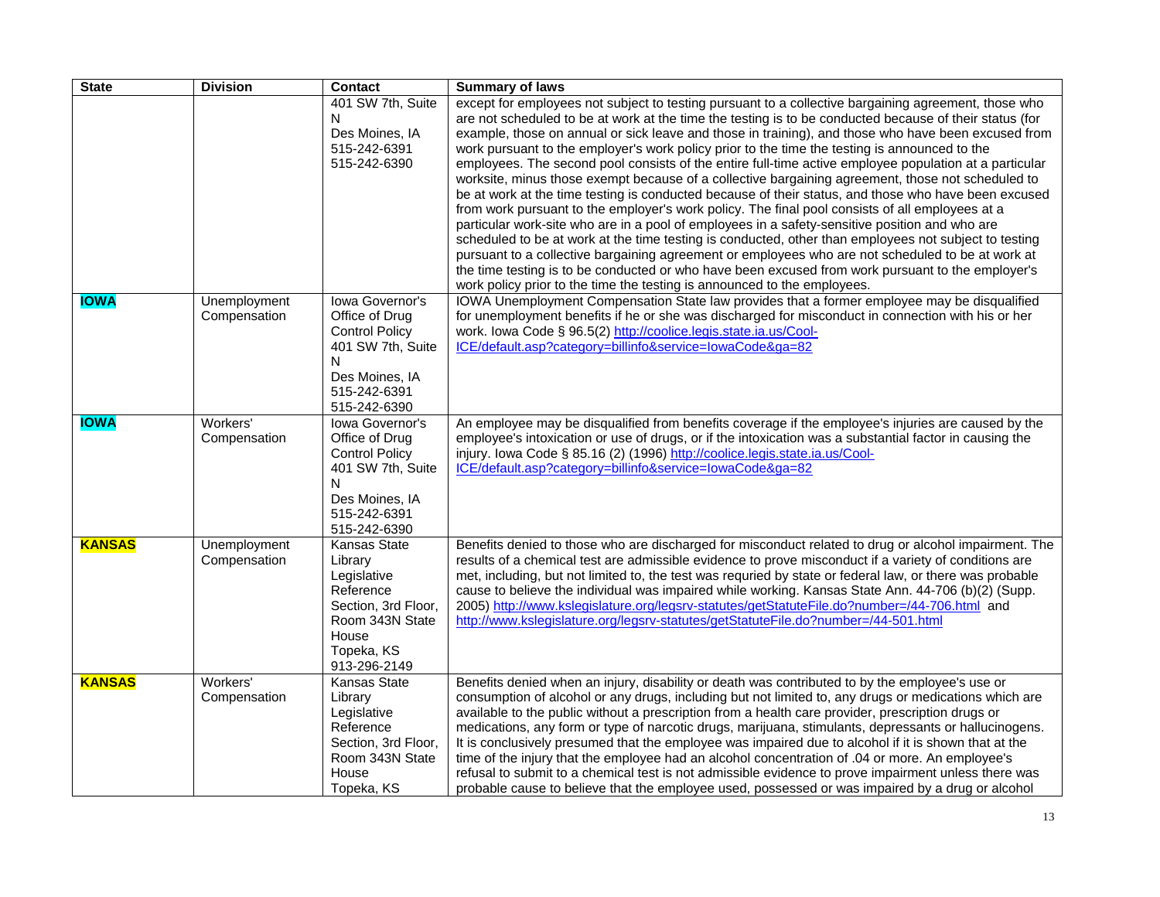| <b>State</b>  | <b>Division</b>              | <b>Contact</b>                                                                                                                              | <b>Summary of laws</b>                                                                                                                                                                                                                                                                                                                                                                                                                                                                                                                                                                                                                                                                                                                                                                                                                                                                                                                                                                                                                                                                                                                                                                                                                                                                                                                                                                                                                             |
|---------------|------------------------------|---------------------------------------------------------------------------------------------------------------------------------------------|----------------------------------------------------------------------------------------------------------------------------------------------------------------------------------------------------------------------------------------------------------------------------------------------------------------------------------------------------------------------------------------------------------------------------------------------------------------------------------------------------------------------------------------------------------------------------------------------------------------------------------------------------------------------------------------------------------------------------------------------------------------------------------------------------------------------------------------------------------------------------------------------------------------------------------------------------------------------------------------------------------------------------------------------------------------------------------------------------------------------------------------------------------------------------------------------------------------------------------------------------------------------------------------------------------------------------------------------------------------------------------------------------------------------------------------------------|
| <b>IOWA</b>   | Unemployment                 | 401 SW 7th, Suite<br>N<br>Des Moines, IA<br>515-242-6391<br>515-242-6390<br>Iowa Governor's                                                 | except for employees not subject to testing pursuant to a collective bargaining agreement, those who<br>are not scheduled to be at work at the time the testing is to be conducted because of their status (for<br>example, those on annual or sick leave and those in training), and those who have been excused from<br>work pursuant to the employer's work policy prior to the time the testing is announced to the<br>employees. The second pool consists of the entire full-time active employee population at a particular<br>worksite, minus those exempt because of a collective bargaining agreement, those not scheduled to<br>be at work at the time testing is conducted because of their status, and those who have been excused<br>from work pursuant to the employer's work policy. The final pool consists of all employees at a<br>particular work-site who are in a pool of employees in a safety-sensitive position and who are<br>scheduled to be at work at the time testing is conducted, other than employees not subject to testing<br>pursuant to a collective bargaining agreement or employees who are not scheduled to be at work at<br>the time testing is to be conducted or who have been excused from work pursuant to the employer's<br>work policy prior to the time the testing is announced to the employees.<br>IOWA Unemployment Compensation State law provides that a former employee may be disqualified |
|               | Compensation                 | Office of Drug<br><b>Control Policy</b><br>401 SW 7th, Suite<br>N<br>Des Moines, IA<br>515-242-6391<br>515-242-6390                         | for unemployment benefits if he or she was discharged for misconduct in connection with his or her<br>work. Iowa Code § 96.5(2) http://coolice.legis.state.ia.us/Cool-<br>ICE/default.asp?category=billinfo&service=lowaCode&ga=82                                                                                                                                                                                                                                                                                                                                                                                                                                                                                                                                                                                                                                                                                                                                                                                                                                                                                                                                                                                                                                                                                                                                                                                                                 |
| <b>IOWA</b>   | Workers'<br>Compensation     | Iowa Governor's<br>Office of Drug<br><b>Control Policy</b><br>401 SW 7th, Suite<br>N<br>Des Moines, IA<br>515-242-6391<br>515-242-6390      | An employee may be disqualified from benefits coverage if the employee's injuries are caused by the<br>employee's intoxication or use of drugs, or if the intoxication was a substantial factor in causing the<br>injury. Iowa Code § 85.16 (2) (1996) http://coolice.legis.state.ia.us/Cool-<br>ICE/default.asp?category=billinfo&service=lowaCode&ga=82                                                                                                                                                                                                                                                                                                                                                                                                                                                                                                                                                                                                                                                                                                                                                                                                                                                                                                                                                                                                                                                                                          |
| <b>KANSAS</b> | Unemployment<br>Compensation | <b>Kansas State</b><br>Library<br>Legislative<br>Reference<br>Section, 3rd Floor,<br>Room 343N State<br>House<br>Topeka, KS<br>913-296-2149 | Benefits denied to those who are discharged for misconduct related to drug or alcohol impairment. The<br>results of a chemical test are admissible evidence to prove misconduct if a variety of conditions are<br>met, including, but not limited to, the test was requried by state or federal law, or there was probable<br>cause to believe the individual was impaired while working. Kansas State Ann. 44-706 (b)(2) (Supp.<br>2005) http://www.kslegislature.org/legsrv-statutes/getStatuteFile.do?number=/44-706.html and<br>http://www.kslegislature.org/legsrv-statutes/getStatuteFile.do?number=/44-501.html                                                                                                                                                                                                                                                                                                                                                                                                                                                                                                                                                                                                                                                                                                                                                                                                                             |
| <b>KANSAS</b> | Workers'<br>Compensation     | Kansas State<br>Library<br>Legislative<br>Reference<br>Section, 3rd Floor,<br>Room 343N State<br>House<br>Topeka, KS                        | Benefits denied when an injury, disability or death was contributed to by the employee's use or<br>consumption of alcohol or any drugs, including but not limited to, any drugs or medications which are<br>available to the public without a prescription from a health care provider, prescription drugs or<br>medications, any form or type of narcotic drugs, marijuana, stimulants, depressants or hallucinogens.<br>It is conclusively presumed that the employee was impaired due to alcohol if it is shown that at the<br>time of the injury that the employee had an alcohol concentration of .04 or more. An employee's<br>refusal to submit to a chemical test is not admissible evidence to prove impairment unless there was<br>probable cause to believe that the employee used, possessed or was impaired by a drug or alcohol                                                                                                                                                                                                                                                                                                                                                                                                                                                                                                                                                                                                      |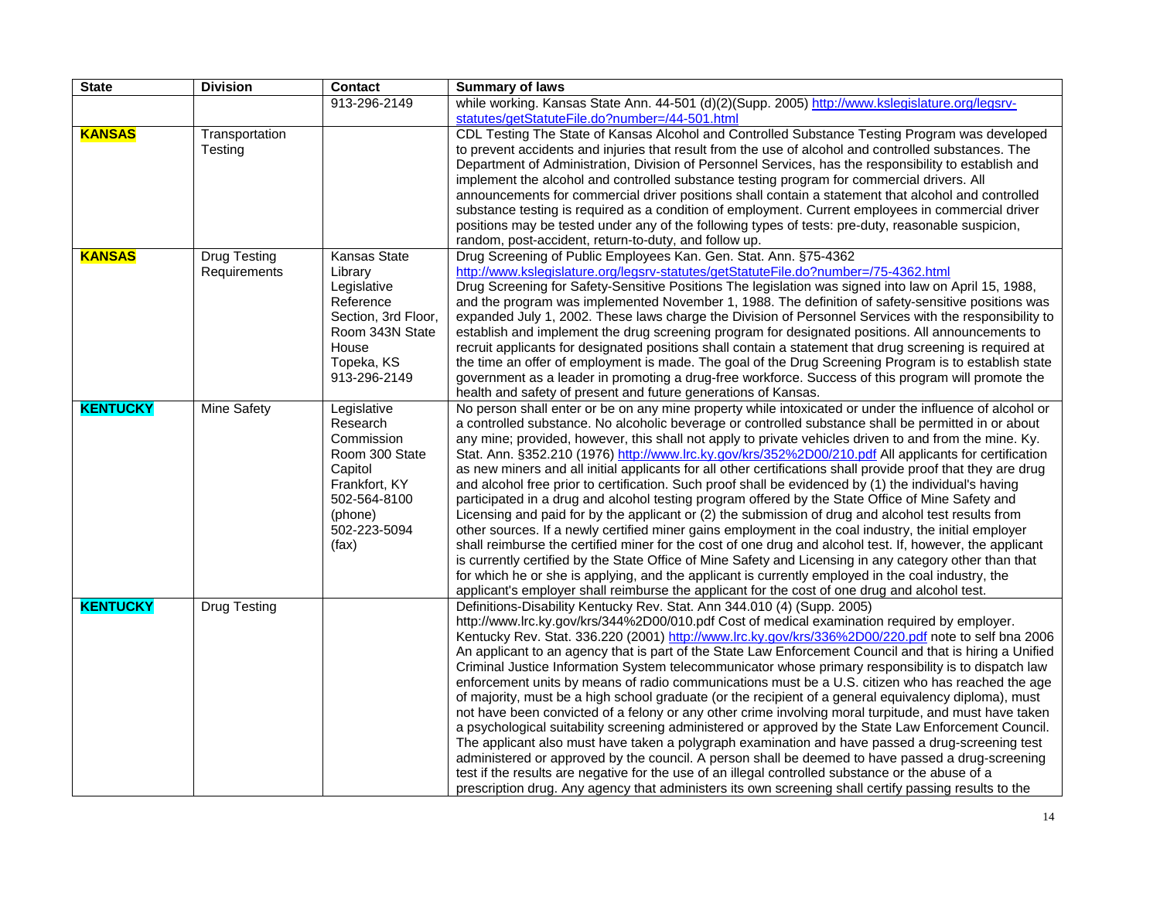| <b>State</b>    | <b>Division</b>     | <b>Contact</b>      | <b>Summary of laws</b>                                                                                       |
|-----------------|---------------------|---------------------|--------------------------------------------------------------------------------------------------------------|
|                 |                     | 913-296-2149        | while working. Kansas State Ann. 44-501 (d)(2)(Supp. 2005) http://www.kslegislature.org/legsrv-              |
|                 |                     |                     | statutes/getStatuteFile.do?number=/44-501.html                                                               |
| <b>KANSAS</b>   | Transportation      |                     | CDL Testing The State of Kansas Alcohol and Controlled Substance Testing Program was developed               |
|                 | Testing             |                     | to prevent accidents and injuries that result from the use of alcohol and controlled substances. The         |
|                 |                     |                     | Department of Administration, Division of Personnel Services, has the responsibility to establish and        |
|                 |                     |                     | implement the alcohol and controlled substance testing program for commercial drivers. All                   |
|                 |                     |                     | announcements for commercial driver positions shall contain a statement that alcohol and controlled          |
|                 |                     |                     | substance testing is required as a condition of employment. Current employees in commercial driver           |
|                 |                     |                     | positions may be tested under any of the following types of tests: pre-duty, reasonable suspicion,           |
|                 |                     |                     | random, post-accident, return-to-duty, and follow up.                                                        |
| <b>KANSAS</b>   | <b>Drug Testing</b> | Kansas State        | Drug Screening of Public Employees Kan. Gen. Stat. Ann. §75-4362                                             |
|                 | Requirements        | Library             | http://www.kslegislature.org/legsrv-statutes/getStatuteFile.do?number=/75-4362.html                          |
|                 |                     | Legislative         | Drug Screening for Safety-Sensitive Positions The legislation was signed into law on April 15, 1988,         |
|                 |                     | Reference           | and the program was implemented November 1, 1988. The definition of safety-sensitive positions was           |
|                 |                     | Section, 3rd Floor, | expanded July 1, 2002. These laws charge the Division of Personnel Services with the responsibility to       |
|                 |                     | Room 343N State     | establish and implement the drug screening program for designated positions. All announcements to            |
|                 |                     | House               | recruit applicants for designated positions shall contain a statement that drug screening is required at     |
|                 |                     | Topeka, KS          | the time an offer of employment is made. The goal of the Drug Screening Program is to establish state        |
|                 |                     | 913-296-2149        | government as a leader in promoting a drug-free workforce. Success of this program will promote the          |
|                 |                     |                     | health and safety of present and future generations of Kansas.                                               |
| <b>KENTUCKY</b> | <b>Mine Safety</b>  | Legislative         | No person shall enter or be on any mine property while intoxicated or under the influence of alcohol or      |
|                 |                     | Research            | a controlled substance. No alcoholic beverage or controlled substance shall be permitted in or about         |
|                 |                     | Commission          | any mine; provided, however, this shall not apply to private vehicles driven to and from the mine. Ky.       |
|                 |                     | Room 300 State      | Stat. Ann. §352.210 (1976) http://www.lrc.ky.gov/krs/352%2D00/210.pdf All applicants for certification       |
|                 |                     | Capitol             | as new miners and all initial applicants for all other certifications shall provide proof that they are drug |
|                 |                     | Frankfort, KY       | and alcohol free prior to certification. Such proof shall be evidenced by (1) the individual's having        |
|                 |                     | 502-564-8100        | participated in a drug and alcohol testing program offered by the State Office of Mine Safety and            |
|                 |                     | (phone)             | Licensing and paid for by the applicant or (2) the submission of drug and alcohol test results from          |
|                 |                     | 502-223-5094        | other sources. If a newly certified miner gains employment in the coal industry, the initial employer        |
|                 |                     | (fax)               | shall reimburse the certified miner for the cost of one drug and alcohol test. If, however, the applicant    |
|                 |                     |                     | is currently certified by the State Office of Mine Safety and Licensing in any category other than that      |
|                 |                     |                     | for which he or she is applying, and the applicant is currently employed in the coal industry, the           |
|                 |                     |                     | applicant's employer shall reimburse the applicant for the cost of one drug and alcohol test.                |
| <b>KENTUCKY</b> | <b>Drug Testing</b> |                     | Definitions-Disability Kentucky Rev. Stat. Ann 344.010 (4) (Supp. 2005)                                      |
|                 |                     |                     | http://www.lrc.ky.gov/krs/344%2D00/010.pdf Cost of medical examination required by employer.                 |
|                 |                     |                     | Kentucky Rev. Stat. 336.220 (2001) http://www.lrc.ky.gov/krs/336%2D00/220.pdf note to self bna 2006          |
|                 |                     |                     | An applicant to an agency that is part of the State Law Enforcement Council and that is hiring a Unified     |
|                 |                     |                     | Criminal Justice Information System telecommunicator whose primary responsibility is to dispatch law         |
|                 |                     |                     | enforcement units by means of radio communications must be a U.S. citizen who has reached the age            |
|                 |                     |                     | of majority, must be a high school graduate (or the recipient of a general equivalency diploma), must        |
|                 |                     |                     | not have been convicted of a felony or any other crime involving moral turpitude, and must have taken        |
|                 |                     |                     | a psychological suitability screening administered or approved by the State Law Enforcement Council.         |
|                 |                     |                     | The applicant also must have taken a polygraph examination and have passed a drug-screening test             |
|                 |                     |                     | administered or approved by the council. A person shall be deemed to have passed a drug-screening            |
|                 |                     |                     | test if the results are negative for the use of an illegal controlled substance or the abuse of a            |
|                 |                     |                     | prescription drug. Any agency that administers its own screening shall certify passing results to the        |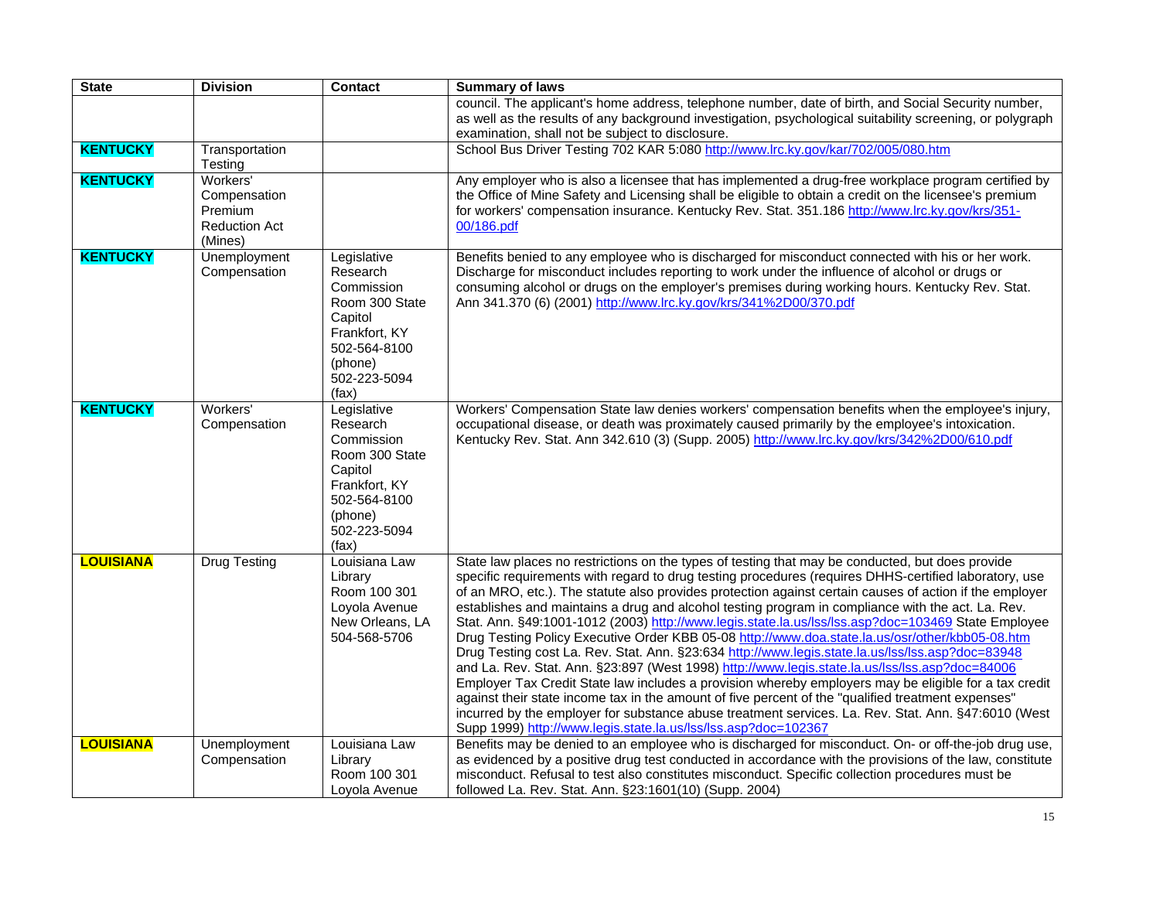| <b>State</b>     | <b>Division</b>                                                        | Contact                                                                                                                                 | <b>Summary of laws</b>                                                                                                                                                                                                                                                                                                                                                                                                                                                                                                                                                                                                                                                                                                                                                                                                                                                                                                                                                                                                                                                                                                                                                                                                           |
|------------------|------------------------------------------------------------------------|-----------------------------------------------------------------------------------------------------------------------------------------|----------------------------------------------------------------------------------------------------------------------------------------------------------------------------------------------------------------------------------------------------------------------------------------------------------------------------------------------------------------------------------------------------------------------------------------------------------------------------------------------------------------------------------------------------------------------------------------------------------------------------------------------------------------------------------------------------------------------------------------------------------------------------------------------------------------------------------------------------------------------------------------------------------------------------------------------------------------------------------------------------------------------------------------------------------------------------------------------------------------------------------------------------------------------------------------------------------------------------------|
|                  |                                                                        |                                                                                                                                         | council. The applicant's home address, telephone number, date of birth, and Social Security number,<br>as well as the results of any background investigation, psychological suitability screening, or polygraph<br>examination, shall not be subject to disclosure.                                                                                                                                                                                                                                                                                                                                                                                                                                                                                                                                                                                                                                                                                                                                                                                                                                                                                                                                                             |
| <b>KENTUCKY</b>  | Transportation<br>Testing                                              |                                                                                                                                         | School Bus Driver Testing 702 KAR 5:080 http://www.lrc.ky.gov/kar/702/005/080.htm                                                                                                                                                                                                                                                                                                                                                                                                                                                                                                                                                                                                                                                                                                                                                                                                                                                                                                                                                                                                                                                                                                                                                |
| <b>KENTUCKY</b>  | Workers'<br>Compensation<br>Premium<br><b>Reduction Act</b><br>(Mines) |                                                                                                                                         | Any employer who is also a licensee that has implemented a drug-free workplace program certified by<br>the Office of Mine Safety and Licensing shall be eligible to obtain a credit on the licensee's premium<br>for workers' compensation insurance. Kentucky Rev. Stat. 351.186 http://www.lrc.ky.gov/krs/351-<br>00/186.pdf                                                                                                                                                                                                                                                                                                                                                                                                                                                                                                                                                                                                                                                                                                                                                                                                                                                                                                   |
| <b>KENTUCKY</b>  | Unemployment<br>Compensation                                           | Legislative<br>Research<br>Commission<br>Room 300 State<br>Capitol<br>Frankfort, KY<br>502-564-8100<br>(phone)<br>502-223-5094<br>(fax) | Benefits benied to any employee who is discharged for misconduct connected with his or her work.<br>Discharge for misconduct includes reporting to work under the influence of alcohol or drugs or<br>consuming alcohol or drugs on the employer's premises during working hours. Kentucky Rev. Stat.<br>Ann 341.370 (6) (2001) http://www.lrc.ky.gov/krs/341%2D00/370.pdf                                                                                                                                                                                                                                                                                                                                                                                                                                                                                                                                                                                                                                                                                                                                                                                                                                                       |
| <b>KENTUCKY</b>  | Workers'<br>Compensation                                               | Legislative<br>Research<br>Commission<br>Room 300 State<br>Capitol<br>Frankfort, KY<br>502-564-8100<br>(phone)<br>502-223-5094<br>(fax) | Workers' Compensation State law denies workers' compensation benefits when the employee's injury,<br>occupational disease, or death was proximately caused primarily by the employee's intoxication.<br>Kentucky Rev. Stat. Ann 342.610 (3) (Supp. 2005) http://www.lrc.ky.gov/krs/342%2D00/610.pdf                                                                                                                                                                                                                                                                                                                                                                                                                                                                                                                                                                                                                                                                                                                                                                                                                                                                                                                              |
| <b>LOUISIANA</b> | <b>Drug Testing</b>                                                    | Louisiana Law<br>Library<br>Room 100 301<br>Loyola Avenue<br>New Orleans, LA<br>504-568-5706                                            | State law places no restrictions on the types of testing that may be conducted, but does provide<br>specific requirements with regard to drug testing procedures (requires DHHS-certified laboratory, use<br>of an MRO, etc.). The statute also provides protection against certain causes of action if the employer<br>establishes and maintains a drug and alcohol testing program in compliance with the act. La. Rev.<br>Stat. Ann. §49:1001-1012 (2003) http://www.legis.state.la.us/lss/lss.asp?doc=103469 State Employee<br>Drug Testing Policy Executive Order KBB 05-08 http://www.doa.state.la.us/osr/other/kbb05-08.htm<br>Drug Testing cost La. Rev. Stat. Ann. §23:634 http://www.legis.state.la.us/lss/lss.asp?doc=83948<br>and La. Rev. Stat. Ann. §23:897 (West 1998) http://www.legis.state.la.us/lss/lss.asp?doc=84006<br>Employer Tax Credit State law includes a provision whereby employers may be eligible for a tax credit<br>against their state income tax in the amount of five percent of the "qualified treatment expenses"<br>incurred by the employer for substance abuse treatment services. La. Rev. Stat. Ann. §47:6010 (West<br>Supp 1999) http://www.legis.state.la.us/lss/lss.asp?doc=102367 |
| <b>LOUISIANA</b> | Unemployment<br>Compensation                                           | Louisiana Law<br>Library<br>Room 100 301<br>Loyola Avenue                                                                               | Benefits may be denied to an employee who is discharged for misconduct. On- or off-the-job drug use,<br>as evidenced by a positive drug test conducted in accordance with the provisions of the law, constitute<br>misconduct. Refusal to test also constitutes misconduct. Specific collection procedures must be<br>followed La. Rev. Stat. Ann. §23:1601(10) (Supp. 2004)                                                                                                                                                                                                                                                                                                                                                                                                                                                                                                                                                                                                                                                                                                                                                                                                                                                     |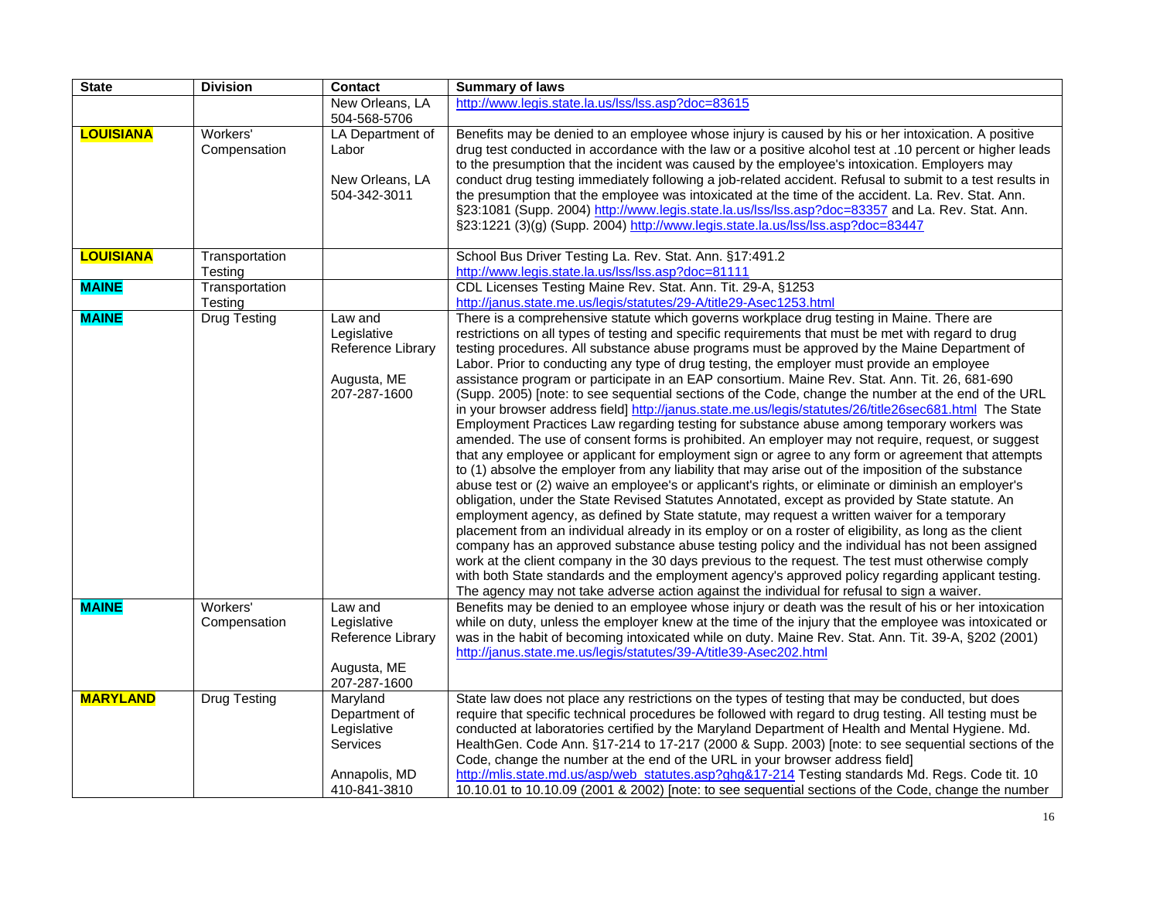| <b>State</b>     | <b>Division</b>           | Contact                                                                                      | <b>Summary of laws</b>                                                                                                                                                                                                                                                                                                                                                                                                                                                                                                                                                                                                                                                                                                                                                                                                                                                                                                                                                                                                                                                                                                                                                                                                                                                                                                                                                                                                                                                                                                                                                                                                                                                                                                                                                                                                                                                                                                                                               |
|------------------|---------------------------|----------------------------------------------------------------------------------------------|----------------------------------------------------------------------------------------------------------------------------------------------------------------------------------------------------------------------------------------------------------------------------------------------------------------------------------------------------------------------------------------------------------------------------------------------------------------------------------------------------------------------------------------------------------------------------------------------------------------------------------------------------------------------------------------------------------------------------------------------------------------------------------------------------------------------------------------------------------------------------------------------------------------------------------------------------------------------------------------------------------------------------------------------------------------------------------------------------------------------------------------------------------------------------------------------------------------------------------------------------------------------------------------------------------------------------------------------------------------------------------------------------------------------------------------------------------------------------------------------------------------------------------------------------------------------------------------------------------------------------------------------------------------------------------------------------------------------------------------------------------------------------------------------------------------------------------------------------------------------------------------------------------------------------------------------------------------------|
|                  |                           | New Orleans, LA<br>504-568-5706                                                              | http://www.legis.state.la.us/lss/lss.asp?doc=83615                                                                                                                                                                                                                                                                                                                                                                                                                                                                                                                                                                                                                                                                                                                                                                                                                                                                                                                                                                                                                                                                                                                                                                                                                                                                                                                                                                                                                                                                                                                                                                                                                                                                                                                                                                                                                                                                                                                   |
| <b>LOUISIANA</b> | Workers'<br>Compensation  | LA Department of<br>Labor<br>New Orleans, LA<br>504-342-3011                                 | Benefits may be denied to an employee whose injury is caused by his or her intoxication. A positive<br>drug test conducted in accordance with the law or a positive alcohol test at .10 percent or higher leads<br>to the presumption that the incident was caused by the employee's intoxication. Employers may<br>conduct drug testing immediately following a job-related accident. Refusal to submit to a test results in<br>the presumption that the employee was intoxicated at the time of the accident. La. Rev. Stat. Ann.<br>§23:1081 (Supp. 2004) http://www.legis.state.la.us/lss/lss.asp?doc=83357 and La. Rev. Stat. Ann.<br>§23:1221 (3)(g) (Supp. 2004) http://www.legis.state.la.us/lss/lss.asp?doc=83447                                                                                                                                                                                                                                                                                                                                                                                                                                                                                                                                                                                                                                                                                                                                                                                                                                                                                                                                                                                                                                                                                                                                                                                                                                           |
| <b>LOUISIANA</b> | Transportation<br>Testing |                                                                                              | School Bus Driver Testing La. Rev. Stat. Ann. §17:491.2<br>http://www.legis.state.la.us/lss/lss.asp?doc=81111                                                                                                                                                                                                                                                                                                                                                                                                                                                                                                                                                                                                                                                                                                                                                                                                                                                                                                                                                                                                                                                                                                                                                                                                                                                                                                                                                                                                                                                                                                                                                                                                                                                                                                                                                                                                                                                        |
| <b>MAINE</b>     | Transportation<br>Testing |                                                                                              | CDL Licenses Testing Maine Rev. Stat. Ann. Tit. 29-A, §1253<br>http://janus.state.me.us/legis/statutes/29-A/title29-Asec1253.html                                                                                                                                                                                                                                                                                                                                                                                                                                                                                                                                                                                                                                                                                                                                                                                                                                                                                                                                                                                                                                                                                                                                                                                                                                                                                                                                                                                                                                                                                                                                                                                                                                                                                                                                                                                                                                    |
| <b>MAINE</b>     | <b>Drug Testing</b>       | Law and<br>Legislative<br>Reference Library<br>Augusta, ME<br>207-287-1600                   | There is a comprehensive statute which governs workplace drug testing in Maine. There are<br>restrictions on all types of testing and specific requirements that must be met with regard to drug<br>testing procedures. All substance abuse programs must be approved by the Maine Department of<br>Labor. Prior to conducting any type of drug testing, the employer must provide an employee<br>assistance program or participate in an EAP consortium. Maine Rev. Stat. Ann. Tit. 26, 681-690<br>(Supp. 2005) [note: to see sequential sections of the Code, change the number at the end of the URL<br>in your browser address field] http://janus.state.me.us/legis/statutes/26/title26sec681.html The State<br>Employment Practices Law regarding testing for substance abuse among temporary workers was<br>amended. The use of consent forms is prohibited. An employer may not require, request, or suggest<br>that any employee or applicant for employment sign or agree to any form or agreement that attempts<br>to (1) absolve the employer from any liability that may arise out of the imposition of the substance<br>abuse test or (2) waive an employee's or applicant's rights, or eliminate or diminish an employer's<br>obligation, under the State Revised Statutes Annotated, except as provided by State statute. An<br>employment agency, as defined by State statute, may request a written waiver for a temporary<br>placement from an individual already in its employ or on a roster of eligibility, as long as the client<br>company has an approved substance abuse testing policy and the individual has not been assigned<br>work at the client company in the 30 days previous to the request. The test must otherwise comply<br>with both State standards and the employment agency's approved policy regarding applicant testing.<br>The agency may not take adverse action against the individual for refusal to sign a waiver. |
| <b>MAINE</b>     | Workers'<br>Compensation  | Law and<br>Legislative<br>Reference Library<br>Augusta, ME<br>207-287-1600                   | Benefits may be denied to an employee whose injury or death was the result of his or her intoxication<br>while on duty, unless the employer knew at the time of the injury that the employee was intoxicated or<br>was in the habit of becoming intoxicated while on duty. Maine Rev. Stat. Ann. Tit. 39-A, §202 (2001)<br>http://ianus.state.me.us/legis/statutes/39-A/title39-Asec202.html                                                                                                                                                                                                                                                                                                                                                                                                                                                                                                                                                                                                                                                                                                                                                                                                                                                                                                                                                                                                                                                                                                                                                                                                                                                                                                                                                                                                                                                                                                                                                                         |
| <b>MARYLAND</b>  | <b>Drug Testing</b>       | Maryland<br>Department of<br>Legislative<br><b>Services</b><br>Annapolis, MD<br>410-841-3810 | State law does not place any restrictions on the types of testing that may be conducted, but does<br>require that specific technical procedures be followed with regard to drug testing. All testing must be<br>conducted at laboratories certified by the Maryland Department of Health and Mental Hygiene. Md.<br>HealthGen. Code Ann. §17-214 to 17-217 (2000 & Supp. 2003) [note: to see sequential sections of the<br>Code, change the number at the end of the URL in your browser address field]<br>http://mlis.state.md.us/asp/web_statutes.asp?ghg&17-214 Testing standards Md. Regs. Code tit. 10<br>10.10.01 to 10.10.09 (2001 & 2002) [note: to see sequential sections of the Code, change the number                                                                                                                                                                                                                                                                                                                                                                                                                                                                                                                                                                                                                                                                                                                                                                                                                                                                                                                                                                                                                                                                                                                                                                                                                                                   |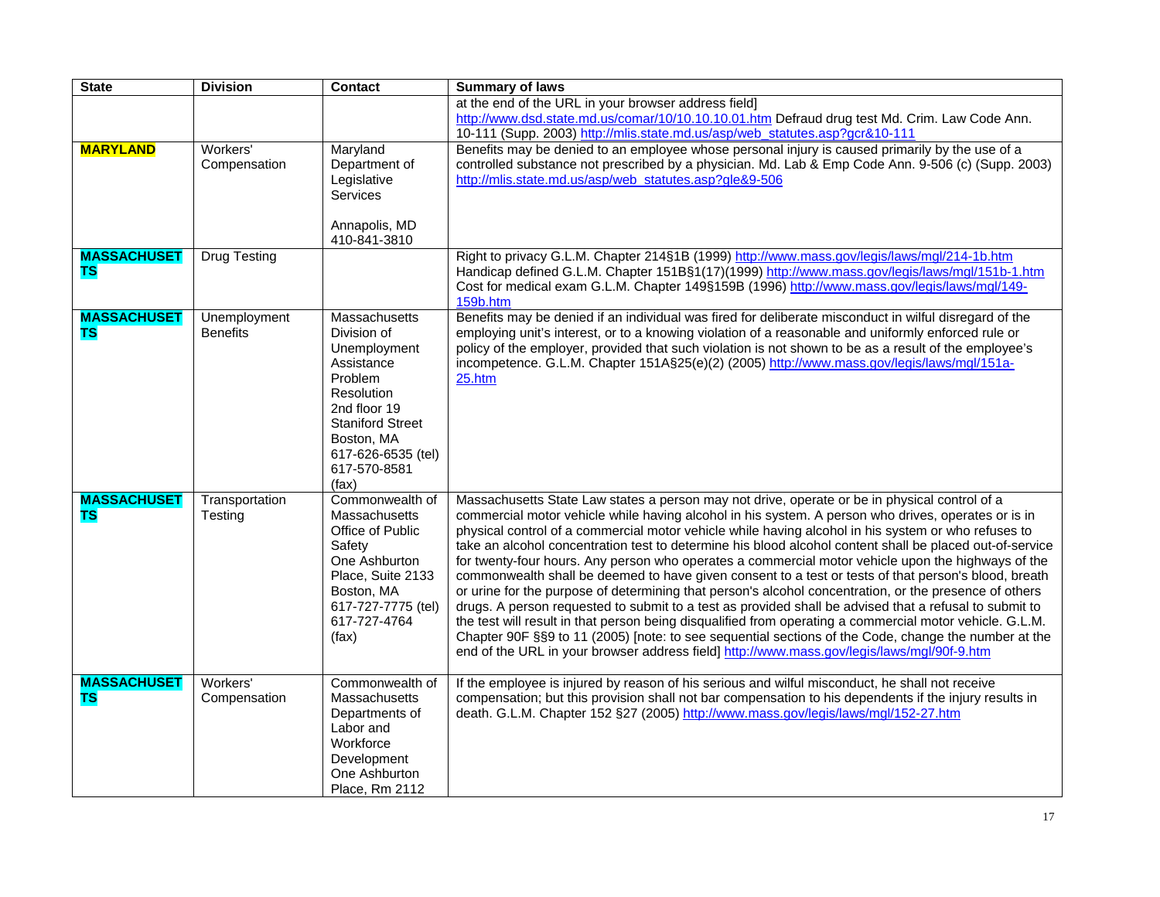| <b>State</b>                    | <b>Division</b>                 | <b>Contact</b>                                                                                                                                                                                     | <b>Summary of laws</b>                                                                                                                                                                                                                                                                                                                                                                                                                                                                                                                                                                                                                                                                                                                                                                                                                                                                                                                                                                                                                                                                                                                                                      |
|---------------------------------|---------------------------------|----------------------------------------------------------------------------------------------------------------------------------------------------------------------------------------------------|-----------------------------------------------------------------------------------------------------------------------------------------------------------------------------------------------------------------------------------------------------------------------------------------------------------------------------------------------------------------------------------------------------------------------------------------------------------------------------------------------------------------------------------------------------------------------------------------------------------------------------------------------------------------------------------------------------------------------------------------------------------------------------------------------------------------------------------------------------------------------------------------------------------------------------------------------------------------------------------------------------------------------------------------------------------------------------------------------------------------------------------------------------------------------------|
|                                 |                                 |                                                                                                                                                                                                    | at the end of the URL in your browser address field]<br>http://www.dsd.state.md.us/comar/10/10.10.10.01.htm Defraud drug test Md. Crim. Law Code Ann.<br>10-111 (Supp. 2003) http://mlis.state.md.us/asp/web_statutes.asp?gcr&10-111                                                                                                                                                                                                                                                                                                                                                                                                                                                                                                                                                                                                                                                                                                                                                                                                                                                                                                                                        |
| <b>MARYLAND</b>                 | Workers'<br>Compensation        | Maryland<br>Department of<br>Legislative<br>Services<br>Annapolis, MD<br>410-841-3810                                                                                                              | Benefits may be denied to an employee whose personal injury is caused primarily by the use of a<br>controlled substance not prescribed by a physician. Md. Lab & Emp Code Ann. 9-506 (c) (Supp. 2003)<br>http://mlis.state.md.us/asp/web_statutes.asp?gle&9-506                                                                                                                                                                                                                                                                                                                                                                                                                                                                                                                                                                                                                                                                                                                                                                                                                                                                                                             |
| <b>MASSACHUSET</b><br><b>TS</b> | <b>Drug Testing</b>             |                                                                                                                                                                                                    | Right to privacy G.L.M. Chapter 214§1B (1999) http://www.mass.gov/legis/laws/mgl/214-1b.htm<br>Handicap defined G.L.M. Chapter 151B§1(17)(1999) http://www.mass.gov/legis/laws/mgl/151b-1.htm<br>Cost for medical exam G.L.M. Chapter 149§159B (1996) http://www.mass.gov/legis/laws/mgl/149-<br>159b.htm                                                                                                                                                                                                                                                                                                                                                                                                                                                                                                                                                                                                                                                                                                                                                                                                                                                                   |
| <b>MASSACHUSET</b><br><b>TS</b> | Unemployment<br><b>Benefits</b> | Massachusetts<br>Division of<br>Unemployment<br>Assistance<br>Problem<br><b>Resolution</b><br>2nd floor 19<br><b>Staniford Street</b><br>Boston, MA<br>617-626-6535 (tel)<br>617-570-8581<br>(fax) | Benefits may be denied if an individual was fired for deliberate misconduct in wilful disregard of the<br>employing unit's interest, or to a knowing violation of a reasonable and uniformly enforced rule or<br>policy of the employer, provided that such violation is not shown to be as a result of the employee's<br>incompetence. G.L.M. Chapter 151A§25(e)(2) (2005) http://www.mass.gov/legis/laws/mgl/151a-<br>25.htm                                                                                                                                                                                                                                                                                                                                                                                                                                                                                                                                                                                                                                                                                                                                              |
| <b>MASSACHUSET</b><br><b>TS</b> | Transportation<br>Testing       | Commonwealth of<br>Massachusetts<br>Office of Public<br>Safety<br>One Ashburton<br>Place, Suite 2133<br>Boston, MA<br>617-727-7775 (tel)<br>617-727-4764<br>(fax)                                  | Massachusetts State Law states a person may not drive, operate or be in physical control of a<br>commercial motor vehicle while having alcohol in his system. A person who drives, operates or is in<br>physical control of a commercial motor vehicle while having alcohol in his system or who refuses to<br>take an alcohol concentration test to determine his blood alcohol content shall be placed out-of-service<br>for twenty-four hours. Any person who operates a commercial motor vehicle upon the highways of the<br>commonwealth shall be deemed to have given consent to a test or tests of that person's blood, breath<br>or urine for the purpose of determining that person's alcohol concentration, or the presence of others<br>drugs. A person requested to submit to a test as provided shall be advised that a refusal to submit to<br>the test will result in that person being disqualified from operating a commercial motor vehicle. G.L.M.<br>Chapter 90F §§9 to 11 (2005) [note: to see sequential sections of the Code, change the number at the<br>end of the URL in your browser address field] http://www.mass.gov/legis/laws/mgl/90f-9.htm |
| <b>MASSACHUSET</b><br><b>TS</b> | Workers'<br>Compensation        | Commonwealth of<br>Massachusetts<br>Departments of<br>Labor and<br>Workforce<br>Development<br>One Ashburton<br>Place, Rm 2112                                                                     | If the employee is injured by reason of his serious and wilful misconduct, he shall not receive<br>compensation; but this provision shall not bar compensation to his dependents if the injury results in<br>death. G.L.M. Chapter 152 §27 (2005) http://www.mass.gov/legis/laws/mgl/152-27.htm                                                                                                                                                                                                                                                                                                                                                                                                                                                                                                                                                                                                                                                                                                                                                                                                                                                                             |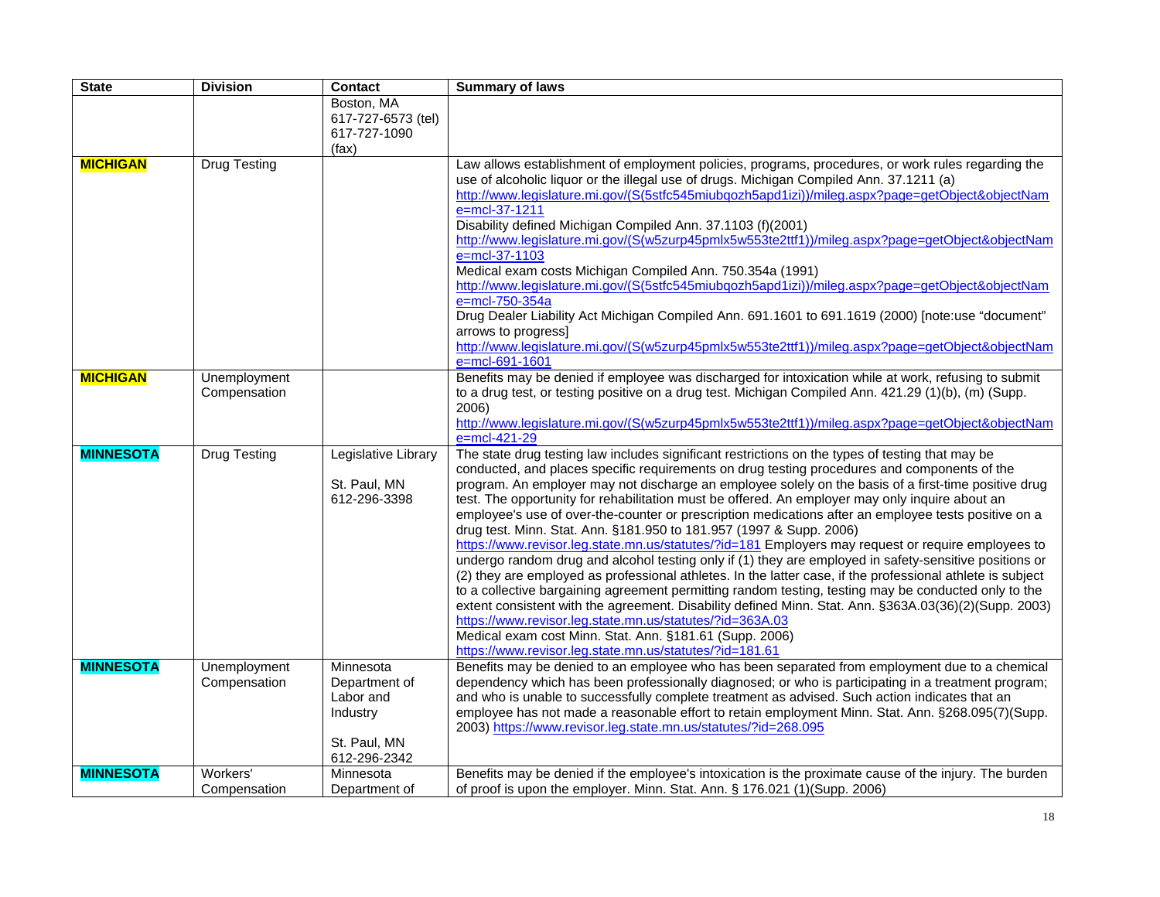| <b>State</b>     | <b>Division</b>              | Contact                                                                             | <b>Summary of laws</b>                                                                                                                                                                                                                                                                                                                                                                                                                                                                                                                                                                                                                                                                                                                                                                                                                                                                                                                                                                                                                                                                                                                                                                                                                                                                                                      |
|------------------|------------------------------|-------------------------------------------------------------------------------------|-----------------------------------------------------------------------------------------------------------------------------------------------------------------------------------------------------------------------------------------------------------------------------------------------------------------------------------------------------------------------------------------------------------------------------------------------------------------------------------------------------------------------------------------------------------------------------------------------------------------------------------------------------------------------------------------------------------------------------------------------------------------------------------------------------------------------------------------------------------------------------------------------------------------------------------------------------------------------------------------------------------------------------------------------------------------------------------------------------------------------------------------------------------------------------------------------------------------------------------------------------------------------------------------------------------------------------|
|                  |                              | Boston, MA<br>617-727-6573 (tel)<br>617-727-1090<br>(fax)                           |                                                                                                                                                                                                                                                                                                                                                                                                                                                                                                                                                                                                                                                                                                                                                                                                                                                                                                                                                                                                                                                                                                                                                                                                                                                                                                                             |
| <b>MICHIGAN</b>  | <b>Drug Testing</b>          |                                                                                     | Law allows establishment of employment policies, programs, procedures, or work rules regarding the<br>use of alcoholic liquor or the illegal use of drugs. Michigan Compiled Ann. 37.1211 (a)<br>http://www.legislature.mi.gov/(S(5stfc545miubqozh5apd1izi))/mileg.aspx?page=getObject&objectNam<br>e=mcl-37-1211<br>Disability defined Michigan Compiled Ann. 37.1103 (f)(2001)<br>http://www.legislature.mi.gov/(S(w5zurp45pmlx5w553te2ttf1))/mileg.aspx?page=getObject&objectNam<br>e=mcl-37-1103<br>Medical exam costs Michigan Compiled Ann. 750.354a (1991)<br>http://www.legislature.mi.gov/(S(5stfc545miubqozh5apd1izi))/mileg.aspx?page=getObject&objectNam<br>e=mcl-750-354a<br>Drug Dealer Liability Act Michigan Compiled Ann. 691.1601 to 691.1619 (2000) [note:use "document"<br>arrows to progress]<br>http://www.legislature.mi.gov/(S(w5zurp45pmlx5w553te2ttf1))/mileg.aspx?page=getObject&objectNam<br>e=mcl-691-1601                                                                                                                                                                                                                                                                                                                                                                                     |
| <b>MICHIGAN</b>  | Unemployment<br>Compensation |                                                                                     | Benefits may be denied if employee was discharged for intoxication while at work, refusing to submit<br>to a drug test, or testing positive on a drug test. Michigan Compiled Ann. 421.29 (1)(b), (m) (Supp.<br>2006)<br>http://www.legislature.mi.gov/(S(w5zurp45pmlx5w553te2ttf1))/mileg.aspx?page=getObject&objectNam<br>e=mcl-421-29                                                                                                                                                                                                                                                                                                                                                                                                                                                                                                                                                                                                                                                                                                                                                                                                                                                                                                                                                                                    |
| <b>MINNESOTA</b> | <b>Drug Testing</b>          | Legislative Library<br>St. Paul, MN<br>612-296-3398                                 | The state drug testing law includes significant restrictions on the types of testing that may be<br>conducted, and places specific requirements on drug testing procedures and components of the<br>program. An employer may not discharge an employee solely on the basis of a first-time positive drug<br>test. The opportunity for rehabilitation must be offered. An employer may only inquire about an<br>employee's use of over-the-counter or prescription medications after an employee tests positive on a<br>drug test. Minn. Stat. Ann. §181.950 to 181.957 (1997 & Supp. 2006)<br>https://www.revisor.leg.state.mn.us/statutes/?id=181 Employers may request or require employees to<br>undergo random drug and alcohol testing only if (1) they are employed in safety-sensitive positions or<br>(2) they are employed as professional athletes. In the latter case, if the professional athlete is subject<br>to a collective bargaining agreement permitting random testing, testing may be conducted only to the<br>extent consistent with the agreement. Disability defined Minn. Stat. Ann. §363A.03(36)(2)(Supp. 2003)<br>https://www.revisor.leg.state.mn.us/statutes/?id=363A.03<br>Medical exam cost Minn. Stat. Ann. §181.61 (Supp. 2006)<br>https://www.revisor.leg.state.mn.us/statutes/?id=181.61 |
| <b>MINNESOTA</b> | Unemployment<br>Compensation | Minnesota<br>Department of<br>Labor and<br>Industry<br>St. Paul, MN<br>612-296-2342 | Benefits may be denied to an employee who has been separated from employment due to a chemical<br>dependency which has been professionally diagnosed; or who is participating in a treatment program;<br>and who is unable to successfully complete treatment as advised. Such action indicates that an<br>employee has not made a reasonable effort to retain employment Minn. Stat. Ann. §268.095(7)(Supp.<br>2003) https://www.revisor.leg.state.mn.us/statutes/?id=268.095                                                                                                                                                                                                                                                                                                                                                                                                                                                                                                                                                                                                                                                                                                                                                                                                                                              |
| <b>MINNESOTA</b> | Workers'<br>Compensation     | Minnesota<br>Department of                                                          | Benefits may be denied if the employee's intoxication is the proximate cause of the injury. The burden<br>of proof is upon the employer. Minn. Stat. Ann. § 176.021 (1)(Supp. 2006)                                                                                                                                                                                                                                                                                                                                                                                                                                                                                                                                                                                                                                                                                                                                                                                                                                                                                                                                                                                                                                                                                                                                         |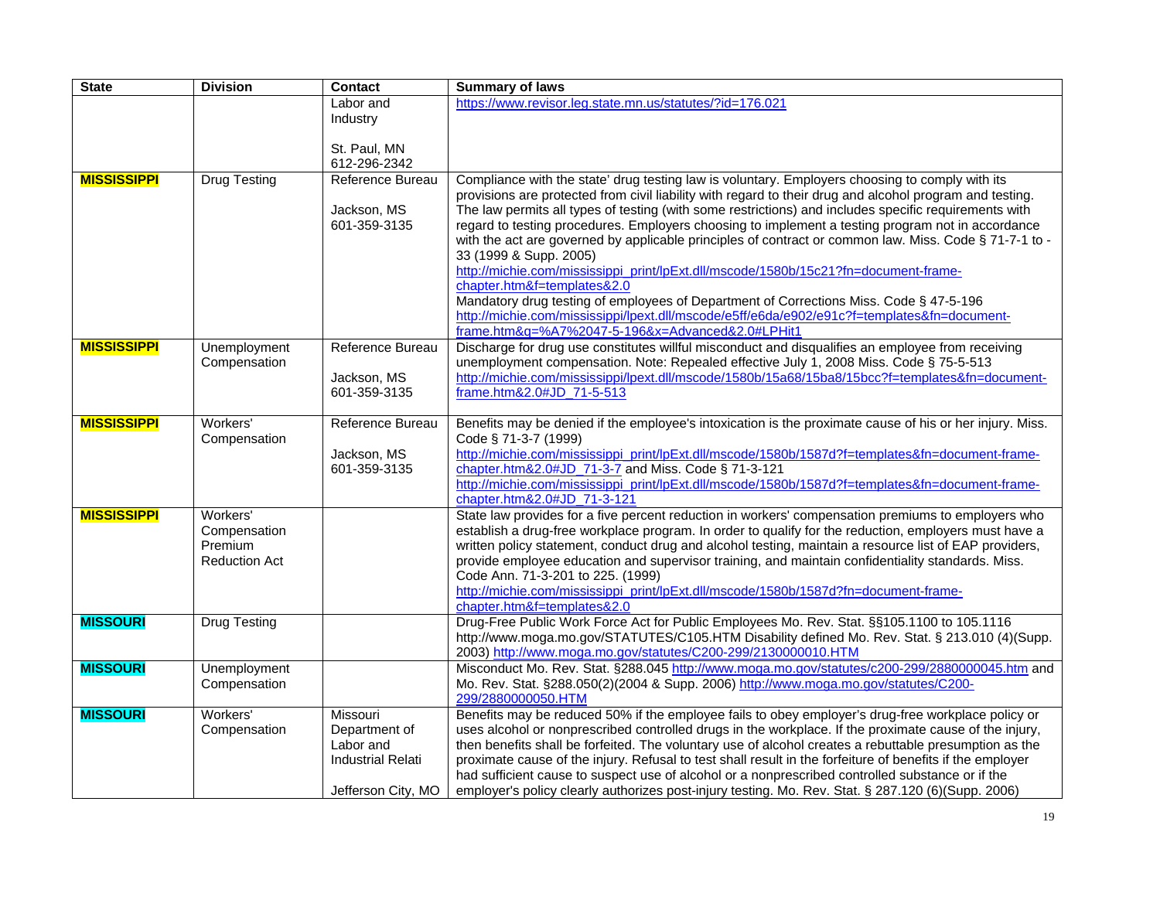| <b>State</b>       | <b>Division</b>         | <b>Contact</b>           | <b>Summary of laws</b>                                                                                                                                                                                      |
|--------------------|-------------------------|--------------------------|-------------------------------------------------------------------------------------------------------------------------------------------------------------------------------------------------------------|
|                    |                         | Labor and                | https://www.revisor.leg.state.mn.us/statutes/?id=176.021                                                                                                                                                    |
|                    |                         | Industry                 |                                                                                                                                                                                                             |
|                    |                         |                          |                                                                                                                                                                                                             |
|                    |                         | St. Paul, MN             |                                                                                                                                                                                                             |
|                    |                         | 612-296-2342             |                                                                                                                                                                                                             |
| <b>MISSISSIPPI</b> | <b>Drug Testing</b>     | Reference Bureau         | Compliance with the state' drug testing law is voluntary. Employers choosing to comply with its<br>provisions are protected from civil liability with regard to their drug and alcohol program and testing. |
|                    |                         | Jackson, MS              | The law permits all types of testing (with some restrictions) and includes specific requirements with                                                                                                       |
|                    |                         | 601-359-3135             | regard to testing procedures. Employers choosing to implement a testing program not in accordance                                                                                                           |
|                    |                         |                          | with the act are governed by applicable principles of contract or common law. Miss. Code § 71-7-1 to -<br>33 (1999 & Supp. 2005)                                                                            |
|                    |                         |                          | http://michie.com/mississippi_print/lpExt.dll/mscode/1580b/15c21?fn=document-frame-                                                                                                                         |
|                    |                         |                          | chapter.htm&f=templates&2.0                                                                                                                                                                                 |
|                    |                         |                          | Mandatory drug testing of employees of Department of Corrections Miss. Code § 47-5-196                                                                                                                      |
|                    |                         |                          | http://michie.com/mississippi/lpext.dll/mscode/e5ff/e6da/e902/e91c?f=templates&fn=document-                                                                                                                 |
|                    |                         |                          | frame.htm&q=%A7%2047-5-196&x=Advanced&2.0#LPHit1                                                                                                                                                            |
| <b>MISSISSIPPI</b> | Unemployment            | Reference Bureau         | Discharge for drug use constitutes willful misconduct and disqualifies an employee from receiving<br>unemployment compensation. Note: Repealed effective July 1, 2008 Miss. Code § 75-5-513                 |
|                    | Compensation            | Jackson, MS              | http://michie.com/mississippi/lpext.dll/mscode/1580b/15a68/15ba8/15bcc?f=templates&fn=document-                                                                                                             |
|                    |                         | 601-359-3135             | frame.htm&2.0#JD_71-5-513                                                                                                                                                                                   |
|                    |                         |                          |                                                                                                                                                                                                             |
| <b>MISSISSIPPI</b> | Workers'                | Reference Bureau         | Benefits may be denied if the employee's intoxication is the proximate cause of his or her injury. Miss.                                                                                                    |
|                    | Compensation            |                          | Code § 71-3-7 (1999)                                                                                                                                                                                        |
|                    |                         | Jackson, MS              | http://michie.com/mississippi_print/lpExt.dll/mscode/1580b/1587d?f=templates&fn=document-frame-                                                                                                             |
|                    |                         | 601-359-3135             | chapter.htm&2.0#JD 71-3-7 and Miss. Code § 71-3-121                                                                                                                                                         |
|                    |                         |                          | http://michie.com/mississippi_print/lpExt.dll/mscode/1580b/1587d?f=templates&fn=document-frame-                                                                                                             |
|                    |                         |                          | chapter.htm&2.0#JD 71-3-121                                                                                                                                                                                 |
| <b>MISSISSIPPI</b> | Workers'                |                          | State law provides for a five percent reduction in workers' compensation premiums to employers who<br>establish a drug-free workplace program. In order to qualify for the reduction, employers must have a |
|                    | Compensation<br>Premium |                          | written policy statement, conduct drug and alcohol testing, maintain a resource list of EAP providers,                                                                                                      |
|                    | <b>Reduction Act</b>    |                          | provide employee education and supervisor training, and maintain confidentiality standards. Miss.                                                                                                           |
|                    |                         |                          | Code Ann. 71-3-201 to 225. (1999)                                                                                                                                                                           |
|                    |                         |                          | http://michie.com/mississippi_print/lpExt.dll/mscode/1580b/1587d?fn=document-frame-                                                                                                                         |
|                    |                         |                          | chapter.htm&f=templates&2.0                                                                                                                                                                                 |
| <b>MISSOURI</b>    | <b>Drug Testing</b>     |                          | Drug-Free Public Work Force Act for Public Employees Mo. Rev. Stat. §§105.1100 to 105.1116                                                                                                                  |
|                    |                         |                          | http://www.moga.mo.gov/STATUTES/C105.HTM Disability defined Mo. Rev. Stat. § 213.010 (4)(Supp.                                                                                                              |
|                    |                         |                          | 2003) http://www.moga.mo.gov/statutes/C200-299/2130000010.HTM                                                                                                                                               |
| <b>MISSOURI</b>    | Unemployment            |                          | Misconduct Mo. Rev. Stat. §288.045 http://www.moga.mo.gov/statutes/c200-299/2880000045.htm and                                                                                                              |
|                    | Compensation            |                          | Mo. Rev. Stat. §288.050(2)(2004 & Supp. 2006) http://www.moga.mo.gov/statutes/C200-<br>299/2880000050.HTM                                                                                                   |
| <b>MISSOURI</b>    | Workers'                | Missouri                 | Benefits may be reduced 50% if the employee fails to obey employer's drug-free workplace policy or                                                                                                          |
|                    | Compensation            | Department of            | uses alcohol or nonprescribed controlled drugs in the workplace. If the proximate cause of the injury,                                                                                                      |
|                    |                         | Labor and                | then benefits shall be forfeited. The voluntary use of alcohol creates a rebuttable presumption as the                                                                                                      |
|                    |                         | <b>Industrial Relati</b> | proximate cause of the injury. Refusal to test shall result in the forfeiture of benefits if the employer                                                                                                   |
|                    |                         |                          | had sufficient cause to suspect use of alcohol or a nonprescribed controlled substance or if the                                                                                                            |
|                    |                         | Jefferson City, MO       | employer's policy clearly authorizes post-injury testing. Mo. Rev. Stat. § 287.120 (6)(Supp. 2006)                                                                                                          |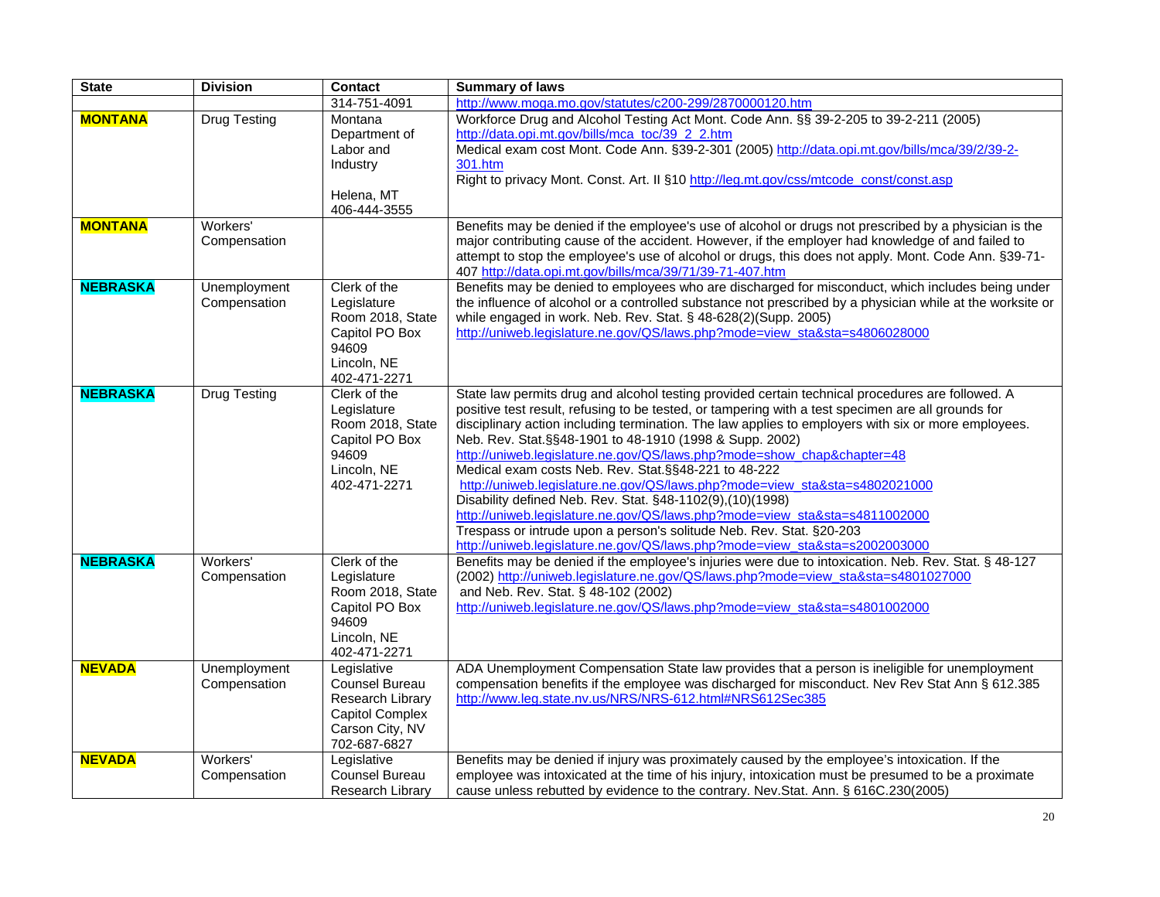| <b>State</b>    | <b>Division</b>              | <b>Contact</b>                                                                                            | <b>Summary of laws</b>                                                                                                                                                                                                                                                                                                                                                                                                                                                                                                                                                                                                                                                                                                                                                                                                                                                                     |
|-----------------|------------------------------|-----------------------------------------------------------------------------------------------------------|--------------------------------------------------------------------------------------------------------------------------------------------------------------------------------------------------------------------------------------------------------------------------------------------------------------------------------------------------------------------------------------------------------------------------------------------------------------------------------------------------------------------------------------------------------------------------------------------------------------------------------------------------------------------------------------------------------------------------------------------------------------------------------------------------------------------------------------------------------------------------------------------|
|                 |                              | 314-751-4091                                                                                              | http://www.moga.mo.gov/statutes/c200-299/2870000120.htm                                                                                                                                                                                                                                                                                                                                                                                                                                                                                                                                                                                                                                                                                                                                                                                                                                    |
| <b>MONTANA</b>  | <b>Drug Testing</b>          | Montana<br>Department of<br>Labor and<br>Industry<br>Helena, MT<br>406-444-3555                           | Workforce Drug and Alcohol Testing Act Mont. Code Ann. §§ 39-2-205 to 39-2-211 (2005)<br>http://data.opi.mt.gov/bills/mca_toc/39_2_2.htm<br>Medical exam cost Mont. Code Ann. §39-2-301 (2005) http://data.opi.mt.gov/bills/mca/39/2/39-2-<br>301.htm<br>Right to privacy Mont. Const. Art. II §10 http://leg.mt.gov/css/mtcode_const/const.asp                                                                                                                                                                                                                                                                                                                                                                                                                                                                                                                                            |
| <b>MONTANA</b>  | Workers'<br>Compensation     |                                                                                                           | Benefits may be denied if the employee's use of alcohol or drugs not prescribed by a physician is the<br>major contributing cause of the accident. However, if the employer had knowledge of and failed to<br>attempt to stop the employee's use of alcohol or drugs, this does not apply. Mont. Code Ann. §39-71-<br>407 http://data.opi.mt.gov/bills/mca/39/71/39-71-407.htm                                                                                                                                                                                                                                                                                                                                                                                                                                                                                                             |
| <b>NEBRASKA</b> | Unemployment<br>Compensation | Clerk of the<br>Legislature<br>Room 2018, State<br>Capitol PO Box<br>94609<br>Lincoln, NE<br>402-471-2271 | Benefits may be denied to employees who are discharged for misconduct, which includes being under<br>the influence of alcohol or a controlled substance not prescribed by a physician while at the worksite or<br>while engaged in work. Neb. Rev. Stat. § 48-628(2)(Supp. 2005)<br>http://uniweb.legislature.ne.gov/QS/laws.php?mode=view_sta&sta=s4806028000                                                                                                                                                                                                                                                                                                                                                                                                                                                                                                                             |
| <b>NEBRASKA</b> | <b>Drug Testing</b>          | Clerk of the<br>Legislature<br>Room 2018, State<br>Capitol PO Box<br>94609<br>Lincoln, NE<br>402-471-2271 | State law permits drug and alcohol testing provided certain technical procedures are followed. A<br>positive test result, refusing to be tested, or tampering with a test specimen are all grounds for<br>disciplinary action including termination. The law applies to employers with six or more employees.<br>Neb. Rev. Stat.§§48-1901 to 48-1910 (1998 & Supp. 2002)<br>http://uniweb.legislature.ne.gov/QS/laws.php?mode=show_chap&chapter=48<br>Medical exam costs Neb. Rev. Stat. §§48-221 to 48-222<br>http://uniweb.legislature.ne.gov/QS/laws.php?mode=view_sta&sta=s4802021000<br>Disability defined Neb. Rev. Stat. §48-1102(9),(10)(1998)<br>http://uniweb.legislature.ne.gov/QS/laws.php?mode=view_sta&sta=s4811002000<br>Trespass or intrude upon a person's solitude Neb. Rev. Stat. §20-203<br>http://uniweb.legislature.ne.gov/QS/laws.php?mode=view_sta&sta=s2002003000 |
| <b>NEBRASKA</b> | Workers'<br>Compensation     | Clerk of the<br>Legislature<br>Room 2018, State<br>Capitol PO Box<br>94609<br>Lincoln, NE<br>402-471-2271 | Benefits may be denied if the employee's injuries were due to intoxication. Neb. Rev. Stat. § 48-127<br>(2002) http://uniweb.legislature.ne.gov/QS/laws.php?mode=view_sta&sta=s4801027000<br>and Neb. Rev. Stat. § 48-102 (2002)<br>http://uniweb.legislature.ne.gov/QS/laws.php?mode=view_sta&sta=s4801002000                                                                                                                                                                                                                                                                                                                                                                                                                                                                                                                                                                             |
| <b>NEVADA</b>   | Unemployment<br>Compensation | Legislative<br>Counsel Bureau<br>Research Library<br>Capitol Complex<br>Carson City, NV<br>702-687-6827   | ADA Unemployment Compensation State law provides that a person is ineligible for unemployment<br>compensation benefits if the employee was discharged for misconduct. Nev Rev Stat Ann § 612.385<br>http://www.leg.state.nv.us/NRS/NRS-612.html#NRS612Sec385                                                                                                                                                                                                                                                                                                                                                                                                                                                                                                                                                                                                                               |
| <b>NEVADA</b>   | Workers'<br>Compensation     | Legislative<br>Counsel Bureau<br>Research Library                                                         | Benefits may be denied if injury was proximately caused by the employee's intoxication. If the<br>employee was intoxicated at the time of his injury, intoxication must be presumed to be a proximate<br>cause unless rebutted by evidence to the contrary. Nev.Stat. Ann. § 616C.230(2005)                                                                                                                                                                                                                                                                                                                                                                                                                                                                                                                                                                                                |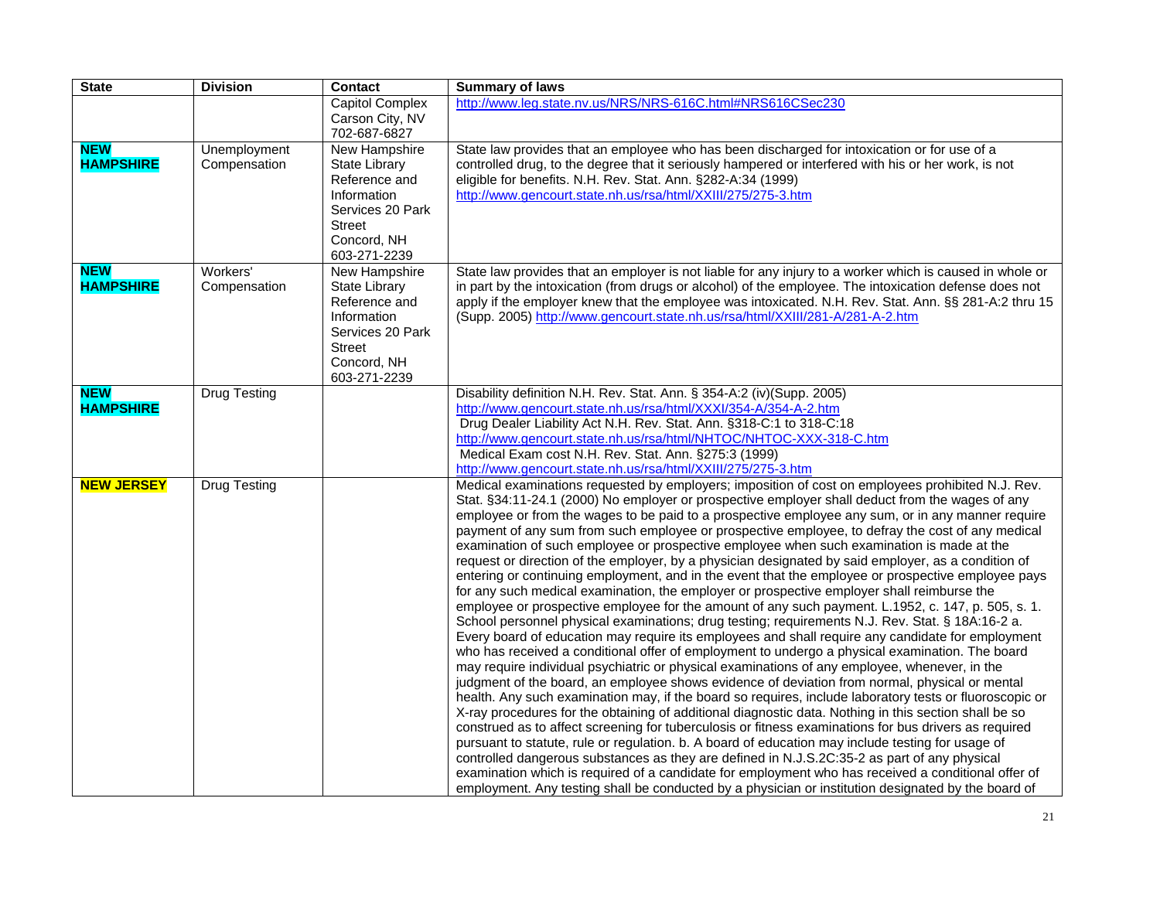| <b>State</b>                   | <b>Division</b>              | Contact                                                                                                                                   | <b>Summary of laws</b>                                                                                                                                                                                                                                                                                                                                                                                                                                                                                                                                                                                                                                                                                                                                                                                                                                                                                                                                                                                                                                                                                                                                                                                                                                                                                                                                                                                                                                                                                                                                                                                                                                                                                                                                                                                                                                                                                                                                                                                                                                                                                                                                                                     |
|--------------------------------|------------------------------|-------------------------------------------------------------------------------------------------------------------------------------------|--------------------------------------------------------------------------------------------------------------------------------------------------------------------------------------------------------------------------------------------------------------------------------------------------------------------------------------------------------------------------------------------------------------------------------------------------------------------------------------------------------------------------------------------------------------------------------------------------------------------------------------------------------------------------------------------------------------------------------------------------------------------------------------------------------------------------------------------------------------------------------------------------------------------------------------------------------------------------------------------------------------------------------------------------------------------------------------------------------------------------------------------------------------------------------------------------------------------------------------------------------------------------------------------------------------------------------------------------------------------------------------------------------------------------------------------------------------------------------------------------------------------------------------------------------------------------------------------------------------------------------------------------------------------------------------------------------------------------------------------------------------------------------------------------------------------------------------------------------------------------------------------------------------------------------------------------------------------------------------------------------------------------------------------------------------------------------------------------------------------------------------------------------------------------------------------|
|                                |                              | <b>Capitol Complex</b><br>Carson City, NV<br>702-687-6827                                                                                 | http://www.leg.state.nv.us/NRS/NRS-616C.html#NRS616CSec230                                                                                                                                                                                                                                                                                                                                                                                                                                                                                                                                                                                                                                                                                                                                                                                                                                                                                                                                                                                                                                                                                                                                                                                                                                                                                                                                                                                                                                                                                                                                                                                                                                                                                                                                                                                                                                                                                                                                                                                                                                                                                                                                 |
| <b>NEW</b><br><b>HAMPSHIRE</b> | Unemployment<br>Compensation | New Hampshire<br><b>State Library</b><br>Reference and<br>Information<br>Services 20 Park<br><b>Street</b><br>Concord, NH<br>603-271-2239 | State law provides that an employee who has been discharged for intoxication or for use of a<br>controlled drug, to the degree that it seriously hampered or interfered with his or her work, is not<br>eligible for benefits. N.H. Rev. Stat. Ann. §282-A:34 (1999)<br>http://www.gencourt.state.nh.us/rsa/html/XXIII/275/275-3.htm                                                                                                                                                                                                                                                                                                                                                                                                                                                                                                                                                                                                                                                                                                                                                                                                                                                                                                                                                                                                                                                                                                                                                                                                                                                                                                                                                                                                                                                                                                                                                                                                                                                                                                                                                                                                                                                       |
| <b>NEW</b><br><b>HAMPSHIRE</b> | Workers'<br>Compensation     | New Hampshire<br><b>State Library</b><br>Reference and<br>Information<br>Services 20 Park<br><b>Street</b><br>Concord, NH<br>603-271-2239 | State law provides that an employer is not liable for any injury to a worker which is caused in whole or<br>in part by the intoxication (from drugs or alcohol) of the employee. The intoxication defense does not<br>apply if the employer knew that the employee was intoxicated. N.H. Rev. Stat. Ann. §§ 281-A:2 thru 15<br>(Supp. 2005) http://www.gencourt.state.nh.us/rsa/html/XXIII/281-A/281-A-2.htm                                                                                                                                                                                                                                                                                                                                                                                                                                                                                                                                                                                                                                                                                                                                                                                                                                                                                                                                                                                                                                                                                                                                                                                                                                                                                                                                                                                                                                                                                                                                                                                                                                                                                                                                                                               |
| <b>NEW</b><br><b>HAMPSHIRE</b> | <b>Drug Testing</b>          |                                                                                                                                           | Disability definition N.H. Rev. Stat. Ann. § 354-A:2 (iv)(Supp. 2005)<br>http://www.gencourt.state.nh.us/rsa/html/XXXI/354-A/354-A-2.htm<br>Drug Dealer Liability Act N.H. Rev. Stat. Ann. §318-C:1 to 318-C:18<br>http://www.gencourt.state.nh.us/rsa/html/NHTOC/NHTOC-XXX-318-C.htm<br>Medical Exam cost N.H. Rev. Stat. Ann. §275:3 (1999)<br>http://www.gencourt.state.nh.us/rsa/html/XXIII/275/275-3.htm                                                                                                                                                                                                                                                                                                                                                                                                                                                                                                                                                                                                                                                                                                                                                                                                                                                                                                                                                                                                                                                                                                                                                                                                                                                                                                                                                                                                                                                                                                                                                                                                                                                                                                                                                                              |
| <b>NEW JERSEY</b>              | <b>Drug Testing</b>          |                                                                                                                                           | Medical examinations requested by employers; imposition of cost on employees prohibited N.J. Rev.<br>Stat. §34:11-24.1 (2000) No employer or prospective employer shall deduct from the wages of any<br>employee or from the wages to be paid to a prospective employee any sum, or in any manner require<br>payment of any sum from such employee or prospective employee, to defray the cost of any medical<br>examination of such employee or prospective employee when such examination is made at the<br>request or direction of the employer, by a physician designated by said employer, as a condition of<br>entering or continuing employment, and in the event that the employee or prospective employee pays<br>for any such medical examination, the employer or prospective employer shall reimburse the<br>employee or prospective employee for the amount of any such payment. L.1952, c. 147, p. 505, s. 1.<br>School personnel physical examinations; drug testing; requirements N.J. Rev. Stat. § 18A:16-2 a.<br>Every board of education may require its employees and shall require any candidate for employment<br>who has received a conditional offer of employment to undergo a physical examination. The board<br>may require individual psychiatric or physical examinations of any employee, whenever, in the<br>judgment of the board, an employee shows evidence of deviation from normal, physical or mental<br>health. Any such examination may, if the board so requires, include laboratory tests or fluoroscopic or<br>X-ray procedures for the obtaining of additional diagnostic data. Nothing in this section shall be so<br>construed as to affect screening for tuberculosis or fitness examinations for bus drivers as required<br>pursuant to statute, rule or regulation. b. A board of education may include testing for usage of<br>controlled dangerous substances as they are defined in N.J.S.2C:35-2 as part of any physical<br>examination which is required of a candidate for employment who has received a conditional offer of<br>employment. Any testing shall be conducted by a physician or institution designated by the board of |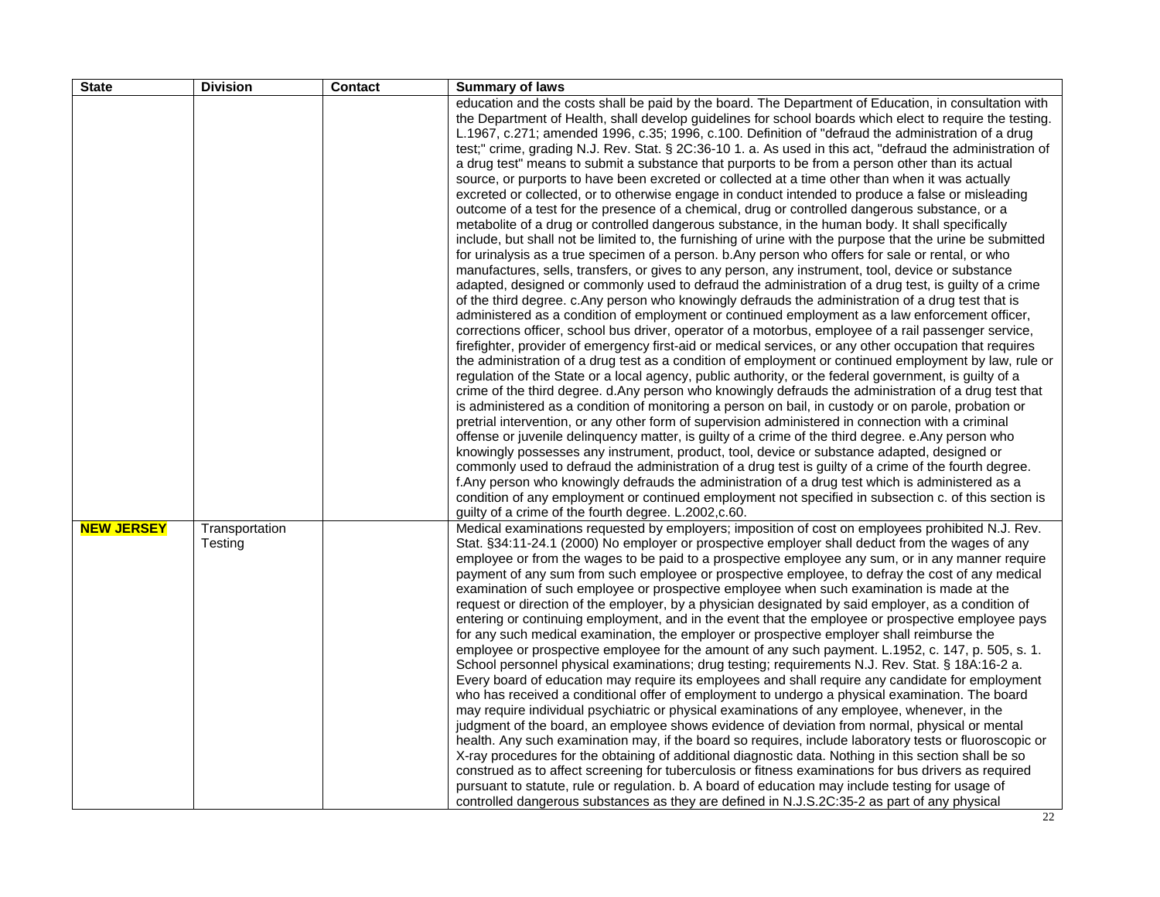| <b>State</b>      | <b>Division</b>           | <b>Contact</b> | <b>Summary of laws</b>                                                                                                                                                                                                                                                                                                                                                                                                                                                                                                                                                                                                                                                                                                                                                                                                                                                                                                                                                                                                                                                                                                                                                                                                                                                                                                                                                                                                                                                                                                                                                                                                                                                                                                                                                                                                                                                                                                                                                                                                                                                                                                                                                                                                                                                                                                                                                                                                                                                                                                                                                                                                                                                                                                                                                                                                                                                                                                                                    |
|-------------------|---------------------------|----------------|-----------------------------------------------------------------------------------------------------------------------------------------------------------------------------------------------------------------------------------------------------------------------------------------------------------------------------------------------------------------------------------------------------------------------------------------------------------------------------------------------------------------------------------------------------------------------------------------------------------------------------------------------------------------------------------------------------------------------------------------------------------------------------------------------------------------------------------------------------------------------------------------------------------------------------------------------------------------------------------------------------------------------------------------------------------------------------------------------------------------------------------------------------------------------------------------------------------------------------------------------------------------------------------------------------------------------------------------------------------------------------------------------------------------------------------------------------------------------------------------------------------------------------------------------------------------------------------------------------------------------------------------------------------------------------------------------------------------------------------------------------------------------------------------------------------------------------------------------------------------------------------------------------------------------------------------------------------------------------------------------------------------------------------------------------------------------------------------------------------------------------------------------------------------------------------------------------------------------------------------------------------------------------------------------------------------------------------------------------------------------------------------------------------------------------------------------------------------------------------------------------------------------------------------------------------------------------------------------------------------------------------------------------------------------------------------------------------------------------------------------------------------------------------------------------------------------------------------------------------------------------------------------------------------------------------------------------------|
|                   |                           |                | education and the costs shall be paid by the board. The Department of Education, in consultation with<br>the Department of Health, shall develop guidelines for school boards which elect to require the testing.<br>L.1967, c.271; amended 1996, c.35; 1996, c.100. Definition of "defraud the administration of a drug<br>test;" crime, grading N.J. Rev. Stat. § 2C:36-10 1. a. As used in this act, "defraud the administration of<br>a drug test" means to submit a substance that purports to be from a person other than its actual<br>source, or purports to have been excreted or collected at a time other than when it was actually<br>excreted or collected, or to otherwise engage in conduct intended to produce a false or misleading<br>outcome of a test for the presence of a chemical, drug or controlled dangerous substance, or a<br>metabolite of a drug or controlled dangerous substance, in the human body. It shall specifically<br>include, but shall not be limited to, the furnishing of urine with the purpose that the urine be submitted<br>for urinalysis as a true specimen of a person. b.Any person who offers for sale or rental, or who<br>manufactures, sells, transfers, or gives to any person, any instrument, tool, device or substance<br>adapted, designed or commonly used to defraud the administration of a drug test, is guilty of a crime<br>of the third degree. c. Any person who knowingly defrauds the administration of a drug test that is<br>administered as a condition of employment or continued employment as a law enforcement officer,<br>corrections officer, school bus driver, operator of a motorbus, employee of a rail passenger service,<br>firefighter, provider of emergency first-aid or medical services, or any other occupation that requires<br>the administration of a drug test as a condition of employment or continued employment by law, rule or<br>regulation of the State or a local agency, public authority, or the federal government, is guilty of a<br>crime of the third degree. d.Any person who knowingly defrauds the administration of a drug test that<br>is administered as a condition of monitoring a person on bail, in custody or on parole, probation or<br>pretrial intervention, or any other form of supervision administered in connection with a criminal<br>offense or juvenile delinquency matter, is guilty of a crime of the third degree. e. Any person who<br>knowingly possesses any instrument, product, tool, device or substance adapted, designed or<br>commonly used to defraud the administration of a drug test is guilty of a crime of the fourth degree.<br>f. Any person who knowingly defrauds the administration of a drug test which is administered as a<br>condition of any employment or continued employment not specified in subsection c. of this section is<br>guilty of a crime of the fourth degree. L.2002,c.60. |
| <b>NEW JERSEY</b> | Transportation<br>Testing |                | Medical examinations requested by employers; imposition of cost on employees prohibited N.J. Rev.<br>Stat. §34:11-24.1 (2000) No employer or prospective employer shall deduct from the wages of any<br>employee or from the wages to be paid to a prospective employee any sum, or in any manner require<br>payment of any sum from such employee or prospective employee, to defray the cost of any medical<br>examination of such employee or prospective employee when such examination is made at the<br>request or direction of the employer, by a physician designated by said employer, as a condition of<br>entering or continuing employment, and in the event that the employee or prospective employee pays<br>for any such medical examination, the employer or prospective employer shall reimburse the<br>employee or prospective employee for the amount of any such payment. L.1952, c. 147, p. 505, s. 1.<br>School personnel physical examinations; drug testing; requirements N.J. Rev. Stat. § 18A:16-2 a.<br>Every board of education may require its employees and shall require any candidate for employment<br>who has received a conditional offer of employment to undergo a physical examination. The board<br>may require individual psychiatric or physical examinations of any employee, whenever, in the<br>judgment of the board, an employee shows evidence of deviation from normal, physical or mental<br>health. Any such examination may, if the board so requires, include laboratory tests or fluoroscopic or<br>X-ray procedures for the obtaining of additional diagnostic data. Nothing in this section shall be so<br>construed as to affect screening for tuberculosis or fitness examinations for bus drivers as required<br>pursuant to statute, rule or regulation. b. A board of education may include testing for usage of<br>controlled dangerous substances as they are defined in N.J.S.2C:35-2 as part of any physical                                                                                                                                                                                                                                                                                                                                                                                                                                                                                                                                                                                                                                                                                                                                                                                                                                                                                                                                                                              |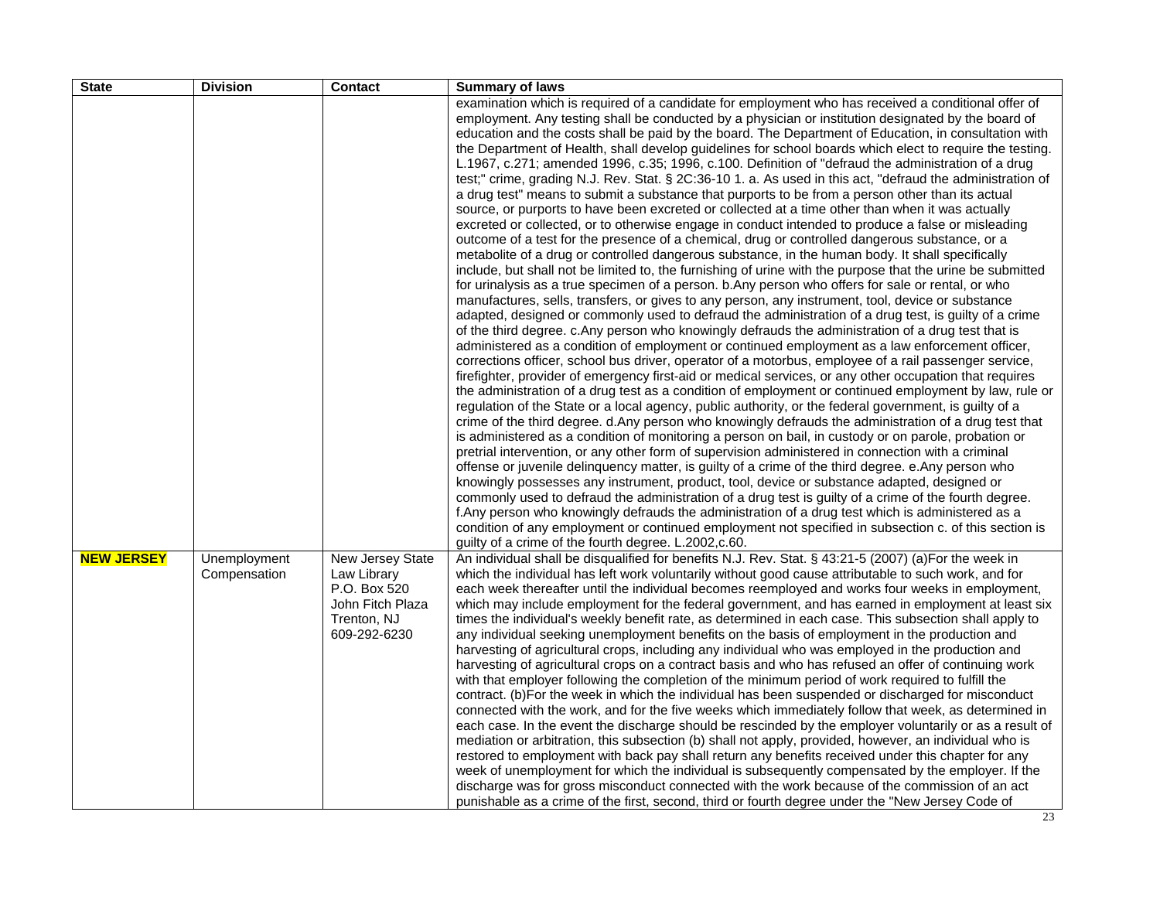| <b>State</b>      | <b>Division</b>              | <b>Contact</b>                                                                                     | <b>Summary of laws</b>                                                                                                                                                                                                                                                                                                                                                                                                                                                                                                                                                                                                                                                                                                                                                                                                                                                                                                                                                                                                                                                                                                                                                                                                                                                                                                                                                                                                                                                                                                                                                                                                                                                                                                                                                                                                                                                                                                                                                                                                                                                                                                                                                                                                                                                                                                                                                                                                                                                                                                                                                                                                                                                                                                                                                                                                                                                                                                                                                                                                                                                                                                                                                   |
|-------------------|------------------------------|----------------------------------------------------------------------------------------------------|--------------------------------------------------------------------------------------------------------------------------------------------------------------------------------------------------------------------------------------------------------------------------------------------------------------------------------------------------------------------------------------------------------------------------------------------------------------------------------------------------------------------------------------------------------------------------------------------------------------------------------------------------------------------------------------------------------------------------------------------------------------------------------------------------------------------------------------------------------------------------------------------------------------------------------------------------------------------------------------------------------------------------------------------------------------------------------------------------------------------------------------------------------------------------------------------------------------------------------------------------------------------------------------------------------------------------------------------------------------------------------------------------------------------------------------------------------------------------------------------------------------------------------------------------------------------------------------------------------------------------------------------------------------------------------------------------------------------------------------------------------------------------------------------------------------------------------------------------------------------------------------------------------------------------------------------------------------------------------------------------------------------------------------------------------------------------------------------------------------------------------------------------------------------------------------------------------------------------------------------------------------------------------------------------------------------------------------------------------------------------------------------------------------------------------------------------------------------------------------------------------------------------------------------------------------------------------------------------------------------------------------------------------------------------------------------------------------------------------------------------------------------------------------------------------------------------------------------------------------------------------------------------------------------------------------------------------------------------------------------------------------------------------------------------------------------------------------------------------------------------------------------------------------------------|
|                   |                              |                                                                                                    | examination which is required of a candidate for employment who has received a conditional offer of<br>employment. Any testing shall be conducted by a physician or institution designated by the board of<br>education and the costs shall be paid by the board. The Department of Education, in consultation with<br>the Department of Health, shall develop guidelines for school boards which elect to require the testing.<br>L.1967, c.271; amended 1996, c.35; 1996, c.100. Definition of "defraud the administration of a drug<br>test;" crime, grading N.J. Rev. Stat. § 2C:36-10 1. a. As used in this act, "defraud the administration of<br>a drug test" means to submit a substance that purports to be from a person other than its actual<br>source, or purports to have been excreted or collected at a time other than when it was actually<br>excreted or collected, or to otherwise engage in conduct intended to produce a false or misleading<br>outcome of a test for the presence of a chemical, drug or controlled dangerous substance, or a<br>metabolite of a drug or controlled dangerous substance, in the human body. It shall specifically<br>include, but shall not be limited to, the furnishing of urine with the purpose that the urine be submitted<br>for urinalysis as a true specimen of a person. b.Any person who offers for sale or rental, or who<br>manufactures, sells, transfers, or gives to any person, any instrument, tool, device or substance<br>adapted, designed or commonly used to defraud the administration of a drug test, is guilty of a crime<br>of the third degree. c.Any person who knowingly defrauds the administration of a drug test that is<br>administered as a condition of employment or continued employment as a law enforcement officer,<br>corrections officer, school bus driver, operator of a motorbus, employee of a rail passenger service,<br>firefighter, provider of emergency first-aid or medical services, or any other occupation that requires<br>the administration of a drug test as a condition of employment or continued employment by law, rule or<br>regulation of the State or a local agency, public authority, or the federal government, is guilty of a<br>crime of the third degree. d. Any person who knowingly defrauds the administration of a drug test that<br>is administered as a condition of monitoring a person on bail, in custody or on parole, probation or<br>pretrial intervention, or any other form of supervision administered in connection with a criminal<br>offense or juvenile delinquency matter, is guilty of a crime of the third degree. e. Any person who<br>knowingly possesses any instrument, product, tool, device or substance adapted, designed or<br>commonly used to defraud the administration of a drug test is guilty of a crime of the fourth degree.<br>f. Any person who knowingly defrauds the administration of a drug test which is administered as a<br>condition of any employment or continued employment not specified in subsection c. of this section is<br>guilty of a crime of the fourth degree. L.2002, c.60. |
| <b>NEW JERSEY</b> | Unemployment<br>Compensation | New Jersey State<br>Law Library<br>P.O. Box 520<br>John Fitch Plaza<br>Trenton, NJ<br>609-292-6230 | An individual shall be disqualified for benefits N.J. Rev. Stat. § 43:21-5 (2007) (a) For the week in<br>which the individual has left work voluntarily without good cause attributable to such work, and for<br>each week thereafter until the individual becomes reemployed and works four weeks in employment,<br>which may include employment for the federal government, and has earned in employment at least six<br>times the individual's weekly benefit rate, as determined in each case. This subsection shall apply to<br>any individual seeking unemployment benefits on the basis of employment in the production and<br>harvesting of agricultural crops, including any individual who was employed in the production and<br>harvesting of agricultural crops on a contract basis and who has refused an offer of continuing work<br>with that employer following the completion of the minimum period of work required to fulfill the<br>contract. (b)For the week in which the individual has been suspended or discharged for misconduct<br>connected with the work, and for the five weeks which immediately follow that week, as determined in<br>each case. In the event the discharge should be rescinded by the employer voluntarily or as a result of<br>mediation or arbitration, this subsection (b) shall not apply, provided, however, an individual who is<br>restored to employment with back pay shall return any benefits received under this chapter for any<br>week of unemployment for which the individual is subsequently compensated by the employer. If the<br>discharge was for gross misconduct connected with the work because of the commission of an act<br>punishable as a crime of the first, second, third or fourth degree under the "New Jersey Code of                                                                                                                                                                                                                                                                                                                                                                                                                                                                                                                                                                                                                                                                                                                                                                                                                                                                                                                                                                                                                                                                                                                                                                                                                                                                                                                                                                  |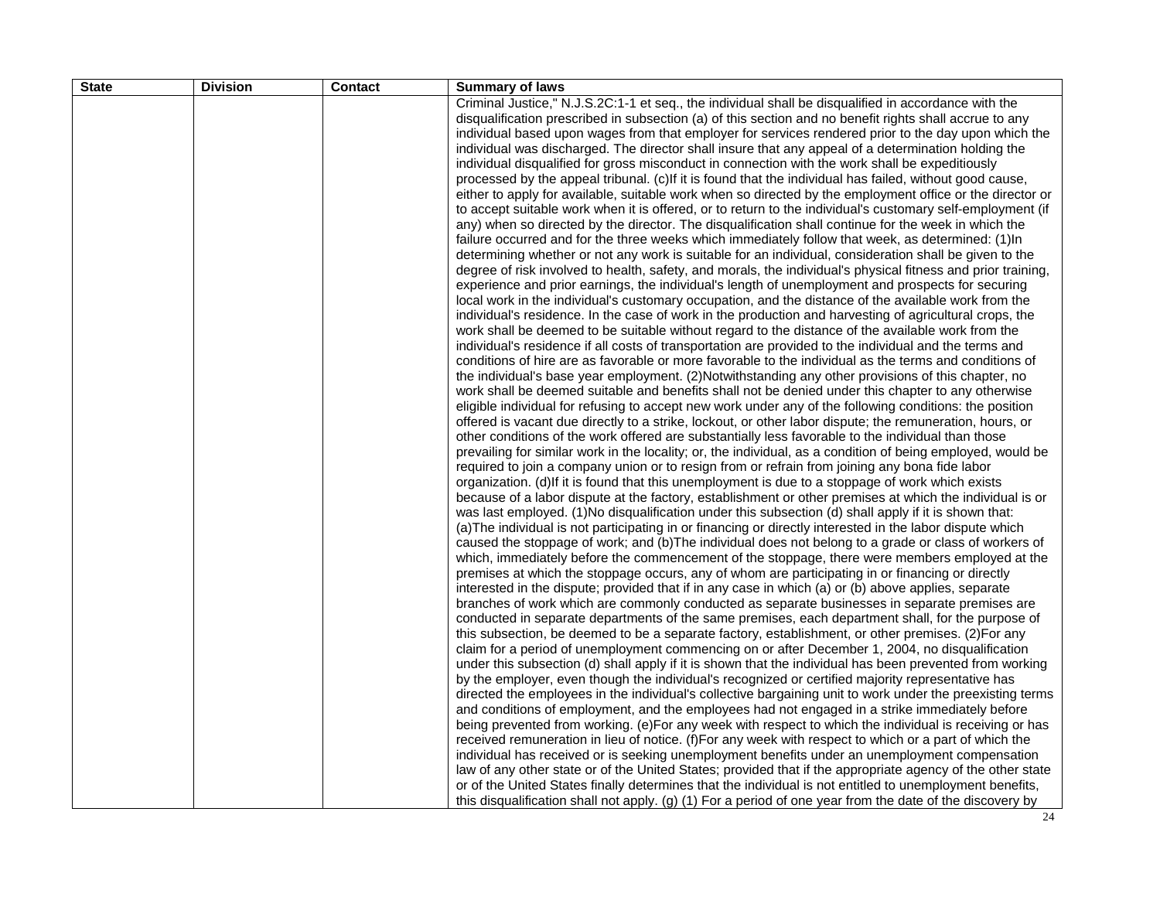| <b>State</b> | <b>Division</b> | <b>Contact</b> | <b>Summary of laws</b>                                                                                                                                                                                 |
|--------------|-----------------|----------------|--------------------------------------------------------------------------------------------------------------------------------------------------------------------------------------------------------|
|              |                 |                | Criminal Justice," N.J.S.2C:1-1 et seq., the individual shall be disqualified in accordance with the                                                                                                   |
|              |                 |                | disqualification prescribed in subsection (a) of this section and no benefit rights shall accrue to any                                                                                                |
|              |                 |                | individual based upon wages from that employer for services rendered prior to the day upon which the                                                                                                   |
|              |                 |                | individual was discharged. The director shall insure that any appeal of a determination holding the                                                                                                    |
|              |                 |                | individual disqualified for gross misconduct in connection with the work shall be expeditiously                                                                                                        |
|              |                 |                | processed by the appeal tribunal. (c)If it is found that the individual has failed, without good cause,                                                                                                |
|              |                 |                | either to apply for available, suitable work when so directed by the employment office or the director or                                                                                              |
|              |                 |                | to accept suitable work when it is offered, or to return to the individual's customary self-employment (if                                                                                             |
|              |                 |                | any) when so directed by the director. The disqualification shall continue for the week in which the                                                                                                   |
|              |                 |                | failure occurred and for the three weeks which immediately follow that week, as determined: (1)In                                                                                                      |
|              |                 |                | determining whether or not any work is suitable for an individual, consideration shall be given to the                                                                                                 |
|              |                 |                | degree of risk involved to health, safety, and morals, the individual's physical fitness and prior training,                                                                                           |
|              |                 |                | experience and prior earnings, the individual's length of unemployment and prospects for securing                                                                                                      |
|              |                 |                | local work in the individual's customary occupation, and the distance of the available work from the                                                                                                   |
|              |                 |                | individual's residence. In the case of work in the production and harvesting of agricultural crops, the                                                                                                |
|              |                 |                | work shall be deemed to be suitable without regard to the distance of the available work from the                                                                                                      |
|              |                 |                | individual's residence if all costs of transportation are provided to the individual and the terms and                                                                                                 |
|              |                 |                | conditions of hire are as favorable or more favorable to the individual as the terms and conditions of                                                                                                 |
|              |                 |                | the individual's base year employment. (2)Notwithstanding any other provisions of this chapter, no                                                                                                     |
|              |                 |                | work shall be deemed suitable and benefits shall not be denied under this chapter to any otherwise                                                                                                     |
|              |                 |                | eligible individual for refusing to accept new work under any of the following conditions: the position                                                                                                |
|              |                 |                | offered is vacant due directly to a strike, lockout, or other labor dispute; the remuneration, hours, or                                                                                               |
|              |                 |                | other conditions of the work offered are substantially less favorable to the individual than those                                                                                                     |
|              |                 |                | prevailing for similar work in the locality; or, the individual, as a condition of being employed, would be                                                                                            |
|              |                 |                | required to join a company union or to resign from or refrain from joining any bona fide labor                                                                                                         |
|              |                 |                | organization. (d)If it is found that this unemployment is due to a stoppage of work which exists                                                                                                       |
|              |                 |                | because of a labor dispute at the factory, establishment or other premises at which the individual is or                                                                                               |
|              |                 |                | was last employed. (1)No disqualification under this subsection (d) shall apply if it is shown that:                                                                                                   |
|              |                 |                | (a) The individual is not participating in or financing or directly interested in the labor dispute which                                                                                              |
|              |                 |                | caused the stoppage of work; and (b)The individual does not belong to a grade or class of workers of<br>which, immediately before the commencement of the stoppage, there were members employed at the |
|              |                 |                | premises at which the stoppage occurs, any of whom are participating in or financing or directly                                                                                                       |
|              |                 |                | interested in the dispute; provided that if in any case in which (a) or (b) above applies, separate                                                                                                    |
|              |                 |                | branches of work which are commonly conducted as separate businesses in separate premises are                                                                                                          |
|              |                 |                | conducted in separate departments of the same premises, each department shall, for the purpose of                                                                                                      |
|              |                 |                | this subsection, be deemed to be a separate factory, establishment, or other premises. (2) For any                                                                                                     |
|              |                 |                | claim for a period of unemployment commencing on or after December 1, 2004, no disqualification                                                                                                        |
|              |                 |                | under this subsection (d) shall apply if it is shown that the individual has been prevented from working                                                                                               |
|              |                 |                | by the employer, even though the individual's recognized or certified majority representative has                                                                                                      |
|              |                 |                | directed the employees in the individual's collective bargaining unit to work under the preexisting terms                                                                                              |
|              |                 |                | and conditions of employment, and the employees had not engaged in a strike immediately before                                                                                                         |
|              |                 |                | being prevented from working. (e)For any week with respect to which the individual is receiving or has                                                                                                 |
|              |                 |                | received remuneration in lieu of notice. (f)For any week with respect to which or a part of which the                                                                                                  |
|              |                 |                | individual has received or is seeking unemployment benefits under an unemployment compensation                                                                                                         |
|              |                 |                | law of any other state or of the United States; provided that if the appropriate agency of the other state                                                                                             |
|              |                 |                | or of the United States finally determines that the individual is not entitled to unemployment benefits,                                                                                               |
|              |                 |                | this disqualification shall not apply. (g) (1) For a period of one year from the date of the discovery by                                                                                              |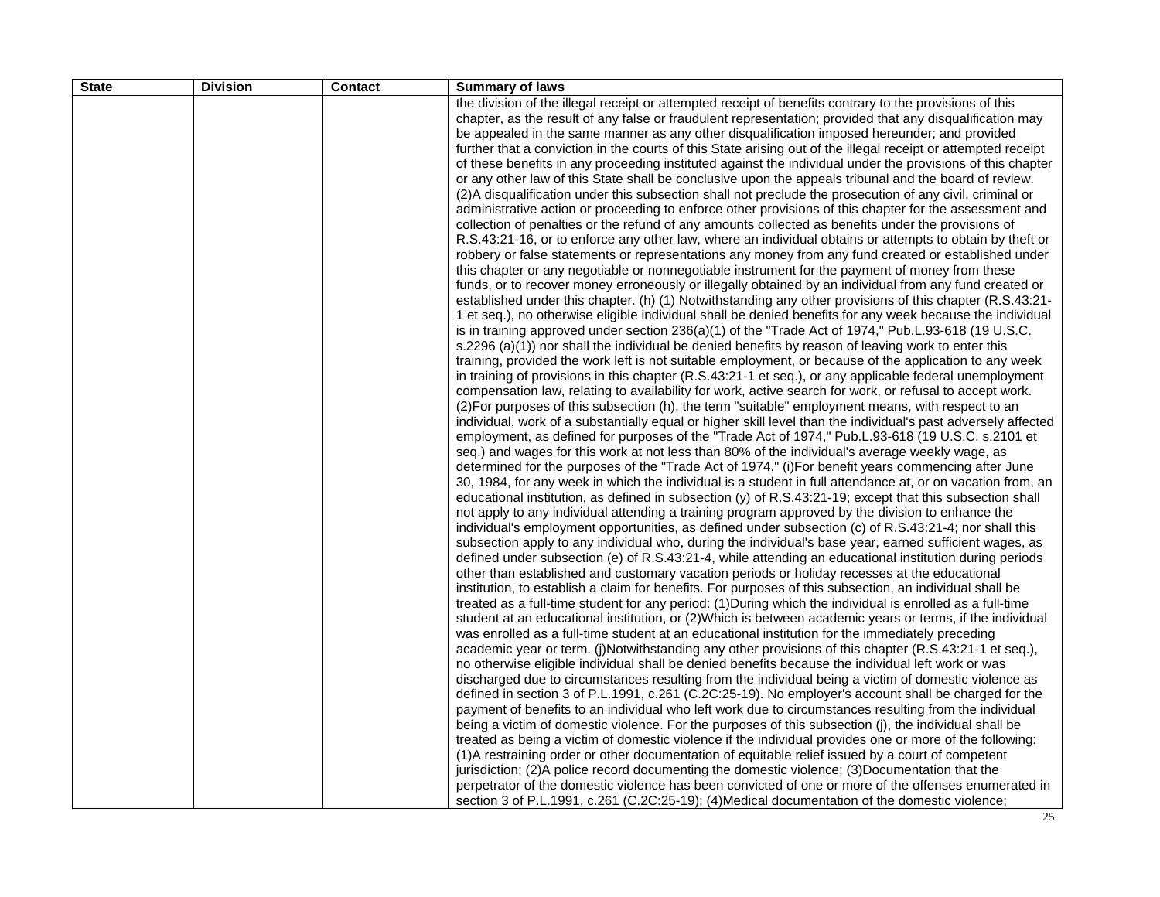| <b>State</b> | <b>Division</b> | <b>Contact</b> | Summary of laws                                                                                               |
|--------------|-----------------|----------------|---------------------------------------------------------------------------------------------------------------|
|              |                 |                | the division of the illegal receipt or attempted receipt of benefits contrary to the provisions of this       |
|              |                 |                | chapter, as the result of any false or fraudulent representation; provided that any disqualification may      |
|              |                 |                | be appealed in the same manner as any other disqualification imposed hereunder; and provided                  |
|              |                 |                | further that a conviction in the courts of this State arising out of the illegal receipt or attempted receipt |
|              |                 |                | of these benefits in any proceeding instituted against the individual under the provisions of this chapter    |
|              |                 |                | or any other law of this State shall be conclusive upon the appeals tribunal and the board of review.         |
|              |                 |                | (2)A disqualification under this subsection shall not preclude the prosecution of any civil, criminal or      |
|              |                 |                | administrative action or proceeding to enforce other provisions of this chapter for the assessment and        |
|              |                 |                | collection of penalties or the refund of any amounts collected as benefits under the provisions of            |
|              |                 |                | R.S.43:21-16, or to enforce any other law, where an individual obtains or attempts to obtain by theft or      |
|              |                 |                | robbery or false statements or representations any money from any fund created or established under           |
|              |                 |                | this chapter or any negotiable or nonnegotiable instrument for the payment of money from these                |
|              |                 |                | funds, or to recover money erroneously or illegally obtained by an individual from any fund created or        |
|              |                 |                | established under this chapter. (h) (1) Notwithstanding any other provisions of this chapter (R.S.43:21-      |
|              |                 |                | 1 et seq.), no otherwise eligible individual shall be denied benefits for any week because the individual     |
|              |                 |                | is in training approved under section 236(a)(1) of the "Trade Act of 1974," Pub.L.93-618 (19 U.S.C.           |
|              |                 |                | s.2296 (a)(1)) nor shall the individual be denied benefits by reason of leaving work to enter this            |
|              |                 |                | training, provided the work left is not suitable employment, or because of the application to any week        |
|              |                 |                | in training of provisions in this chapter (R.S.43:21-1 et seq.), or any applicable federal unemployment       |
|              |                 |                | compensation law, relating to availability for work, active search for work, or refusal to accept work.       |
|              |                 |                | (2)For purposes of this subsection (h), the term "suitable" employment means, with respect to an              |
|              |                 |                | individual, work of a substantially equal or higher skill level than the individual's past adversely affected |
|              |                 |                | employment, as defined for purposes of the "Trade Act of 1974," Pub.L.93-618 (19 U.S.C. s.2101 et             |
|              |                 |                | seq.) and wages for this work at not less than 80% of the individual's average weekly wage, as                |
|              |                 |                | determined for the purposes of the "Trade Act of 1974." (i)For benefit years commencing after June            |
|              |                 |                | 30, 1984, for any week in which the individual is a student in full attendance at, or on vacation from, an    |
|              |                 |                | educational institution, as defined in subsection (y) of R.S.43:21-19; except that this subsection shall      |
|              |                 |                | not apply to any individual attending a training program approved by the division to enhance the              |
|              |                 |                | individual's employment opportunities, as defined under subsection (c) of R.S.43:21-4; nor shall this         |
|              |                 |                | subsection apply to any individual who, during the individual's base year, earned sufficient wages, as        |
|              |                 |                | defined under subsection (e) of R.S.43:21-4, while attending an educational institution during periods        |
|              |                 |                | other than established and customary vacation periods or holiday recesses at the educational                  |
|              |                 |                | institution, to establish a claim for benefits. For purposes of this subsection, an individual shall be       |
|              |                 |                | treated as a full-time student for any period: (1) During which the individual is enrolled as a full-time     |
|              |                 |                | student at an educational institution, or (2)Which is between academic years or terms, if the individual      |
|              |                 |                | was enrolled as a full-time student at an educational institution for the immediately preceding               |
|              |                 |                | academic year or term. (j)Notwithstanding any other provisions of this chapter (R.S.43:21-1 et seq.),         |
|              |                 |                | no otherwise eligible individual shall be denied benefits because the individual left work or was             |
|              |                 |                | discharged due to circumstances resulting from the individual being a victim of domestic violence as          |
|              |                 |                | defined in section 3 of P.L.1991, c.261 (C.2C:25-19). No employer's account shall be charged for the          |
|              |                 |                | payment of benefits to an individual who left work due to circumstances resulting from the individual         |
|              |                 |                | being a victim of domestic violence. For the purposes of this subsection (j), the individual shall be         |
|              |                 |                | treated as being a victim of domestic violence if the individual provides one or more of the following:       |
|              |                 |                | (1)A restraining order or other documentation of equitable relief issued by a court of competent              |
|              |                 |                | jurisdiction; (2)A police record documenting the domestic violence; (3)Documentation that the                 |
|              |                 |                | perpetrator of the domestic violence has been convicted of one or more of the offenses enumerated in          |
|              |                 |                | section 3 of P.L.1991, c.261 (C.2C:25-19); (4)Medical documentation of the domestic violence;                 |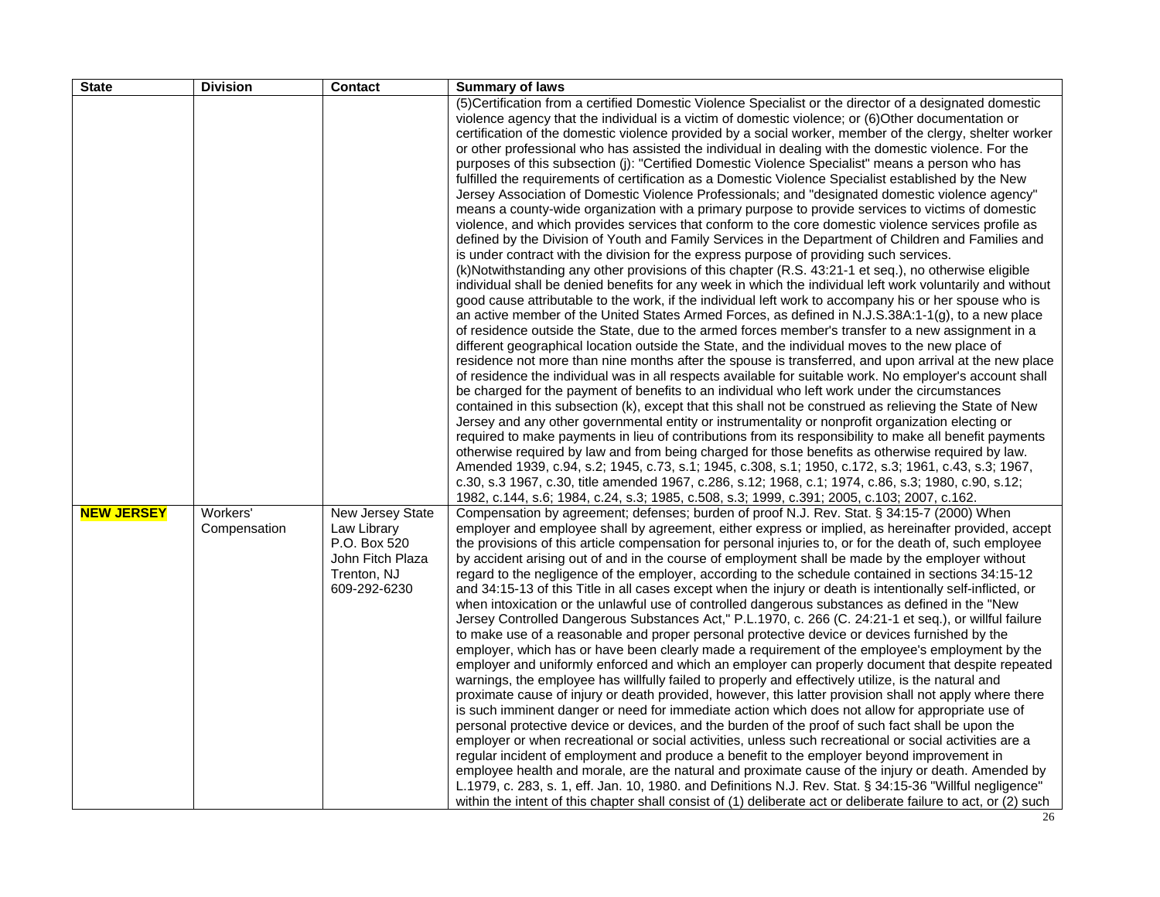| <b>State</b>      | <b>Division</b>          | Contact                                                                                            | <b>Summary of laws</b>                                                                                                                                                                                                                                                                                                                                                                                                                                                                                                                                                                                                                                                                                                                                                                                                                                                                                                                                                                                                                                                                                                                                                                                                                                                                                                                                                                                                                                                                                                                                                                                                                                                                                                                                                                                                                                                                                                                                                                                                                                                                                                                  |
|-------------------|--------------------------|----------------------------------------------------------------------------------------------------|-----------------------------------------------------------------------------------------------------------------------------------------------------------------------------------------------------------------------------------------------------------------------------------------------------------------------------------------------------------------------------------------------------------------------------------------------------------------------------------------------------------------------------------------------------------------------------------------------------------------------------------------------------------------------------------------------------------------------------------------------------------------------------------------------------------------------------------------------------------------------------------------------------------------------------------------------------------------------------------------------------------------------------------------------------------------------------------------------------------------------------------------------------------------------------------------------------------------------------------------------------------------------------------------------------------------------------------------------------------------------------------------------------------------------------------------------------------------------------------------------------------------------------------------------------------------------------------------------------------------------------------------------------------------------------------------------------------------------------------------------------------------------------------------------------------------------------------------------------------------------------------------------------------------------------------------------------------------------------------------------------------------------------------------------------------------------------------------------------------------------------------------|
|                   |                          |                                                                                                    | (5) Certification from a certified Domestic Violence Specialist or the director of a designated domestic<br>violence agency that the individual is a victim of domestic violence; or (6)Other documentation or<br>certification of the domestic violence provided by a social worker, member of the clergy, shelter worker<br>or other professional who has assisted the individual in dealing with the domestic violence. For the<br>purposes of this subsection (j): "Certified Domestic Violence Specialist" means a person who has<br>fulfilled the requirements of certification as a Domestic Violence Specialist established by the New<br>Jersey Association of Domestic Violence Professionals; and "designated domestic violence agency"<br>means a county-wide organization with a primary purpose to provide services to victims of domestic<br>violence, and which provides services that conform to the core domestic violence services profile as<br>defined by the Division of Youth and Family Services in the Department of Children and Families and<br>is under contract with the division for the express purpose of providing such services.<br>(k)Notwithstanding any other provisions of this chapter (R.S. 43:21-1 et seg.), no otherwise eligible<br>individual shall be denied benefits for any week in which the individual left work voluntarily and without<br>good cause attributable to the work, if the individual left work to accompany his or her spouse who is<br>an active member of the United States Armed Forces, as defined in N.J.S.38A:1-1(g), to a new place                                                                                                                                                                                                                                                                                                                                                                                                                                                                                                                               |
|                   |                          |                                                                                                    | of residence outside the State, due to the armed forces member's transfer to a new assignment in a<br>different geographical location outside the State, and the individual moves to the new place of<br>residence not more than nine months after the spouse is transferred, and upon arrival at the new place<br>of residence the individual was in all respects available for suitable work. No employer's account shall<br>be charged for the payment of benefits to an individual who left work under the circumstances<br>contained in this subsection (k), except that this shall not be construed as relieving the State of New<br>Jersey and any other governmental entity or instrumentality or nonprofit organization electing or<br>required to make payments in lieu of contributions from its responsibility to make all benefit payments<br>otherwise required by law and from being charged for those benefits as otherwise required by law.<br>Amended 1939, c.94, s.2; 1945, c.73, s.1; 1945, c.308, s.1; 1950, c.172, s.3; 1961, c.43, s.3; 1967,<br>c.30, s.3 1967, c.30, title amended 1967, c.286, s.12; 1968, c.1; 1974, c.86, s.3; 1980, c.90, s.12;<br>1982, c.144, s.6; 1984, c.24, s.3; 1985, c.508, s.3; 1999, c.391; 2005, c.103; 2007, c.162.                                                                                                                                                                                                                                                                                                                                                                                                                                                                                                                                                                                                                                                                                                                                                                                                                                                             |
| <b>NEW JERSEY</b> | Workers'<br>Compensation | New Jersey State<br>Law Library<br>P.O. Box 520<br>John Fitch Plaza<br>Trenton, NJ<br>609-292-6230 | Compensation by agreement; defenses; burden of proof N.J. Rev. Stat. § 34:15-7 (2000) When<br>employer and employee shall by agreement, either express or implied, as hereinafter provided, accept<br>the provisions of this article compensation for personal injuries to, or for the death of, such employee<br>by accident arising out of and in the course of employment shall be made by the employer without<br>regard to the negligence of the employer, according to the schedule contained in sections 34:15-12<br>and 34:15-13 of this Title in all cases except when the injury or death is intentionally self-inflicted, or<br>when intoxication or the unlawful use of controlled dangerous substances as defined in the "New<br>Jersey Controlled Dangerous Substances Act," P.L.1970, c. 266 (C. 24:21-1 et seq.), or willful failure<br>to make use of a reasonable and proper personal protective device or devices furnished by the<br>employer, which has or have been clearly made a requirement of the employee's employment by the<br>employer and uniformly enforced and which an employer can properly document that despite repeated<br>warnings, the employee has willfully failed to properly and effectively utilize, is the natural and<br>proximate cause of injury or death provided, however, this latter provision shall not apply where there<br>is such imminent danger or need for immediate action which does not allow for appropriate use of<br>personal protective device or devices, and the burden of the proof of such fact shall be upon the<br>employer or when recreational or social activities, unless such recreational or social activities are a<br>regular incident of employment and produce a benefit to the employer beyond improvement in<br>employee health and morale, are the natural and proximate cause of the injury or death. Amended by<br>L.1979, c. 283, s. 1, eff. Jan. 10, 1980. and Definitions N.J. Rev. Stat. § 34:15-36 "Willful negligence"<br>within the intent of this chapter shall consist of (1) deliberate act or deliberate failure to act, or (2) such |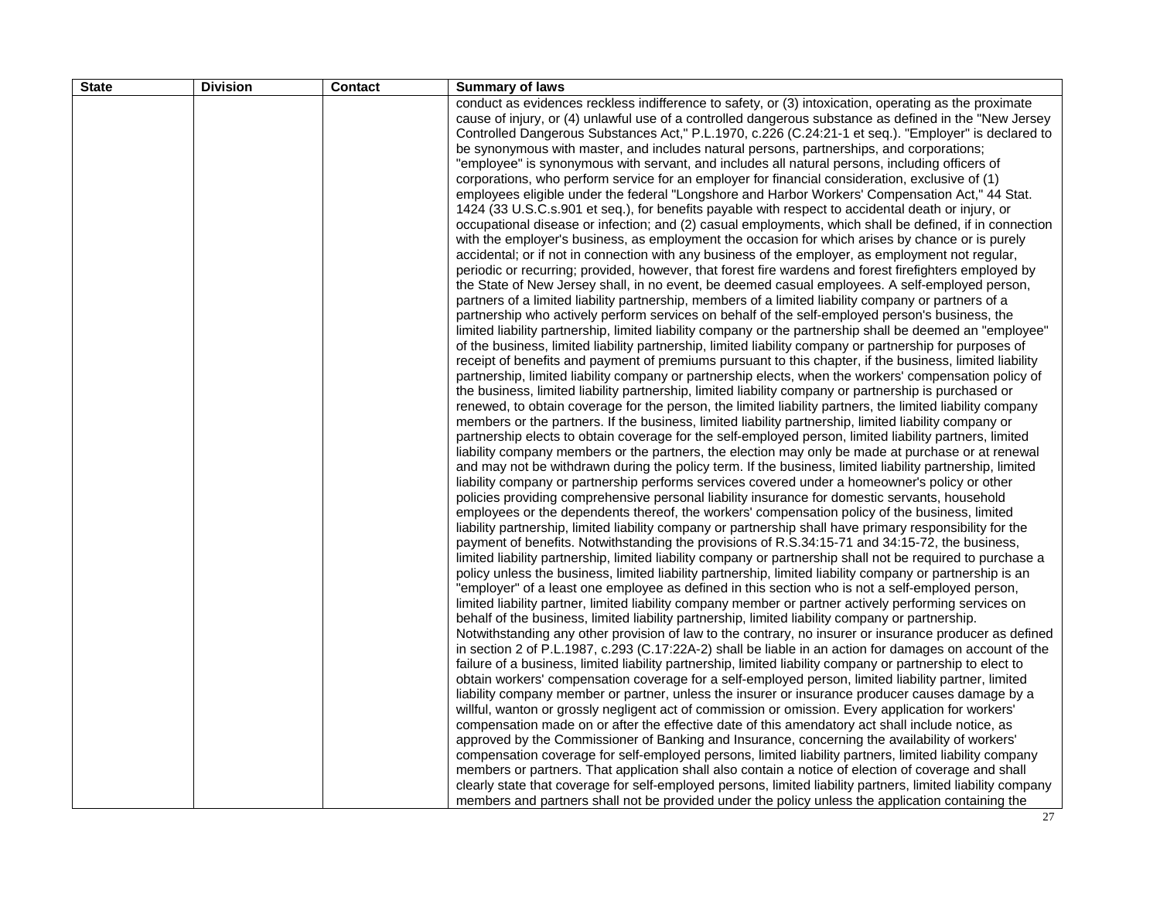| <b>State</b> | <b>Division</b> | <b>Contact</b> | <b>Summary of laws</b>                                                                                       |
|--------------|-----------------|----------------|--------------------------------------------------------------------------------------------------------------|
|              |                 |                | conduct as evidences reckless indifference to safety, or (3) intoxication, operating as the proximate        |
|              |                 |                | cause of injury, or (4) unlawful use of a controlled dangerous substance as defined in the "New Jersey       |
|              |                 |                | Controlled Dangerous Substances Act," P.L.1970, c.226 (C.24:21-1 et seq.). "Employer" is declared to         |
|              |                 |                | be synonymous with master, and includes natural persons, partnerships, and corporations;                     |
|              |                 |                | "employee" is synonymous with servant, and includes all natural persons, including officers of               |
|              |                 |                | corporations, who perform service for an employer for financial consideration, exclusive of (1)              |
|              |                 |                | employees eligible under the federal "Longshore and Harbor Workers' Compensation Act," 44 Stat.              |
|              |                 |                | 1424 (33 U.S.C.s.901 et seq.), for benefits payable with respect to accidental death or injury, or           |
|              |                 |                | occupational disease or infection; and (2) casual employments, which shall be defined, if in connection      |
|              |                 |                | with the employer's business, as employment the occasion for which arises by chance or is purely             |
|              |                 |                | accidental; or if not in connection with any business of the employer, as employment not regular,            |
|              |                 |                | periodic or recurring; provided, however, that forest fire wardens and forest firefighters employed by       |
|              |                 |                | the State of New Jersey shall, in no event, be deemed casual employees. A self-employed person,              |
|              |                 |                | partners of a limited liability partnership, members of a limited liability company or partners of a         |
|              |                 |                | partnership who actively perform services on behalf of the self-employed person's business, the              |
|              |                 |                | limited liability partnership, limited liability company or the partnership shall be deemed an "employee"    |
|              |                 |                | of the business, limited liability partnership, limited liability company or partnership for purposes of     |
|              |                 |                | receipt of benefits and payment of premiums pursuant to this chapter, if the business, limited liability     |
|              |                 |                |                                                                                                              |
|              |                 |                | partnership, limited liability company or partnership elects, when the workers' compensation policy of       |
|              |                 |                | the business, limited liability partnership, limited liability company or partnership is purchased or        |
|              |                 |                | renewed, to obtain coverage for the person, the limited liability partners, the limited liability company    |
|              |                 |                | members or the partners. If the business, limited liability partnership, limited liability company or        |
|              |                 |                | partnership elects to obtain coverage for the self-employed person, limited liability partners, limited      |
|              |                 |                | liability company members or the partners, the election may only be made at purchase or at renewal           |
|              |                 |                | and may not be withdrawn during the policy term. If the business, limited liability partnership, limited     |
|              |                 |                | liability company or partnership performs services covered under a homeowner's policy or other               |
|              |                 |                | policies providing comprehensive personal liability insurance for domestic servants, household               |
|              |                 |                | employees or the dependents thereof, the workers' compensation policy of the business, limited               |
|              |                 |                | liability partnership, limited liability company or partnership shall have primary responsibility for the    |
|              |                 |                | payment of benefits. Notwithstanding the provisions of R.S.34:15-71 and 34:15-72, the business,              |
|              |                 |                | limited liability partnership, limited liability company or partnership shall not be required to purchase a  |
|              |                 |                | policy unless the business, limited liability partnership, limited liability company or partnership is an    |
|              |                 |                | "employer" of a least one employee as defined in this section who is not a self-employed person,             |
|              |                 |                | limited liability partner, limited liability company member or partner actively performing services on       |
|              |                 |                | behalf of the business, limited liability partnership, limited liability company or partnership.             |
|              |                 |                | Notwithstanding any other provision of law to the contrary, no insurer or insurance producer as defined      |
|              |                 |                | in section 2 of P.L.1987, c.293 (C.17:22A-2) shall be liable in an action for damages on account of the      |
|              |                 |                | failure of a business, limited liability partnership, limited liability company or partnership to elect to   |
|              |                 |                | obtain workers' compensation coverage for a self-employed person, limited liability partner, limited         |
|              |                 |                | liability company member or partner, unless the insurer or insurance producer causes damage by a             |
|              |                 |                | willful, wanton or grossly negligent act of commission or omission. Every application for workers'           |
|              |                 |                | compensation made on or after the effective date of this amendatory act shall include notice, as             |
|              |                 |                | approved by the Commissioner of Banking and Insurance, concerning the availability of workers'               |
|              |                 |                | compensation coverage for self-employed persons, limited liability partners, limited liability company       |
|              |                 |                | members or partners. That application shall also contain a notice of election of coverage and shall          |
|              |                 |                | clearly state that coverage for self-employed persons, limited liability partners, limited liability company |
|              |                 |                | members and partners shall not be provided under the policy unless the application containing the            |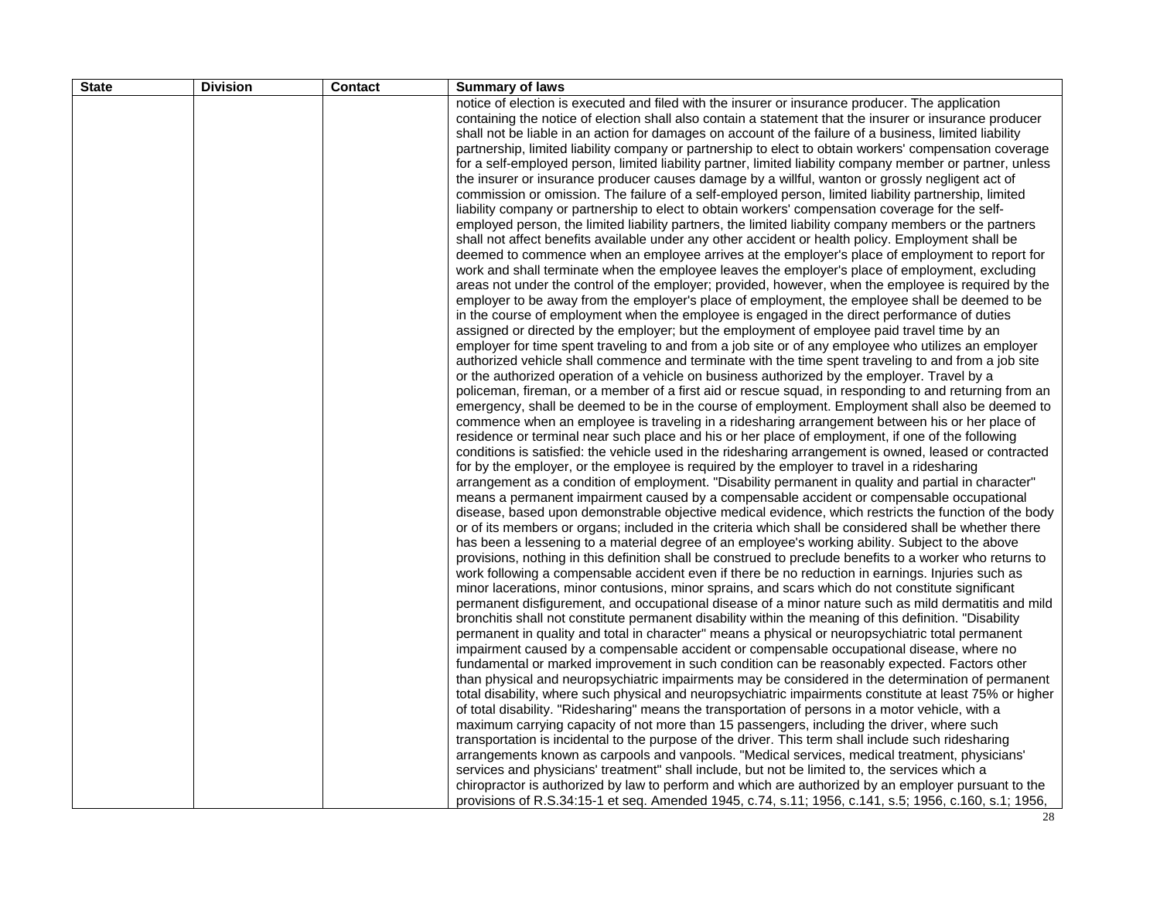| <b>State</b> | <b>Division</b> | <b>Contact</b> | <b>Summary of laws</b>                                                                                                                                                                                         |
|--------------|-----------------|----------------|----------------------------------------------------------------------------------------------------------------------------------------------------------------------------------------------------------------|
|              |                 |                | notice of election is executed and filed with the insurer or insurance producer. The application                                                                                                               |
|              |                 |                | containing the notice of election shall also contain a statement that the insurer or insurance producer                                                                                                        |
|              |                 |                | shall not be liable in an action for damages on account of the failure of a business, limited liability                                                                                                        |
|              |                 |                | partnership, limited liability company or partnership to elect to obtain workers' compensation coverage                                                                                                        |
|              |                 |                | for a self-employed person, limited liability partner, limited liability company member or partner, unless                                                                                                     |
|              |                 |                | the insurer or insurance producer causes damage by a willful, wanton or grossly negligent act of                                                                                                               |
|              |                 |                | commission or omission. The failure of a self-employed person, limited liability partnership, limited                                                                                                          |
|              |                 |                | liability company or partnership to elect to obtain workers' compensation coverage for the self-                                                                                                               |
|              |                 |                | employed person, the limited liability partners, the limited liability company members or the partners                                                                                                         |
|              |                 |                | shall not affect benefits available under any other accident or health policy. Employment shall be                                                                                                             |
|              |                 |                | deemed to commence when an employee arrives at the employer's place of employment to report for                                                                                                                |
|              |                 |                | work and shall terminate when the employee leaves the employer's place of employment, excluding                                                                                                                |
|              |                 |                | areas not under the control of the employer; provided, however, when the employee is required by the                                                                                                           |
|              |                 |                | employer to be away from the employer's place of employment, the employee shall be deemed to be                                                                                                                |
|              |                 |                | in the course of employment when the employee is engaged in the direct performance of duties                                                                                                                   |
|              |                 |                | assigned or directed by the employer; but the employment of employee paid travel time by an                                                                                                                    |
|              |                 |                | employer for time spent traveling to and from a job site or of any employee who utilizes an employer                                                                                                           |
|              |                 |                | authorized vehicle shall commence and terminate with the time spent traveling to and from a job site                                                                                                           |
|              |                 |                | or the authorized operation of a vehicle on business authorized by the employer. Travel by a                                                                                                                   |
|              |                 |                | policeman, fireman, or a member of a first aid or rescue squad, in responding to and returning from an                                                                                                         |
|              |                 |                | emergency, shall be deemed to be in the course of employment. Employment shall also be deemed to                                                                                                               |
|              |                 |                | commence when an employee is traveling in a ridesharing arrangement between his or her place of                                                                                                                |
|              |                 |                | residence or terminal near such place and his or her place of employment, if one of the following                                                                                                              |
|              |                 |                | conditions is satisfied: the vehicle used in the ridesharing arrangement is owned, leased or contracted                                                                                                        |
|              |                 |                | for by the employer, or the employee is required by the employer to travel in a ridesharing                                                                                                                    |
|              |                 |                | arrangement as a condition of employment. "Disability permanent in quality and partial in character"                                                                                                           |
|              |                 |                | means a permanent impairment caused by a compensable accident or compensable occupational                                                                                                                      |
|              |                 |                | disease, based upon demonstrable objective medical evidence, which restricts the function of the body                                                                                                          |
|              |                 |                | or of its members or organs; included in the criteria which shall be considered shall be whether there                                                                                                         |
|              |                 |                | has been a lessening to a material degree of an employee's working ability. Subject to the above                                                                                                               |
|              |                 |                | provisions, nothing in this definition shall be construed to preclude benefits to a worker who returns to<br>work following a compensable accident even if there be no reduction in earnings. Injuries such as |
|              |                 |                | minor lacerations, minor contusions, minor sprains, and scars which do not constitute significant                                                                                                              |
|              |                 |                | permanent disfigurement, and occupational disease of a minor nature such as mild dermatitis and mild                                                                                                           |
|              |                 |                | bronchitis shall not constitute permanent disability within the meaning of this definition. "Disability                                                                                                        |
|              |                 |                | permanent in quality and total in character" means a physical or neuropsychiatric total permanent                                                                                                              |
|              |                 |                | impairment caused by a compensable accident or compensable occupational disease, where no                                                                                                                      |
|              |                 |                | fundamental or marked improvement in such condition can be reasonably expected. Factors other                                                                                                                  |
|              |                 |                | than physical and neuropsychiatric impairments may be considered in the determination of permanent                                                                                                             |
|              |                 |                | total disability, where such physical and neuropsychiatric impairments constitute at least 75% or higher                                                                                                       |
|              |                 |                | of total disability. "Ridesharing" means the transportation of persons in a motor vehicle, with a                                                                                                              |
|              |                 |                | maximum carrying capacity of not more than 15 passengers, including the driver, where such                                                                                                                     |
|              |                 |                | transportation is incidental to the purpose of the driver. This term shall include such ridesharing                                                                                                            |
|              |                 |                | arrangements known as carpools and vanpools. "Medical services, medical treatment, physicians'                                                                                                                 |
|              |                 |                | services and physicians' treatment" shall include, but not be limited to, the services which a                                                                                                                 |
|              |                 |                | chiropractor is authorized by law to perform and which are authorized by an employer pursuant to the                                                                                                           |
|              |                 |                | provisions of R.S.34:15-1 et seq. Amended 1945, c.74, s.11; 1956, c.141, s.5; 1956, c.160, s.1; 1956,                                                                                                          |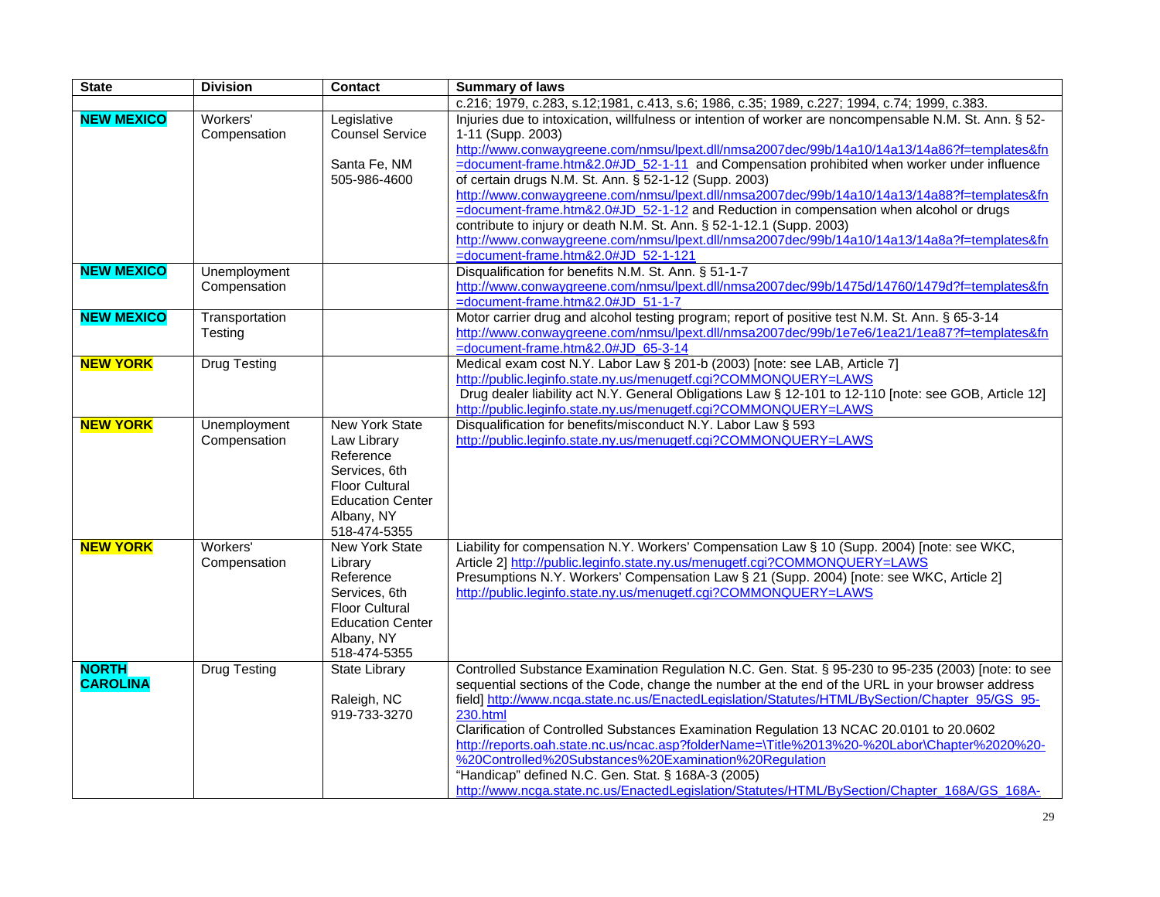| <b>State</b>                    | <b>Division</b>              | <b>Contact</b>                                                                                                                                       | <b>Summary of laws</b>                                                                                                                                                                                                                                                                                                                                                                                                                                                                                                                                                                                                                                                                                                           |
|---------------------------------|------------------------------|------------------------------------------------------------------------------------------------------------------------------------------------------|----------------------------------------------------------------------------------------------------------------------------------------------------------------------------------------------------------------------------------------------------------------------------------------------------------------------------------------------------------------------------------------------------------------------------------------------------------------------------------------------------------------------------------------------------------------------------------------------------------------------------------------------------------------------------------------------------------------------------------|
|                                 |                              |                                                                                                                                                      | c.216; 1979, c.283, s.12;1981, c.413, s.6; 1986, c.35; 1989, c.227; 1994, c.74; 1999, c.383.                                                                                                                                                                                                                                                                                                                                                                                                                                                                                                                                                                                                                                     |
| <b>NEW MEXICO</b>               | Workers'<br>Compensation     | Legislative<br><b>Counsel Service</b><br>Santa Fe, NM<br>505-986-4600                                                                                | Injuries due to intoxication, willfulness or intention of worker are noncompensable N.M. St. Ann. § 52-<br>1-11 (Supp. 2003)<br>http://www.conwaygreene.com/nmsu/lpext.dll/nmsa2007dec/99b/14a10/14a13/14a86?f=templates&fn<br>=document-frame.htm&2.0#JD_52-1-11 and Compensation prohibited when worker under influence<br>of certain drugs N.M. St. Ann. § 52-1-12 (Supp. 2003)<br>http://www.conwaygreene.com/nmsu/lpext.dll/nmsa2007dec/99b/14a10/14a13/14a88?f=templates&fn<br>=document-frame.htm&2.0#JD 52-1-12 and Reduction in compensation when alcohol or drugs<br>contribute to injury or death N.M. St. Ann. § 52-1-12.1 (Supp. 2003)                                                                              |
|                                 |                              |                                                                                                                                                      | http://www.conwaygreene.com/nmsu/lpext.dll/nmsa2007dec/99b/14a10/14a13/14a8a?f=templates&fn<br>=document-frame.htm&2.0#JD 52-1-121                                                                                                                                                                                                                                                                                                                                                                                                                                                                                                                                                                                               |
| <b>NEW MEXICO</b>               | Unemployment<br>Compensation |                                                                                                                                                      | Disqualification for benefits N.M. St. Ann. § 51-1-7<br>http://www.conwaygreene.com/nmsu/lpext.dll/nmsa2007dec/99b/1475d/14760/1479d?f=templates&fn<br>=document-frame.htm&2.0#JD 51-1-7                                                                                                                                                                                                                                                                                                                                                                                                                                                                                                                                         |
| <b>NEW MEXICO</b>               | Transportation<br>Testing    |                                                                                                                                                      | Motor carrier drug and alcohol testing program; report of positive test N.M. St. Ann. § 65-3-14<br>http://www.conwaygreene.com/nmsu/lpext.dll/nmsa2007dec/99b/1e7e6/1ea21/1ea87?f=templates&fn<br>=document-frame.htm&2.0#JD_65-3-14                                                                                                                                                                                                                                                                                                                                                                                                                                                                                             |
| <b>NEW YORK</b>                 | <b>Drug Testing</b>          |                                                                                                                                                      | Medical exam cost N.Y. Labor Law § 201-b (2003) [note: see LAB, Article 7]<br>http://public.leginfo.state.ny.us/menugetf.cgi?COMMONQUERY=LAWS<br>Drug dealer liability act N.Y. General Obligations Law § 12-101 to 12-110 [note: see GOB, Article 12]<br>http://public.leginfo.state.ny.us/menugetf.cgi?COMMONQUERY=LAWS                                                                                                                                                                                                                                                                                                                                                                                                        |
| <b>NEW YORK</b>                 | Unemployment<br>Compensation | <b>New York State</b><br>Law Library<br>Reference<br>Services, 6th<br><b>Floor Cultural</b><br><b>Education Center</b><br>Albany, NY<br>518-474-5355 | Disqualification for benefits/misconduct N.Y. Labor Law § 593<br>http://public.leginfo.state.ny.us/menugetf.cgi?COMMONQUERY=LAWS                                                                                                                                                                                                                                                                                                                                                                                                                                                                                                                                                                                                 |
| <b>NEW YORK</b>                 | Workers'<br>Compensation     | <b>New York State</b><br>Library<br>Reference<br>Services, 6th<br><b>Floor Cultural</b><br><b>Education Center</b><br>Albany, NY<br>518-474-5355     | Liability for compensation N.Y. Workers' Compensation Law § 10 (Supp. 2004) [note: see WKC,<br>Article 2] http://public.leginfo.state.ny.us/menugetf.cgi?COMMONQUERY=LAWS<br>Presumptions N.Y. Workers' Compensation Law § 21 (Supp. 2004) [note: see WKC, Article 2]<br>http://public.leginfo.state.ny.us/menugetf.cgi?COMMONQUERY=LAWS                                                                                                                                                                                                                                                                                                                                                                                         |
| <b>NORTH</b><br><b>CAROLINA</b> | <b>Drug Testing</b>          | <b>State Library</b><br>Raleigh, NC<br>919-733-3270                                                                                                  | Controlled Substance Examination Regulation N.C. Gen. Stat. § 95-230 to 95-235 (2003) [note: to see<br>sequential sections of the Code, change the number at the end of the URL in your browser address<br>field] http://www.ncga.state.nc.us/EnactedLegislation/Statutes/HTML/BySection/Chapter_95/GS_95-<br>230.html<br>Clarification of Controlled Substances Examination Regulation 13 NCAC 20.0101 to 20.0602<br>http://reports.oah.state.nc.us/ncac.asp?folderName=\Title%2013%20-%20Labor\Chapter%2020%20-<br>%20Controlled%20Substances%20Examination%20Regulation<br>"Handicap" defined N.C. Gen. Stat. § 168A-3 (2005)<br>http://www.ncga.state.nc.us/EnactedLegislation/Statutes/HTML/BySection/Chapter_168A/GS_168A- |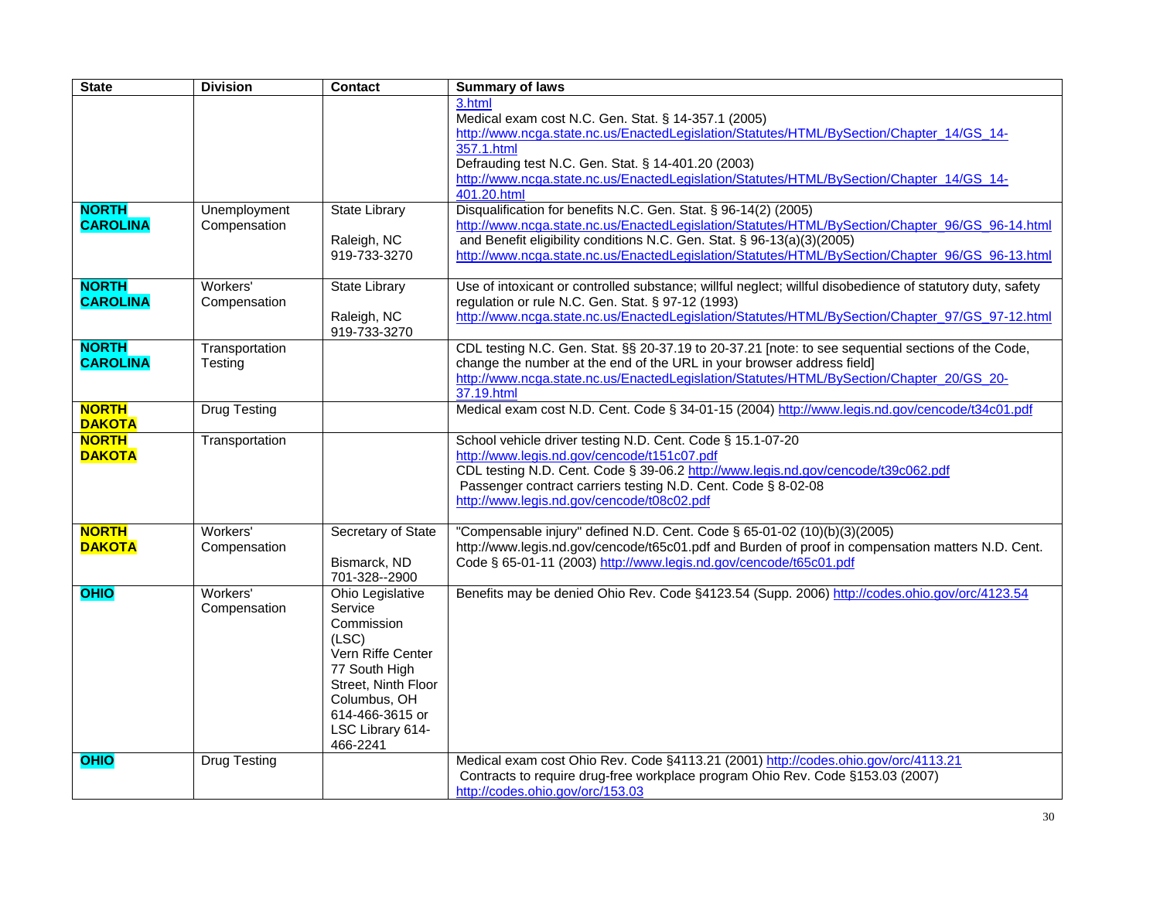| <b>State</b>                    | <b>Division</b>           | <b>Contact</b>                                                                                                                                                                     | <b>Summary of laws</b>                                                                                                                                                                                                                                                                                                                                                                                      |
|---------------------------------|---------------------------|------------------------------------------------------------------------------------------------------------------------------------------------------------------------------------|-------------------------------------------------------------------------------------------------------------------------------------------------------------------------------------------------------------------------------------------------------------------------------------------------------------------------------------------------------------------------------------------------------------|
| <b>NORTH</b>                    | Unemployment              | <b>State Library</b>                                                                                                                                                               | 3.html<br>Medical exam cost N.C. Gen. Stat. § 14-357.1 (2005)<br>http://www.ncga.state.nc.us/EnactedLegislation/Statutes/HTML/BySection/Chapter 14/GS 14-<br>357.1.html<br>Defrauding test N.C. Gen. Stat. § 14-401.20 (2003)<br>http://www.ncga.state.nc.us/EnactedLegislation/Statutes/HTML/BySection/Chapter 14/GS 14-<br>401.20.html<br>Disqualification for benefits N.C. Gen. Stat. § 96-14(2) (2005) |
| <b>CAROLINA</b>                 | Compensation              | Raleigh, NC<br>919-733-3270                                                                                                                                                        | http://www.ncqa.state.nc.us/EnactedLegislation/Statutes/HTML/BySection/Chapter 96/GS 96-14.html<br>and Benefit eligibility conditions N.C. Gen. Stat. § 96-13(a)(3)(2005)<br>http://www.ncga.state.nc.us/EnactedLegislation/Statutes/HTML/BySection/Chapter 96/GS 96-13.html                                                                                                                                |
| <b>NORTH</b><br><b>CAROLINA</b> | Workers'<br>Compensation  | <b>State Library</b><br>Raleigh, NC<br>919-733-3270                                                                                                                                | Use of intoxicant or controlled substance; willful neglect; willful disobedience of statutory duty, safety<br>regulation or rule N.C. Gen. Stat. § 97-12 (1993)<br>http://www.ncga.state.nc.us/EnactedLegislation/Statutes/HTML/BySection/Chapter_97/GS_97-12.html                                                                                                                                          |
| <b>NORTH</b><br><b>CAROLINA</b> | Transportation<br>Testing |                                                                                                                                                                                    | CDL testing N.C. Gen. Stat. §§ 20-37.19 to 20-37.21 [note: to see sequential sections of the Code,<br>change the number at the end of the URL in your browser address field]<br>http://www.ncga.state.nc.us/EnactedLegislation/Statutes/HTML/BySection/Chapter_20/GS_20-<br>37.19.html                                                                                                                      |
| <b>NORTH</b><br><b>DAKOTA</b>   | <b>Drug Testing</b>       |                                                                                                                                                                                    | Medical exam cost N.D. Cent. Code § 34-01-15 (2004) http://www.legis.nd.gov/cencode/t34c01.pdf                                                                                                                                                                                                                                                                                                              |
| <b>NORTH</b><br><b>DAKOTA</b>   | Transportation            |                                                                                                                                                                                    | School vehicle driver testing N.D. Cent. Code § 15.1-07-20<br>http://www.legis.nd.gov/cencode/t151c07.pdf<br>CDL testing N.D. Cent. Code § 39-06.2 http://www.legis.nd.gov/cencode/t39c062.pdf<br>Passenger contract carriers testing N.D. Cent. Code § 8-02-08<br>http://www.legis.nd.gov/cencode/t08c02.pdf                                                                                               |
| <b>NORTH</b><br><b>DAKOTA</b>   | Workers'<br>Compensation  | Secretary of State<br>Bismarck, ND<br>701-328--2900                                                                                                                                | "Compensable injury" defined N.D. Cent. Code § 65-01-02 (10)(b)(3)(2005)<br>http://www.legis.nd.gov/cencode/t65c01.pdf and Burden of proof in compensation matters N.D. Cent.<br>Code § 65-01-11 (2003) http://www.legis.nd.gov/cencode/t65c01.pdf                                                                                                                                                          |
| <b>OHIO</b>                     | Workers'<br>Compensation  | Ohio Legislative<br>Service<br>Commission<br>(LSC)<br>Vern Riffe Center<br>77 South High<br>Street, Ninth Floor<br>Columbus, OH<br>614-466-3615 or<br>LSC Library 614-<br>466-2241 | Benefits may be denied Ohio Rev. Code §4123.54 (Supp. 2006) http://codes.ohio.gov/orc/4123.54                                                                                                                                                                                                                                                                                                               |
| <b>OHIO</b>                     | <b>Drug Testing</b>       |                                                                                                                                                                                    | Medical exam cost Ohio Rev. Code §4113.21 (2001) http://codes.ohio.gov/orc/4113.21<br>Contracts to require drug-free workplace program Ohio Rev. Code §153.03 (2007)<br>http://codes.ohio.gov/orc/153.03                                                                                                                                                                                                    |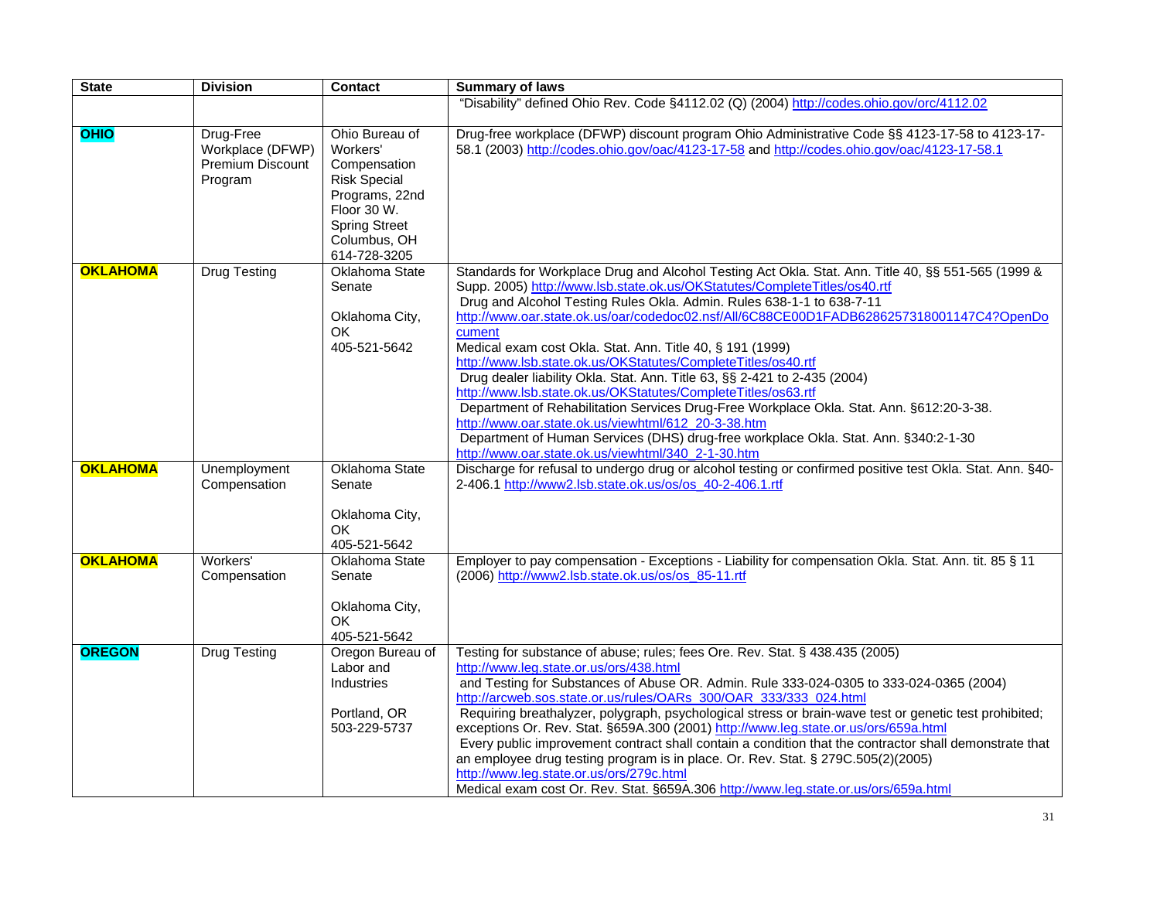| <b>State</b>    | <b>Division</b>                                              | Contact                                                                                                                                                    | <b>Summary of laws</b>                                                                                                                                                                                                                                                                                                                                                                                                                                                                                                                                                                                                                                                                                                                                                                                                                                                                                                                     |
|-----------------|--------------------------------------------------------------|------------------------------------------------------------------------------------------------------------------------------------------------------------|--------------------------------------------------------------------------------------------------------------------------------------------------------------------------------------------------------------------------------------------------------------------------------------------------------------------------------------------------------------------------------------------------------------------------------------------------------------------------------------------------------------------------------------------------------------------------------------------------------------------------------------------------------------------------------------------------------------------------------------------------------------------------------------------------------------------------------------------------------------------------------------------------------------------------------------------|
|                 |                                                              |                                                                                                                                                            | "Disability" defined Ohio Rev. Code §4112.02 (Q) (2004) http://codes.ohio.gov/orc/4112.02                                                                                                                                                                                                                                                                                                                                                                                                                                                                                                                                                                                                                                                                                                                                                                                                                                                  |
| <b>OHIO</b>     | Drug-Free<br>Workplace (DFWP)<br>Premium Discount<br>Program | Ohio Bureau of<br>Workers'<br>Compensation<br><b>Risk Special</b><br>Programs, 22nd<br>Floor 30 W.<br><b>Spring Street</b><br>Columbus, OH<br>614-728-3205 | Drug-free workplace (DFWP) discount program Ohio Administrative Code §§ 4123-17-58 to 4123-17-<br>58.1 (2003) http://codes.ohio.gov/oac/4123-17-58 and http://codes.ohio.gov/oac/4123-17-58.1                                                                                                                                                                                                                                                                                                                                                                                                                                                                                                                                                                                                                                                                                                                                              |
| <b>OKLAHOMA</b> | <b>Drug Testing</b>                                          | Oklahoma State<br>Senate<br>Oklahoma City,<br><b>OK</b><br>405-521-5642                                                                                    | Standards for Workplace Drug and Alcohol Testing Act Okla. Stat. Ann. Title 40, §§ 551-565 (1999 &<br>Supp. 2005) http://www.lsb.state.ok.us/OKStatutes/CompleteTitles/os40.rtf<br>Drug and Alcohol Testing Rules Okla. Admin. Rules 638-1-1 to 638-7-11<br>http://www.oar.state.ok.us/oar/codedoc02.nsf/All/6C88CE00D1FADB6286257318001147C4?OpenDo<br>cument<br>Medical exam cost Okla. Stat. Ann. Title 40, § 191 (1999)<br>http://www.lsb.state.ok.us/OKStatutes/CompleteTitles/os40.rtf<br>Drug dealer liability Okla. Stat. Ann. Title 63, §§ 2-421 to 2-435 (2004)<br>http://www.lsb.state.ok.us/OKStatutes/CompleteTitles/os63.rtf<br>Department of Rehabilitation Services Drug-Free Workplace Okla. Stat. Ann. §612:20-3-38.<br>http://www.oar.state.ok.us/viewhtml/612 20-3-38.htm<br>Department of Human Services (DHS) drug-free workplace Okla. Stat. Ann. §340:2-1-30<br>http://www.oar.state.ok.us/viewhtml/340_2-1-30.htm |
| <b>OKLAHOMA</b> | Unemployment<br>Compensation                                 | Oklahoma State<br>Senate<br>Oklahoma City,<br>OK.<br>405-521-5642                                                                                          | Discharge for refusal to undergo drug or alcohol testing or confirmed positive test Okla. Stat. Ann. §40-<br>2-406.1 http://www2.lsb.state.ok.us/os/os 40-2-406.1.rtf                                                                                                                                                                                                                                                                                                                                                                                                                                                                                                                                                                                                                                                                                                                                                                      |
| <b>OKLAHOMA</b> | Workers'<br>Compensation                                     | Oklahoma State<br>Senate<br>Oklahoma City,<br>OK<br>405-521-5642                                                                                           | Employer to pay compensation - Exceptions - Liability for compensation Okla. Stat. Ann. tit. 85 § 11<br>(2006) http://www2.lsb.state.ok.us/os/os_85-11.rtf                                                                                                                                                                                                                                                                                                                                                                                                                                                                                                                                                                                                                                                                                                                                                                                 |
| <b>OREGON</b>   | <b>Drug Testing</b>                                          | Oregon Bureau of<br>Labor and<br>Industries<br>Portland, OR<br>503-229-5737                                                                                | Testing for substance of abuse; rules; fees Ore. Rev. Stat. § 438.435 (2005)<br>http://www.leg.state.or.us/ors/438.html<br>and Testing for Substances of Abuse OR. Admin. Rule 333-024-0305 to 333-024-0365 (2004)<br>http://arcweb.sos.state.or.us/rules/OARs_300/OAR_333/333_024.html<br>Requiring breathalyzer, polygraph, psychological stress or brain-wave test or genetic test prohibited;<br>exceptions Or. Rev. Stat. §659A.300 (2001) http://www.leg.state.or.us/ors/659a.html<br>Every public improvement contract shall contain a condition that the contractor shall demonstrate that<br>an employee drug testing program is in place. Or. Rev. Stat. § 279C.505(2)(2005)<br>http://www.leg.state.or.us/ors/279c.html<br>Medical exam cost Or. Rev. Stat. §659A.306 http://www.leg.state.or.us/ors/659a.html                                                                                                                  |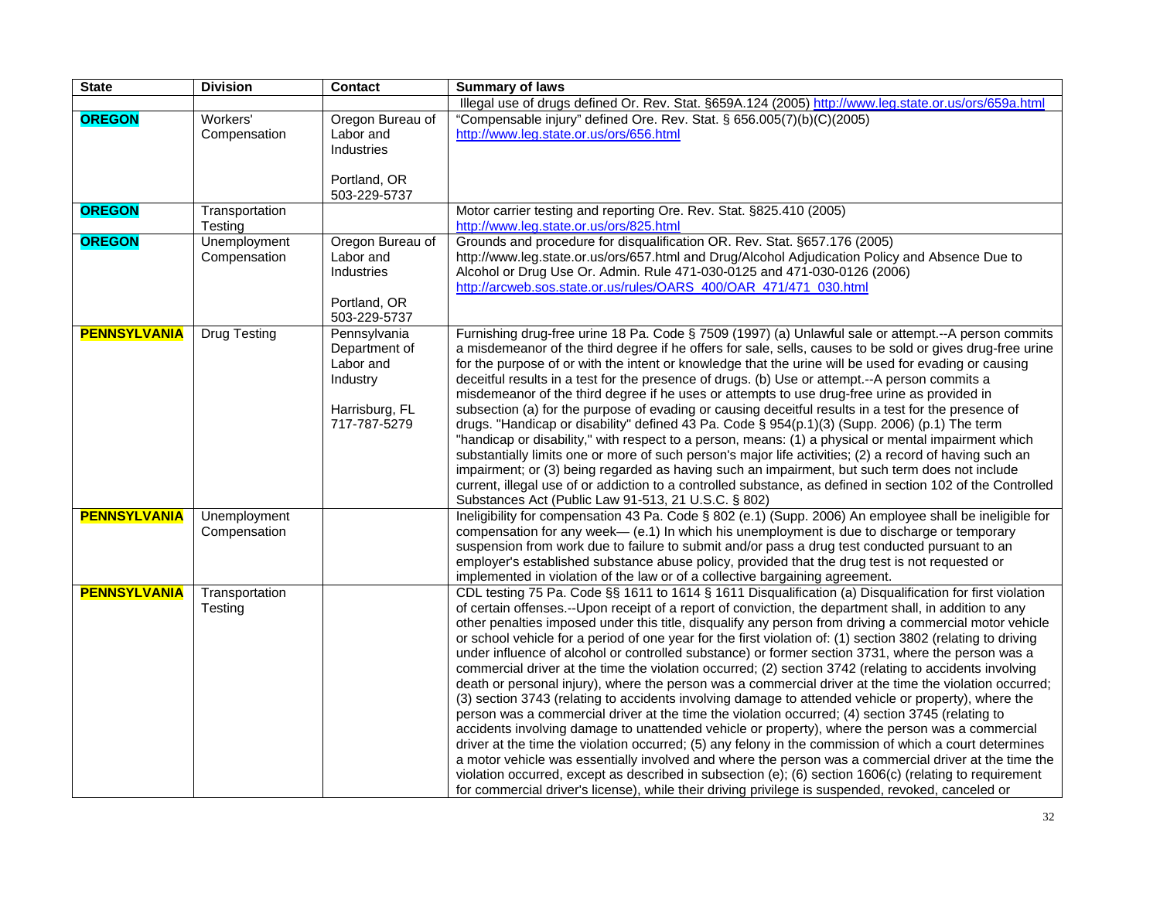| <b>State</b>        | <b>Division</b>     | Contact                      | <b>Summary of laws</b>                                                                                                                                                                                             |
|---------------------|---------------------|------------------------------|--------------------------------------------------------------------------------------------------------------------------------------------------------------------------------------------------------------------|
|                     |                     |                              | Illegal use of drugs defined Or. Rev. Stat. §659A.124 (2005) http://www.leg.state.or.us/ors/659a.html                                                                                                              |
| <b>OREGON</b>       | Workers'            | Oregon Bureau of             | "Compensable injury" defined Ore. Rev. Stat. § 656.005(7)(b)(C)(2005)                                                                                                                                              |
|                     | Compensation        | Labor and                    | http://www.leg.state.or.us/ors/656.html                                                                                                                                                                            |
|                     |                     | Industries                   |                                                                                                                                                                                                                    |
|                     |                     |                              |                                                                                                                                                                                                                    |
|                     |                     | Portland, OR                 |                                                                                                                                                                                                                    |
|                     |                     | 503-229-5737                 |                                                                                                                                                                                                                    |
| <b>OREGON</b>       | Transportation      |                              | Motor carrier testing and reporting Ore. Rev. Stat. §825.410 (2005)                                                                                                                                                |
|                     | Testing             |                              | http://www.leg.state.or.us/ors/825.html                                                                                                                                                                            |
| <b>OREGON</b>       | Unemployment        | Oregon Bureau of             | Grounds and procedure for disqualification OR. Rev. Stat. §657.176 (2005)                                                                                                                                          |
|                     | Compensation        | Labor and                    | http://www.leg.state.or.us/ors/657.html and Drug/Alcohol Adjudication Policy and Absence Due to                                                                                                                    |
|                     |                     | Industries                   | Alcohol or Drug Use Or. Admin. Rule 471-030-0125 and 471-030-0126 (2006)                                                                                                                                           |
|                     |                     |                              | http://arcweb.sos.state.or.us/rules/OARS_400/OAR_471/471_030.html                                                                                                                                                  |
|                     |                     | Portland, OR<br>503-229-5737 |                                                                                                                                                                                                                    |
| <b>PENNSYLVANIA</b> | <b>Drug Testing</b> | Pennsylvania                 | Furnishing drug-free urine 18 Pa. Code § 7509 (1997) (a) Unlawful sale or attempt.--A person commits                                                                                                               |
|                     |                     | Department of                | a misdemeanor of the third degree if he offers for sale, sells, causes to be sold or gives drug-free urine                                                                                                         |
|                     |                     | Labor and                    | for the purpose of or with the intent or knowledge that the urine will be used for evading or causing                                                                                                              |
|                     |                     | Industry                     | deceitful results in a test for the presence of drugs. (b) Use or attempt.--A person commits a                                                                                                                     |
|                     |                     |                              | misdemeanor of the third degree if he uses or attempts to use drug-free urine as provided in                                                                                                                       |
|                     |                     | Harrisburg, FL               | subsection (a) for the purpose of evading or causing deceitful results in a test for the presence of                                                                                                               |
|                     |                     | 717-787-5279                 | drugs. "Handicap or disability" defined 43 Pa. Code § 954(p.1)(3) (Supp. 2006) (p.1) The term                                                                                                                      |
|                     |                     |                              | "handicap or disability," with respect to a person, means: (1) a physical or mental impairment which                                                                                                               |
|                     |                     |                              | substantially limits one or more of such person's major life activities; (2) a record of having such an                                                                                                            |
|                     |                     |                              | impairment; or (3) being regarded as having such an impairment, but such term does not include                                                                                                                     |
|                     |                     |                              | current, illegal use of or addiction to a controlled substance, as defined in section 102 of the Controlled                                                                                                        |
|                     |                     |                              | Substances Act (Public Law 91-513, 21 U.S.C. § 802)                                                                                                                                                                |
| <b>PENNSYLVANIA</b> | Unemployment        |                              | Ineligibility for compensation 43 Pa. Code § 802 (e.1) (Supp. 2006) An employee shall be ineligible for                                                                                                            |
|                     | Compensation        |                              | compensation for any week— (e.1) In which his unemployment is due to discharge or temporary                                                                                                                        |
|                     |                     |                              | suspension from work due to failure to submit and/or pass a drug test conducted pursuant to an                                                                                                                     |
|                     |                     |                              | employer's established substance abuse policy, provided that the drug test is not requested or                                                                                                                     |
|                     |                     |                              | implemented in violation of the law or of a collective bargaining agreement.                                                                                                                                       |
| <b>PENNSYLVANIA</b> | Transportation      |                              | CDL testing 75 Pa. Code §§ 1611 to 1614 § 1611 Disqualification (a) Disqualification for first violation                                                                                                           |
|                     | Testing             |                              | of certain offenses.--Upon receipt of a report of conviction, the department shall, in addition to any                                                                                                             |
|                     |                     |                              | other penalties imposed under this title, disqualify any person from driving a commercial motor vehicle                                                                                                            |
|                     |                     |                              | or school vehicle for a period of one year for the first violation of: (1) section 3802 (relating to driving<br>under influence of alcohol or controlled substance) or former section 3731, where the person was a |
|                     |                     |                              | commercial driver at the time the violation occurred; (2) section 3742 (relating to accidents involving                                                                                                            |
|                     |                     |                              | death or personal injury), where the person was a commercial driver at the time the violation occurred;                                                                                                            |
|                     |                     |                              | (3) section 3743 (relating to accidents involving damage to attended vehicle or property), where the                                                                                                               |
|                     |                     |                              | person was a commercial driver at the time the violation occurred; (4) section 3745 (relating to                                                                                                                   |
|                     |                     |                              | accidents involving damage to unattended vehicle or property), where the person was a commercial                                                                                                                   |
|                     |                     |                              | driver at the time the violation occurred; (5) any felony in the commission of which a court determines                                                                                                            |
|                     |                     |                              | a motor vehicle was essentially involved and where the person was a commercial driver at the time the                                                                                                              |
|                     |                     |                              | violation occurred, except as described in subsection (e); (6) section 1606(c) (relating to requirement                                                                                                            |
|                     |                     |                              | for commercial driver's license), while their driving privilege is suspended, revoked, canceled or                                                                                                                 |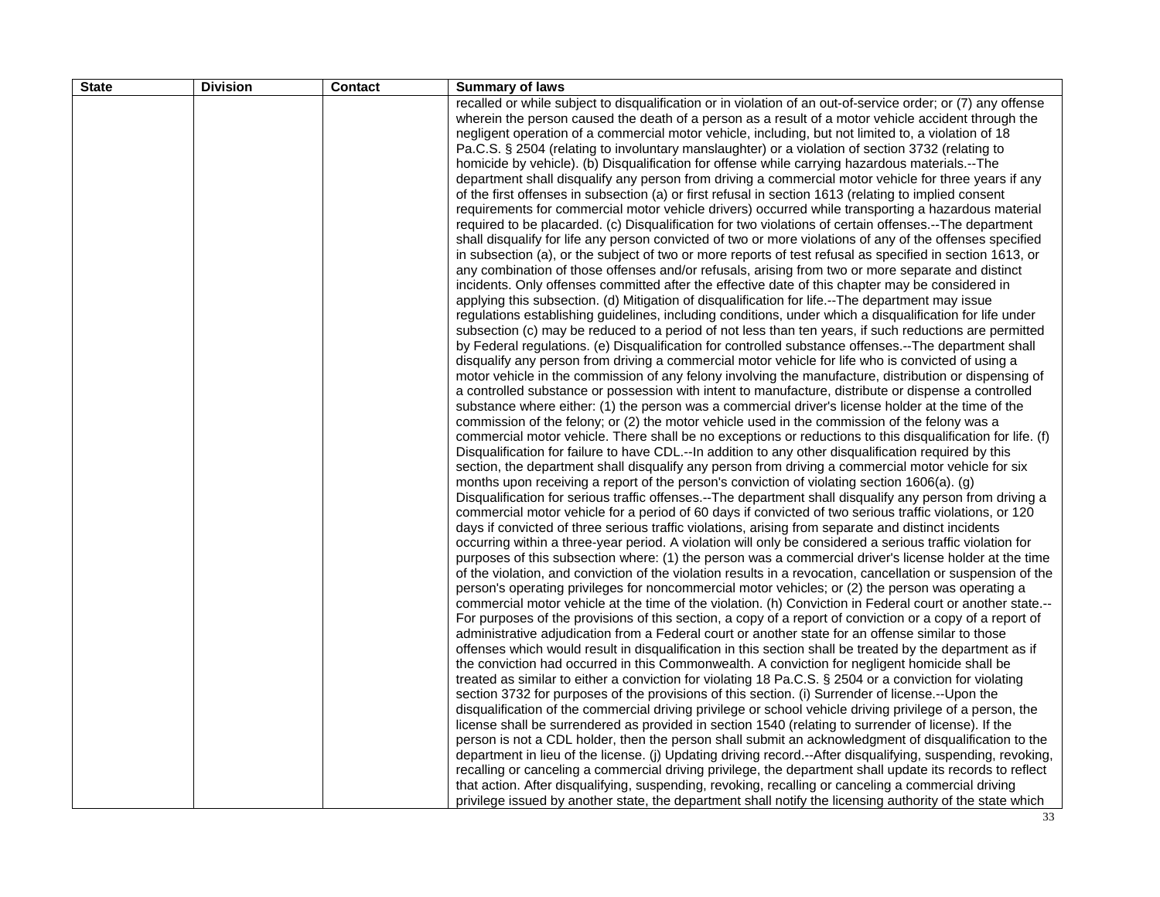| <b>State</b> | <b>Division</b> | <b>Contact</b> | <b>Summary of laws</b>                                                                                                                                                                                         |
|--------------|-----------------|----------------|----------------------------------------------------------------------------------------------------------------------------------------------------------------------------------------------------------------|
|              |                 |                | recalled or while subject to disqualification or in violation of an out-of-service order; or (7) any offense                                                                                                   |
|              |                 |                | wherein the person caused the death of a person as a result of a motor vehicle accident through the                                                                                                            |
|              |                 |                | negligent operation of a commercial motor vehicle, including, but not limited to, a violation of 18                                                                                                            |
|              |                 |                | Pa.C.S. § 2504 (relating to involuntary manslaughter) or a violation of section 3732 (relating to                                                                                                              |
|              |                 |                | homicide by vehicle). (b) Disqualification for offense while carrying hazardous materials.--The                                                                                                                |
|              |                 |                | department shall disqualify any person from driving a commercial motor vehicle for three years if any                                                                                                          |
|              |                 |                | of the first offenses in subsection (a) or first refusal in section 1613 (relating to implied consent                                                                                                          |
|              |                 |                | requirements for commercial motor vehicle drivers) occurred while transporting a hazardous material                                                                                                            |
|              |                 |                | required to be placarded. (c) Disqualification for two violations of certain offenses.--The department                                                                                                         |
|              |                 |                | shall disqualify for life any person convicted of two or more violations of any of the offenses specified                                                                                                      |
|              |                 |                | in subsection (a), or the subject of two or more reports of test refusal as specified in section 1613, or                                                                                                      |
|              |                 |                | any combination of those offenses and/or refusals, arising from two or more separate and distinct                                                                                                              |
|              |                 |                | incidents. Only offenses committed after the effective date of this chapter may be considered in                                                                                                               |
|              |                 |                | applying this subsection. (d) Mitigation of disqualification for life.--The department may issue                                                                                                               |
|              |                 |                | regulations establishing guidelines, including conditions, under which a disqualification for life under                                                                                                       |
|              |                 |                | subsection (c) may be reduced to a period of not less than ten years, if such reductions are permitted                                                                                                         |
|              |                 |                | by Federal regulations. (e) Disqualification for controlled substance offenses.--The department shall                                                                                                          |
|              |                 |                | disqualify any person from driving a commercial motor vehicle for life who is convicted of using a                                                                                                             |
|              |                 |                | motor vehicle in the commission of any felony involving the manufacture, distribution or dispensing of                                                                                                         |
|              |                 |                | a controlled substance or possession with intent to manufacture, distribute or dispense a controlled                                                                                                           |
|              |                 |                | substance where either: (1) the person was a commercial driver's license holder at the time of the                                                                                                             |
|              |                 |                | commission of the felony; or (2) the motor vehicle used in the commission of the felony was a                                                                                                                  |
|              |                 |                | commercial motor vehicle. There shall be no exceptions or reductions to this disqualification for life. (f)                                                                                                    |
|              |                 |                | Disqualification for failure to have CDL.--In addition to any other disqualification required by this                                                                                                          |
|              |                 |                | section, the department shall disqualify any person from driving a commercial motor vehicle for six                                                                                                            |
|              |                 |                | months upon receiving a report of the person's conviction of violating section 1606(a). (g)                                                                                                                    |
|              |                 |                | Disqualification for serious traffic offenses.--The department shall disqualify any person from driving a                                                                                                      |
|              |                 |                |                                                                                                                                                                                                                |
|              |                 |                | commercial motor vehicle for a period of 60 days if convicted of two serious traffic violations, or 120<br>days if convicted of three serious traffic violations, arising from separate and distinct incidents |
|              |                 |                | occurring within a three-year period. A violation will only be considered a serious traffic violation for                                                                                                      |
|              |                 |                |                                                                                                                                                                                                                |
|              |                 |                | purposes of this subsection where: (1) the person was a commercial driver's license holder at the time                                                                                                         |
|              |                 |                | of the violation, and conviction of the violation results in a revocation, cancellation or suspension of the                                                                                                   |
|              |                 |                | person's operating privileges for noncommercial motor vehicles; or (2) the person was operating a                                                                                                              |
|              |                 |                | commercial motor vehicle at the time of the violation. (h) Conviction in Federal court or another state.--                                                                                                     |
|              |                 |                | For purposes of the provisions of this section, a copy of a report of conviction or a copy of a report of                                                                                                      |
|              |                 |                | administrative adjudication from a Federal court or another state for an offense similar to those                                                                                                              |
|              |                 |                | offenses which would result in disqualification in this section shall be treated by the department as if                                                                                                       |
|              |                 |                | the conviction had occurred in this Commonwealth. A conviction for negligent homicide shall be                                                                                                                 |
|              |                 |                | treated as similar to either a conviction for violating 18 Pa.C.S. § 2504 or a conviction for violating                                                                                                        |
|              |                 |                | section 3732 for purposes of the provisions of this section. (i) Surrender of license.--Upon the<br>disqualification of the commercial driving privilege or school vehicle driving privilege of a person, the  |
|              |                 |                | license shall be surrendered as provided in section 1540 (relating to surrender of license). If the                                                                                                            |
|              |                 |                | person is not a CDL holder, then the person shall submit an acknowledgment of disqualification to the                                                                                                          |
|              |                 |                | department in lieu of the license. (j) Updating driving record.--After disqualifying, suspending, revoking,                                                                                                    |
|              |                 |                |                                                                                                                                                                                                                |
|              |                 |                | recalling or canceling a commercial driving privilege, the department shall update its records to reflect                                                                                                      |
|              |                 |                | that action. After disqualifying, suspending, revoking, recalling or canceling a commercial driving                                                                                                            |
|              |                 |                | privilege issued by another state, the department shall notify the licensing authority of the state which                                                                                                      |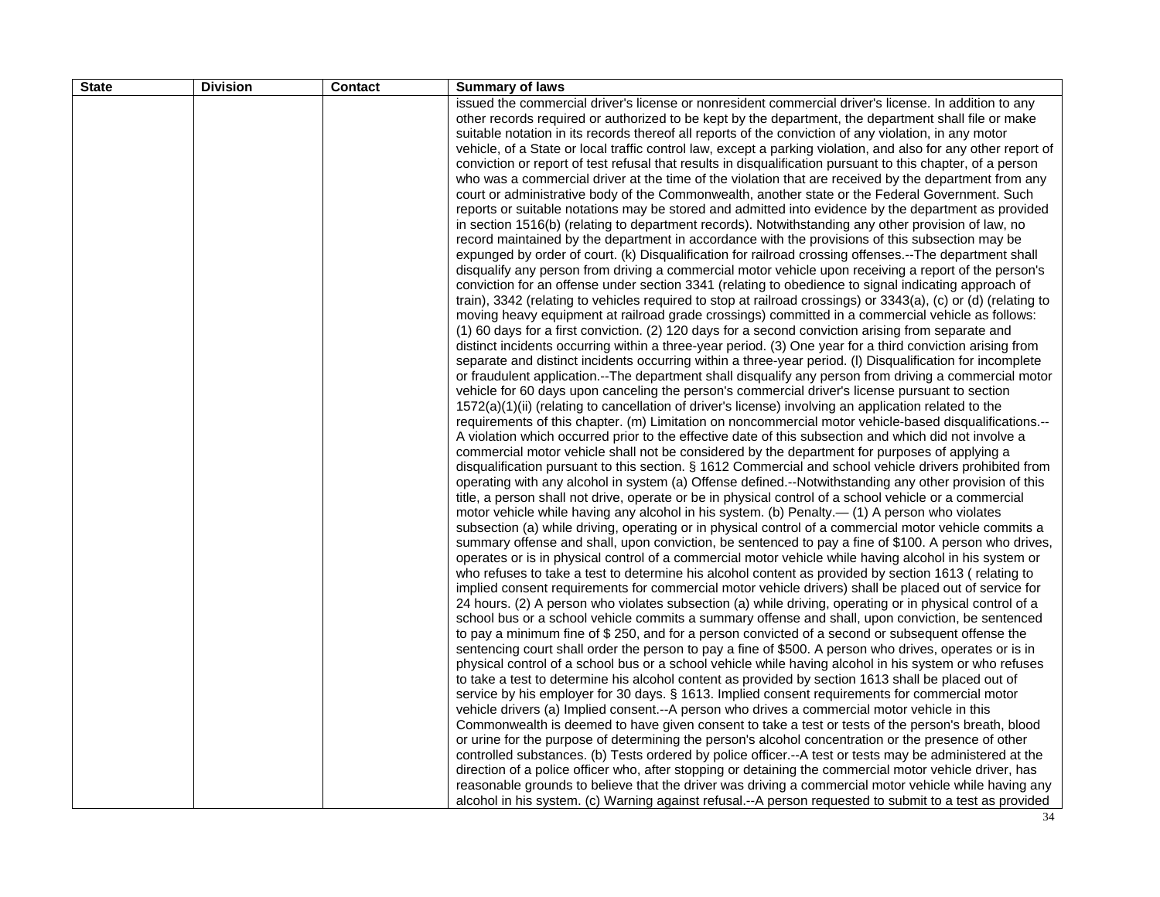| <b>State</b> | <b>Division</b> | <b>Contact</b> | Summary of laws                                                                                                |
|--------------|-----------------|----------------|----------------------------------------------------------------------------------------------------------------|
|              |                 |                | issued the commercial driver's license or nonresident commercial driver's license. In addition to any          |
|              |                 |                | other records required or authorized to be kept by the department, the department shall file or make           |
|              |                 |                | suitable notation in its records thereof all reports of the conviction of any violation, in any motor          |
|              |                 |                | vehicle, of a State or local traffic control law, except a parking violation, and also for any other report of |
|              |                 |                | conviction or report of test refusal that results in disqualification pursuant to this chapter, of a person    |
|              |                 |                | who was a commercial driver at the time of the violation that are received by the department from any          |
|              |                 |                | court or administrative body of the Commonwealth, another state or the Federal Government. Such                |
|              |                 |                | reports or suitable notations may be stored and admitted into evidence by the department as provided           |
|              |                 |                | in section 1516(b) (relating to department records). Notwithstanding any other provision of law, no            |
|              |                 |                | record maintained by the department in accordance with the provisions of this subsection may be                |
|              |                 |                | expunged by order of court. (k) Disqualification for railroad crossing offenses.--The department shall         |
|              |                 |                | disqualify any person from driving a commercial motor vehicle upon receiving a report of the person's          |
|              |                 |                | conviction for an offense under section 3341 (relating to obedience to signal indicating approach of           |
|              |                 |                | train), 3342 (relating to vehicles required to stop at railroad crossings) or 3343(a), (c) or (d) (relating to |
|              |                 |                | moving heavy equipment at railroad grade crossings) committed in a commercial vehicle as follows:              |
|              |                 |                | (1) 60 days for a first conviction. (2) 120 days for a second conviction arising from separate and             |
|              |                 |                | distinct incidents occurring within a three-year period. (3) One year for a third conviction arising from      |
|              |                 |                | separate and distinct incidents occurring within a three-year period. (I) Disqualification for incomplete      |
|              |                 |                | or fraudulent application.--The department shall disqualify any person from driving a commercial motor         |
|              |                 |                | vehicle for 60 days upon canceling the person's commercial driver's license pursuant to section                |
|              |                 |                | 1572(a)(1)(ii) (relating to cancellation of driver's license) involving an application related to the          |
|              |                 |                | requirements of this chapter. (m) Limitation on noncommercial motor vehicle-based disqualifications.--         |
|              |                 |                | A violation which occurred prior to the effective date of this subsection and which did not involve a          |
|              |                 |                | commercial motor vehicle shall not be considered by the department for purposes of applying a                  |
|              |                 |                | disqualification pursuant to this section. § 1612 Commercial and school vehicle drivers prohibited from        |
|              |                 |                | operating with any alcohol in system (a) Offense defined.--Notwithstanding any other provision of this         |
|              |                 |                | title, a person shall not drive, operate or be in physical control of a school vehicle or a commercial         |
|              |                 |                | motor vehicle while having any alcohol in his system. (b) Penalty.— (1) A person who violates                  |
|              |                 |                | subsection (a) while driving, operating or in physical control of a commercial motor vehicle commits a         |
|              |                 |                | summary offense and shall, upon conviction, be sentenced to pay a fine of \$100. A person who drives,          |
|              |                 |                | operates or is in physical control of a commercial motor vehicle while having alcohol in his system or         |
|              |                 |                | who refuses to take a test to determine his alcohol content as provided by section 1613 (relating to           |
|              |                 |                | implied consent requirements for commercial motor vehicle drivers) shall be placed out of service for          |
|              |                 |                | 24 hours. (2) A person who violates subsection (a) while driving, operating or in physical control of a        |
|              |                 |                | school bus or a school vehicle commits a summary offense and shall, upon conviction, be sentenced              |
|              |                 |                | to pay a minimum fine of \$250, and for a person convicted of a second or subsequent offense the               |
|              |                 |                | sentencing court shall order the person to pay a fine of \$500. A person who drives, operates or is in         |
|              |                 |                | physical control of a school bus or a school vehicle while having alcohol in his system or who refuses         |
|              |                 |                | to take a test to determine his alcohol content as provided by section 1613 shall be placed out of             |
|              |                 |                | service by his employer for 30 days. § 1613. Implied consent requirements for commercial motor                 |
|              |                 |                | vehicle drivers (a) Implied consent.--A person who drives a commercial motor vehicle in this                   |
|              |                 |                | Commonwealth is deemed to have given consent to take a test or tests of the person's breath, blood             |
|              |                 |                | or urine for the purpose of determining the person's alcohol concentration or the presence of other            |
|              |                 |                | controlled substances. (b) Tests ordered by police officer.--A test or tests may be administered at the        |
|              |                 |                | direction of a police officer who, after stopping or detaining the commercial motor vehicle driver, has        |
|              |                 |                | reasonable grounds to believe that the driver was driving a commercial motor vehicle while having any          |
|              |                 |                | alcohol in his system. (c) Warning against refusal.--A person requested to submit to a test as provided        |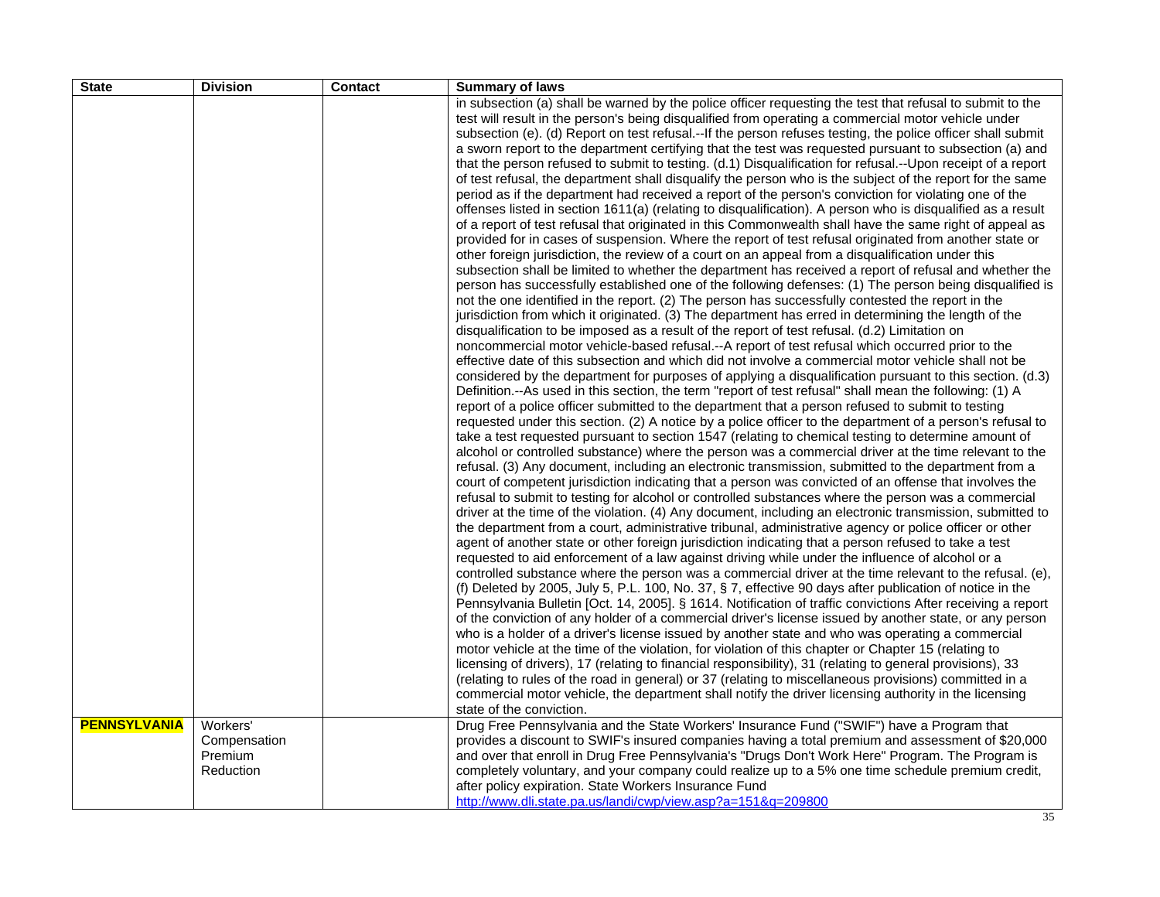| <b>State</b>        | <b>Division</b>                                  | <b>Contact</b> | <b>Summary of laws</b>                                                                                                                                                                                                                                                                                                                                                                                                                                                                                                                                                                                                                                                                                                                                                                                                                                                                                                                                                                                                                                                                                                                                                                                                                                                                                                                                                                                                                                                                                                                                                                                                                                                                                                                                                                                                                                                                                                                                                                                                                                                                                                                                                                                                                                                                                                                                                                                                                                                                                                                                                                                                                                                                                                                                                                                                                                                                                                                                                                                                                                                                                                                                                                                                                                                                                                                                                                                                                                                                                                                                                                                                                                                                                                                                                                                                                                                                                                                                                                                                                                                                                                                                                                                                                                                                                                                                                                                            |
|---------------------|--------------------------------------------------|----------------|-------------------------------------------------------------------------------------------------------------------------------------------------------------------------------------------------------------------------------------------------------------------------------------------------------------------------------------------------------------------------------------------------------------------------------------------------------------------------------------------------------------------------------------------------------------------------------------------------------------------------------------------------------------------------------------------------------------------------------------------------------------------------------------------------------------------------------------------------------------------------------------------------------------------------------------------------------------------------------------------------------------------------------------------------------------------------------------------------------------------------------------------------------------------------------------------------------------------------------------------------------------------------------------------------------------------------------------------------------------------------------------------------------------------------------------------------------------------------------------------------------------------------------------------------------------------------------------------------------------------------------------------------------------------------------------------------------------------------------------------------------------------------------------------------------------------------------------------------------------------------------------------------------------------------------------------------------------------------------------------------------------------------------------------------------------------------------------------------------------------------------------------------------------------------------------------------------------------------------------------------------------------------------------------------------------------------------------------------------------------------------------------------------------------------------------------------------------------------------------------------------------------------------------------------------------------------------------------------------------------------------------------------------------------------------------------------------------------------------------------------------------------------------------------------------------------------------------------------------------------------------------------------------------------------------------------------------------------------------------------------------------------------------------------------------------------------------------------------------------------------------------------------------------------------------------------------------------------------------------------------------------------------------------------------------------------------------------------------------------------------------------------------------------------------------------------------------------------------------------------------------------------------------------------------------------------------------------------------------------------------------------------------------------------------------------------------------------------------------------------------------------------------------------------------------------------------------------------------------------------------------------------------------------------------------------------------------------------------------------------------------------------------------------------------------------------------------------------------------------------------------------------------------------------------------------------------------------------------------------------------------------------------------------------------------------------------------------------------------------------------------------------------------------------|
|                     |                                                  |                | in subsection (a) shall be warned by the police officer requesting the test that refusal to submit to the<br>test will result in the person's being disqualified from operating a commercial motor vehicle under<br>subsection (e). (d) Report on test refusal.--If the person refuses testing, the police officer shall submit<br>a sworn report to the department certifying that the test was requested pursuant to subsection (a) and<br>that the person refused to submit to testing. (d.1) Disqualification for refusal.--Upon receipt of a report<br>of test refusal, the department shall disqualify the person who is the subject of the report for the same<br>period as if the department had received a report of the person's conviction for violating one of the<br>offenses listed in section 1611(a) (relating to disqualification). A person who is disqualified as a result<br>of a report of test refusal that originated in this Commonwealth shall have the same right of appeal as<br>provided for in cases of suspension. Where the report of test refusal originated from another state or<br>other foreign jurisdiction, the review of a court on an appeal from a disqualification under this<br>subsection shall be limited to whether the department has received a report of refusal and whether the<br>person has successfully established one of the following defenses: (1) The person being disqualified is<br>not the one identified in the report. (2) The person has successfully contested the report in the<br>jurisdiction from which it originated. (3) The department has erred in determining the length of the<br>disqualification to be imposed as a result of the report of test refusal. (d.2) Limitation on<br>noncommercial motor vehicle-based refusal.--A report of test refusal which occurred prior to the<br>effective date of this subsection and which did not involve a commercial motor vehicle shall not be<br>considered by the department for purposes of applying a disqualification pursuant to this section. (d.3)<br>Definition.--As used in this section, the term "report of test refusal" shall mean the following: (1) A<br>report of a police officer submitted to the department that a person refused to submit to testing<br>requested under this section. (2) A notice by a police officer to the department of a person's refusal to<br>take a test requested pursuant to section 1547 (relating to chemical testing to determine amount of<br>alcohol or controlled substance) where the person was a commercial driver at the time relevant to the<br>refusal. (3) Any document, including an electronic transmission, submitted to the department from a<br>court of competent jurisdiction indicating that a person was convicted of an offense that involves the<br>refusal to submit to testing for alcohol or controlled substances where the person was a commercial<br>driver at the time of the violation. (4) Any document, including an electronic transmission, submitted to<br>the department from a court, administrative tribunal, administrative agency or police officer or other<br>agent of another state or other foreign jurisdiction indicating that a person refused to take a test<br>requested to aid enforcement of a law against driving while under the influence of alcohol or a<br>controlled substance where the person was a commercial driver at the time relevant to the refusal. (e),<br>(f) Deleted by 2005, July 5, P.L. 100, No. 37, § 7, effective 90 days after publication of notice in the<br>Pennsylvania Bulletin [Oct. 14, 2005]. § 1614. Notification of traffic convictions After receiving a report<br>of the conviction of any holder of a commercial driver's license issued by another state, or any person<br>who is a holder of a driver's license issued by another state and who was operating a commercial<br>motor vehicle at the time of the violation, for violation of this chapter or Chapter 15 (relating to<br>licensing of drivers), 17 (relating to financial responsibility), 31 (relating to general provisions), 33<br>(relating to rules of the road in general) or 37 (relating to miscellaneous provisions) committed in a<br>commercial motor vehicle, the department shall notify the driver licensing authority in the licensing<br>state of the conviction. |
| <b>PENNSYLVANIA</b> | Workers'<br>Compensation<br>Premium<br>Reduction |                | Drug Free Pennsylvania and the State Workers' Insurance Fund ("SWIF") have a Program that<br>provides a discount to SWIF's insured companies having a total premium and assessment of \$20,000<br>and over that enroll in Drug Free Pennsylvania's "Drugs Don't Work Here" Program. The Program is<br>completely voluntary, and your company could realize up to a 5% one time schedule premium credit,<br>after policy expiration. State Workers Insurance Fund<br>http://www.dli.state.pa.us/landi/cwp/view.asp?a=151&q=209800                                                                                                                                                                                                                                                                                                                                                                                                                                                                                                                                                                                                                                                                                                                                                                                                                                                                                                                                                                                                                                                                                                                                                                                                                                                                                                                                                                                                                                                                                                                                                                                                                                                                                                                                                                                                                                                                                                                                                                                                                                                                                                                                                                                                                                                                                                                                                                                                                                                                                                                                                                                                                                                                                                                                                                                                                                                                                                                                                                                                                                                                                                                                                                                                                                                                                                                                                                                                                                                                                                                                                                                                                                                                                                                                                                                                                                                                                  |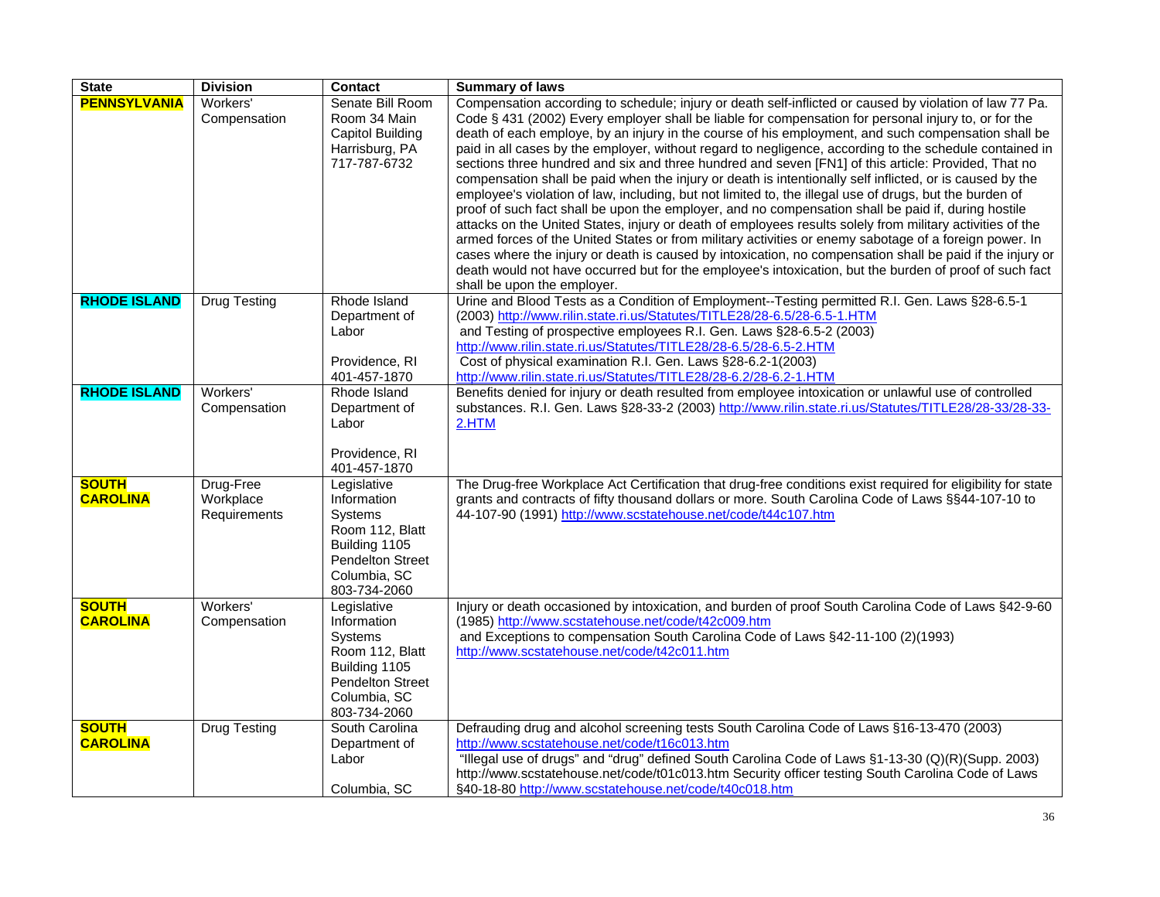| <b>State</b>                    | <b>Division</b>                        | <b>Contact</b>                                                                                                                              | <b>Summary of laws</b>                                                                                                                                                                                                                                                                                                                                                                                                                                                                                                                                                                                                                                                                                                                                                                                                                                                                                                                                                                                                                                                                                                                                                                                                                                                                                                                               |
|---------------------------------|----------------------------------------|---------------------------------------------------------------------------------------------------------------------------------------------|------------------------------------------------------------------------------------------------------------------------------------------------------------------------------------------------------------------------------------------------------------------------------------------------------------------------------------------------------------------------------------------------------------------------------------------------------------------------------------------------------------------------------------------------------------------------------------------------------------------------------------------------------------------------------------------------------------------------------------------------------------------------------------------------------------------------------------------------------------------------------------------------------------------------------------------------------------------------------------------------------------------------------------------------------------------------------------------------------------------------------------------------------------------------------------------------------------------------------------------------------------------------------------------------------------------------------------------------------|
| <b>PENNSYLVANIA</b>             | Workers'<br>Compensation               | Senate Bill Room<br>Room 34 Main<br>Capitol Building<br>Harrisburg, PA<br>717-787-6732                                                      | Compensation according to schedule; injury or death self-inflicted or caused by violation of law 77 Pa.<br>Code § 431 (2002) Every employer shall be liable for compensation for personal injury to, or for the<br>death of each employe, by an injury in the course of his employment, and such compensation shall be<br>paid in all cases by the employer, without regard to negligence, according to the schedule contained in<br>sections three hundred and six and three hundred and seven [FN1] of this article: Provided, That no<br>compensation shall be paid when the injury or death is intentionally self inflicted, or is caused by the<br>employee's violation of law, including, but not limited to, the illegal use of drugs, but the burden of<br>proof of such fact shall be upon the employer, and no compensation shall be paid if, during hostile<br>attacks on the United States, injury or death of employees results solely from military activities of the<br>armed forces of the United States or from military activities or enemy sabotage of a foreign power. In<br>cases where the injury or death is caused by intoxication, no compensation shall be paid if the injury or<br>death would not have occurred but for the employee's intoxication, but the burden of proof of such fact<br>shall be upon the employer. |
| <b>RHODE ISLAND</b>             | <b>Drug Testing</b>                    | Rhode Island<br>Department of<br>Labor<br>Providence, RI<br>401-457-1870                                                                    | Urine and Blood Tests as a Condition of Employment--Testing permitted R.I. Gen. Laws §28-6.5-1<br>(2003) http://www.rilin.state.ri.us/Statutes/TITLE28/28-6.5/28-6.5-1.HTM<br>and Testing of prospective employees R.I. Gen. Laws §28-6.5-2 (2003)<br>http://www.rilin.state.ri.us/Statutes/TITLE28/28-6.5/28-6.5-2.HTM<br>Cost of physical examination R.I. Gen. Laws §28-6.2-1(2003)<br>http://www.rilin.state.ri.us/Statutes/TITLE28/28-6.2/28-6.2-1.HTM                                                                                                                                                                                                                                                                                                                                                                                                                                                                                                                                                                                                                                                                                                                                                                                                                                                                                          |
| <b>RHODE ISLAND</b>             | Workers'<br>Compensation               | Rhode Island<br>Department of<br>Labor<br>Providence, RI<br>401-457-1870                                                                    | Benefits denied for injury or death resulted from employee intoxication or unlawful use of controlled<br>substances. R.I. Gen. Laws §28-33-2 (2003) http://www.rilin.state.ri.us/Statutes/TITLE28/28-33/28-33-<br>2.HTM                                                                                                                                                                                                                                                                                                                                                                                                                                                                                                                                                                                                                                                                                                                                                                                                                                                                                                                                                                                                                                                                                                                              |
| <b>SOUTH</b><br><b>CAROLINA</b> | Drug-Free<br>Workplace<br>Requirements | Legislative<br>Information<br><b>Systems</b><br>Room 112, Blatt<br>Building 1105<br><b>Pendelton Street</b><br>Columbia, SC<br>803-734-2060 | The Drug-free Workplace Act Certification that drug-free conditions exist required for eligibility for state<br>grants and contracts of fifty thousand dollars or more. South Carolina Code of Laws §§44-107-10 to<br>44-107-90 (1991) http://www.scstatehouse.net/code/t44c107.htm                                                                                                                                                                                                                                                                                                                                                                                                                                                                                                                                                                                                                                                                                                                                                                                                                                                                                                                                                                                                                                                                  |
| <b>SOUTH</b><br><b>CAROLINA</b> | Workers'<br>Compensation               | Legislative<br>Information<br>Systems<br>Room 112, Blatt<br>Building 1105<br><b>Pendelton Street</b><br>Columbia, SC<br>803-734-2060        | Injury or death occasioned by intoxication, and burden of proof South Carolina Code of Laws §42-9-60<br>(1985) http://www.scstatehouse.net/code/t42c009.htm<br>and Exceptions to compensation South Carolina Code of Laws §42-11-100 (2)(1993)<br>http://www.scstatehouse.net/code/t42c011.htm                                                                                                                                                                                                                                                                                                                                                                                                                                                                                                                                                                                                                                                                                                                                                                                                                                                                                                                                                                                                                                                       |
| <b>SOUTH</b><br><b>CAROLINA</b> | <b>Drug Testing</b>                    | South Carolina<br>Department of<br>Labor<br>Columbia, SC                                                                                    | Defrauding drug and alcohol screening tests South Carolina Code of Laws §16-13-470 (2003)<br>http://www.scstatehouse.net/code/t16c013.htm<br>"Illegal use of drugs" and "drug" defined South Carolina Code of Laws §1-13-30 (Q)(R)(Supp. 2003)<br>http://www.scstatehouse.net/code/t01c013.htm Security officer testing South Carolina Code of Laws<br>§40-18-80 http://www.scstatehouse.net/code/t40c018.htm                                                                                                                                                                                                                                                                                                                                                                                                                                                                                                                                                                                                                                                                                                                                                                                                                                                                                                                                        |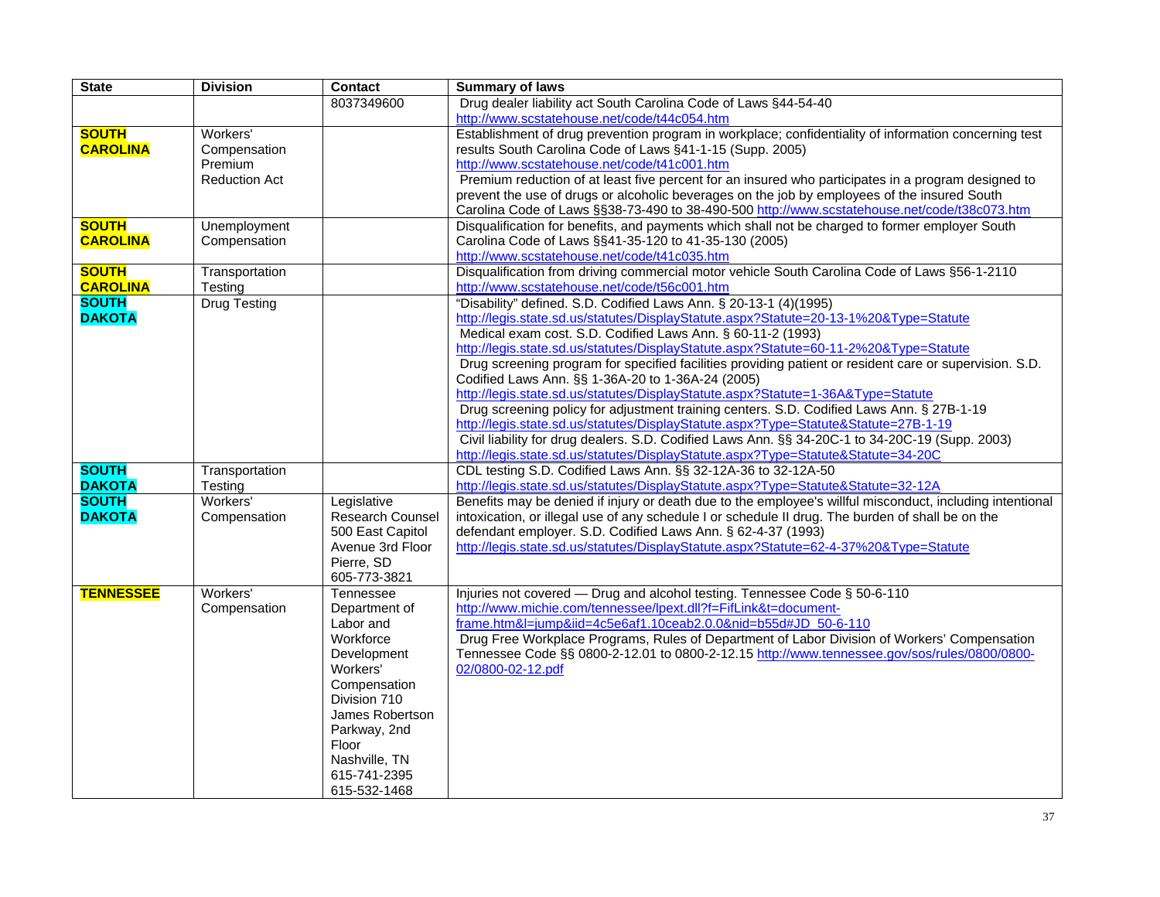| 8037349600<br>Drug dealer liability act South Carolina Code of Laws §44-54-40<br>http://www.scstatehouse.net/code/t44c054.htm<br><b>SOUTH</b><br>Establishment of drug prevention program in workplace; confidentiality of information concerning test<br>Workers'<br><b>CAROLINA</b><br>Compensation<br>results South Carolina Code of Laws §41-1-15 (Supp. 2005) |  |
|--------------------------------------------------------------------------------------------------------------------------------------------------------------------------------------------------------------------------------------------------------------------------------------------------------------------------------------------------------------------|--|
|                                                                                                                                                                                                                                                                                                                                                                    |  |
|                                                                                                                                                                                                                                                                                                                                                                    |  |
|                                                                                                                                                                                                                                                                                                                                                                    |  |
|                                                                                                                                                                                                                                                                                                                                                                    |  |
| Premium<br>http://www.scstatehouse.net/code/t41c001.htm                                                                                                                                                                                                                                                                                                            |  |
| Premium reduction of at least five percent for an insured who participates in a program designed to<br><b>Reduction Act</b>                                                                                                                                                                                                                                        |  |
| prevent the use of drugs or alcoholic beverages on the job by employees of the insured South                                                                                                                                                                                                                                                                       |  |
| Carolina Code of Laws §§38-73-490 to 38-490-500 http://www.scstatehouse.net/code/t38c073.htm                                                                                                                                                                                                                                                                       |  |
| <b>SOUTH</b><br>Unemployment<br>Disqualification for benefits, and payments which shall not be charged to former employer South                                                                                                                                                                                                                                    |  |
| <b>CAROLINA</b><br>Compensation<br>Carolina Code of Laws §§41-35-120 to 41-35-130 (2005)                                                                                                                                                                                                                                                                           |  |
| http://www.scstatehouse.net/code/t41c035.htm                                                                                                                                                                                                                                                                                                                       |  |
| <b>SOUTH</b><br>Transportation<br>Disqualification from driving commercial motor vehicle South Carolina Code of Laws §56-1-2110                                                                                                                                                                                                                                    |  |
| <b>CAROLINA</b><br>Testing<br>http://www.scstatehouse.net/code/t56c001.htm                                                                                                                                                                                                                                                                                         |  |
| <b>SOUTH</b><br>Drug Testing<br>"Disability" defined. S.D. Codified Laws Ann. § 20-13-1 (4)(1995)                                                                                                                                                                                                                                                                  |  |
| <b>DAKOTA</b><br>http://legis.state.sd.us/statutes/DisplayStatute.aspx?Statute=20-13-1%20&Type=Statute                                                                                                                                                                                                                                                             |  |
| Medical exam cost. S.D. Codified Laws Ann. § 60-11-2 (1993)                                                                                                                                                                                                                                                                                                        |  |
| http://legis.state.sd.us/statutes/DisplayStatute.aspx?Statute=60-11-2%20&Type=Statute                                                                                                                                                                                                                                                                              |  |
| Drug screening program for specified facilities providing patient or resident care or supervision. S.D.                                                                                                                                                                                                                                                            |  |
| Codified Laws Ann. §§ 1-36A-20 to 1-36A-24 (2005)                                                                                                                                                                                                                                                                                                                  |  |
| http://legis.state.sd.us/statutes/DisplayStatute.aspx?Statute=1-36A&Type=Statute                                                                                                                                                                                                                                                                                   |  |
| Drug screening policy for adjustment training centers. S.D. Codified Laws Ann. § 27B-1-19                                                                                                                                                                                                                                                                          |  |
| http://legis.state.sd.us/statutes/DisplayStatute.aspx?Type=Statute&Statute=27B-1-19                                                                                                                                                                                                                                                                                |  |
| Civil liability for drug dealers. S.D. Codified Laws Ann. §§ 34-20C-1 to 34-20C-19 (Supp. 2003)                                                                                                                                                                                                                                                                    |  |
| http://legis.state.sd.us/statutes/DisplayStatute.aspx?Type=Statute&Statute=34-20C                                                                                                                                                                                                                                                                                  |  |
| <b>SOUTH</b><br>Transportation<br>CDL testing S.D. Codified Laws Ann. §§ 32-12A-36 to 32-12A-50                                                                                                                                                                                                                                                                    |  |
| <b>DAKOTA</b><br>Testing<br>http://legis.state.sd.us/statutes/DisplayStatute.aspx?Type=Statute&Statute=32-12A                                                                                                                                                                                                                                                      |  |
| <b>SOUTH</b><br>Legislative<br>Benefits may be denied if injury or death due to the employee's willful misconduct, including intentional<br>Workers'                                                                                                                                                                                                               |  |
| <b>DAKOTA</b><br><b>Research Counsel</b><br>Compensation<br>intoxication, or illegal use of any schedule I or schedule II drug. The burden of shall be on the                                                                                                                                                                                                      |  |
| 500 East Capitol<br>defendant employer. S.D. Codified Laws Ann. § 62-4-37 (1993)                                                                                                                                                                                                                                                                                   |  |
| http://legis.state.sd.us/statutes/DisplayStatute.aspx?Statute=62-4-37%20&Type=Statute<br>Avenue 3rd Floor                                                                                                                                                                                                                                                          |  |
| Pierre, SD                                                                                                                                                                                                                                                                                                                                                         |  |
| 605-773-3821                                                                                                                                                                                                                                                                                                                                                       |  |
| Workers'<br>Injuries not covered - Drug and alcohol testing. Tennessee Code § 50-6-110<br><b>TENNESSEE</b><br>Tennessee                                                                                                                                                                                                                                            |  |
| http://www.michie.com/tennessee/lpext.dll?f=FifLink&t=document-<br>Department of<br>Compensation                                                                                                                                                                                                                                                                   |  |
| frame.htm&l=jump&iid=4c5e6af1.10ceab2.0.0&nid=b55d#JD_50-6-110<br>Labor and                                                                                                                                                                                                                                                                                        |  |
| Workforce<br>Drug Free Workplace Programs, Rules of Department of Labor Division of Workers' Compensation                                                                                                                                                                                                                                                          |  |
| Tennessee Code §§ 0800-2-12.01 to 0800-2-12.15 http://www.tennessee.gov/sos/rules/0800/0800-<br>Development                                                                                                                                                                                                                                                        |  |
| Workers'<br>02/0800-02-12.pdf                                                                                                                                                                                                                                                                                                                                      |  |
| Compensation                                                                                                                                                                                                                                                                                                                                                       |  |
| Division 710                                                                                                                                                                                                                                                                                                                                                       |  |
| James Robertson                                                                                                                                                                                                                                                                                                                                                    |  |
| Parkway, 2nd                                                                                                                                                                                                                                                                                                                                                       |  |
| Floor                                                                                                                                                                                                                                                                                                                                                              |  |
| Nashville, TN                                                                                                                                                                                                                                                                                                                                                      |  |
| 615-741-2395                                                                                                                                                                                                                                                                                                                                                       |  |
| 615-532-1468                                                                                                                                                                                                                                                                                                                                                       |  |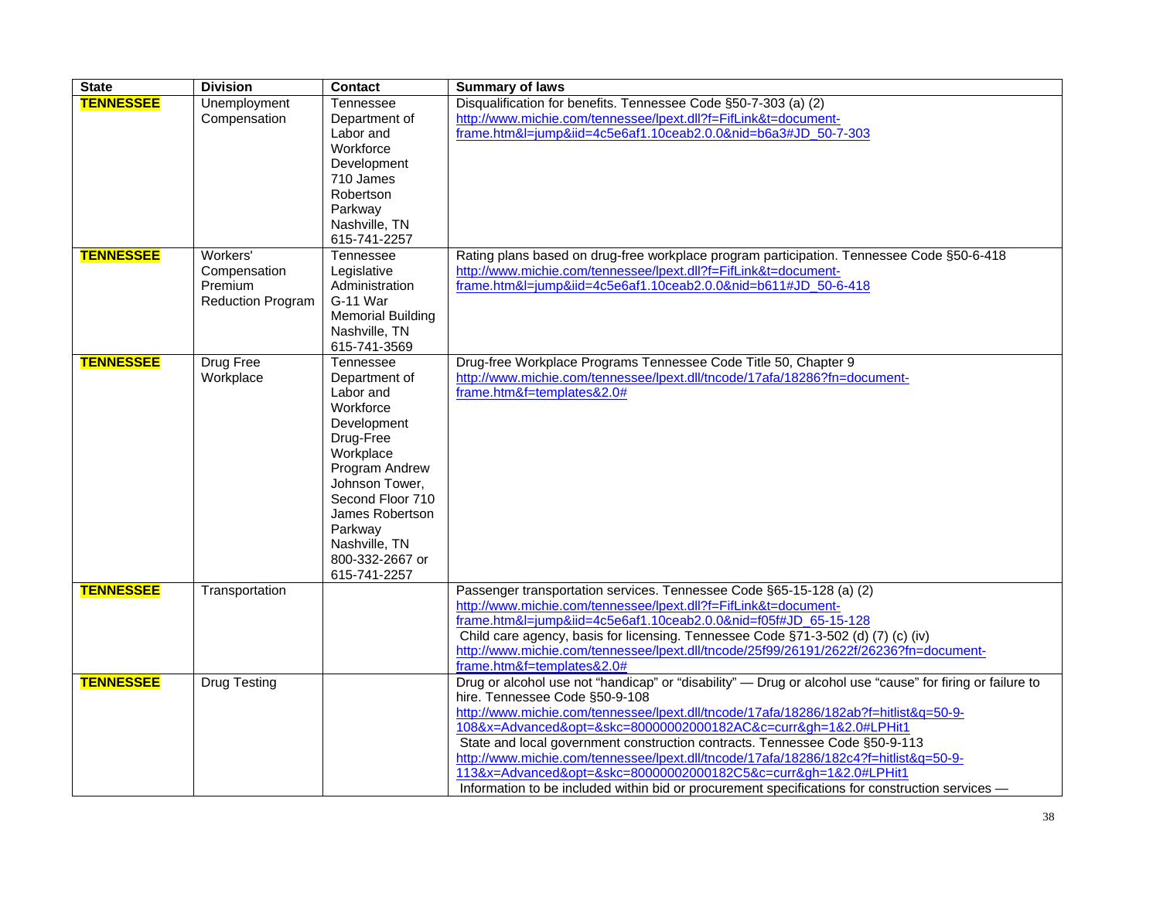| <b>State</b>     | <b>Division</b>          | <b>Contact</b>                | <b>Summary of laws</b>                                                                                                                                       |
|------------------|--------------------------|-------------------------------|--------------------------------------------------------------------------------------------------------------------------------------------------------------|
| <b>TENNESSEE</b> | Unemployment             | Tennessee                     | Disqualification for benefits. Tennessee Code §50-7-303 (a) (2)                                                                                              |
|                  | Compensation             | Department of                 | http://www.michie.com/tennessee/lpext.dll?f=FifLink&t=document-                                                                                              |
|                  |                          | Labor and                     | frame.htm&l=jump&iid=4c5e6af1.10ceab2.0.0&nid=b6a3#JD_50-7-303                                                                                               |
|                  |                          | Workforce                     |                                                                                                                                                              |
|                  |                          | Development                   |                                                                                                                                                              |
|                  |                          | 710 James                     |                                                                                                                                                              |
|                  |                          | Robertson                     |                                                                                                                                                              |
|                  |                          | Parkway                       |                                                                                                                                                              |
|                  |                          | Nashville, TN                 |                                                                                                                                                              |
|                  |                          | 615-741-2257                  |                                                                                                                                                              |
| <b>TENNESSEE</b> | Workers'                 | Tennessee                     | Rating plans based on drug-free workplace program participation. Tennessee Code §50-6-418<br>http://www.michie.com/tennessee/lpext.dll?f=FifLink&t=document- |
|                  | Compensation<br>Premium  | Legislative<br>Administration | frame.htm&l=jump&iid=4c5e6af1.10ceab2.0.0&nid=b611#JD_50-6-418                                                                                               |
|                  | <b>Reduction Program</b> | G-11 War                      |                                                                                                                                                              |
|                  |                          | <b>Memorial Building</b>      |                                                                                                                                                              |
|                  |                          | Nashville, TN                 |                                                                                                                                                              |
|                  |                          | 615-741-3569                  |                                                                                                                                                              |
| <b>TENNESSEE</b> | Drug Free                | Tennessee                     | Drug-free Workplace Programs Tennessee Code Title 50, Chapter 9                                                                                              |
|                  | Workplace                | Department of                 | http://www.michie.com/tennessee/lpext.dll/tncode/17afa/18286?fn=document-                                                                                    |
|                  |                          | Labor and                     | frame.htm&f=templates&2.0#                                                                                                                                   |
|                  |                          | Workforce                     |                                                                                                                                                              |
|                  |                          | Development                   |                                                                                                                                                              |
|                  |                          | Drug-Free                     |                                                                                                                                                              |
|                  |                          | Workplace                     |                                                                                                                                                              |
|                  |                          | Program Andrew                |                                                                                                                                                              |
|                  |                          | Johnson Tower,                |                                                                                                                                                              |
|                  |                          | Second Floor 710              |                                                                                                                                                              |
|                  |                          | James Robertson               |                                                                                                                                                              |
|                  |                          | Parkway                       |                                                                                                                                                              |
|                  |                          | Nashville, TN                 |                                                                                                                                                              |
|                  |                          | 800-332-2667 or               |                                                                                                                                                              |
| <b>TENNESSEE</b> |                          | 615-741-2257                  | Passenger transportation services. Tennessee Code §65-15-128 (a) (2)                                                                                         |
|                  | Transportation           |                               | http://www.michie.com/tennessee/lpext.dll?f=FifLink&t=document-                                                                                              |
|                  |                          |                               | frame.htm&l=jump&iid=4c5e6af1.10ceab2.0.0&nid=f05f#JD_65-15-128                                                                                              |
|                  |                          |                               | Child care agency, basis for licensing. Tennessee Code §71-3-502 (d) (7) (c) (iv)                                                                            |
|                  |                          |                               | http://www.michie.com/tennessee/lpext.dll/tncode/25f99/26191/2622f/26236?fn=document-                                                                        |
|                  |                          |                               | frame.htm&f=templates&2.0#                                                                                                                                   |
| <b>TENNESSEE</b> | <b>Drug Testing</b>      |                               | Drug or alcohol use not "handicap" or "disability" — Drug or alcohol use "cause" for firing or failure to                                                    |
|                  |                          |                               | hire. Tennessee Code §50-9-108                                                                                                                               |
|                  |                          |                               | http://www.michie.com/tennessee/lpext.dll/tncode/17afa/18286/182ab?f=hitlist&q=50-9-                                                                         |
|                  |                          |                               | 108&x=Advanced&opt=&skc=80000002000182AC&c=curr&gh=1&2.0#LPHit1                                                                                              |
|                  |                          |                               | State and local government construction contracts. Tennessee Code §50-9-113                                                                                  |
|                  |                          |                               | http://www.michie.com/tennessee/lpext.dll/tncode/17afa/18286/182c4?f=hitlist&q=50-9-                                                                         |
|                  |                          |                               | 113&x=Advanced&opt=&skc=80000002000182C5&c=curr&gh=1&2.0#LPHit1                                                                                              |
|                  |                          |                               | Information to be included within bid or procurement specifications for construction services -                                                              |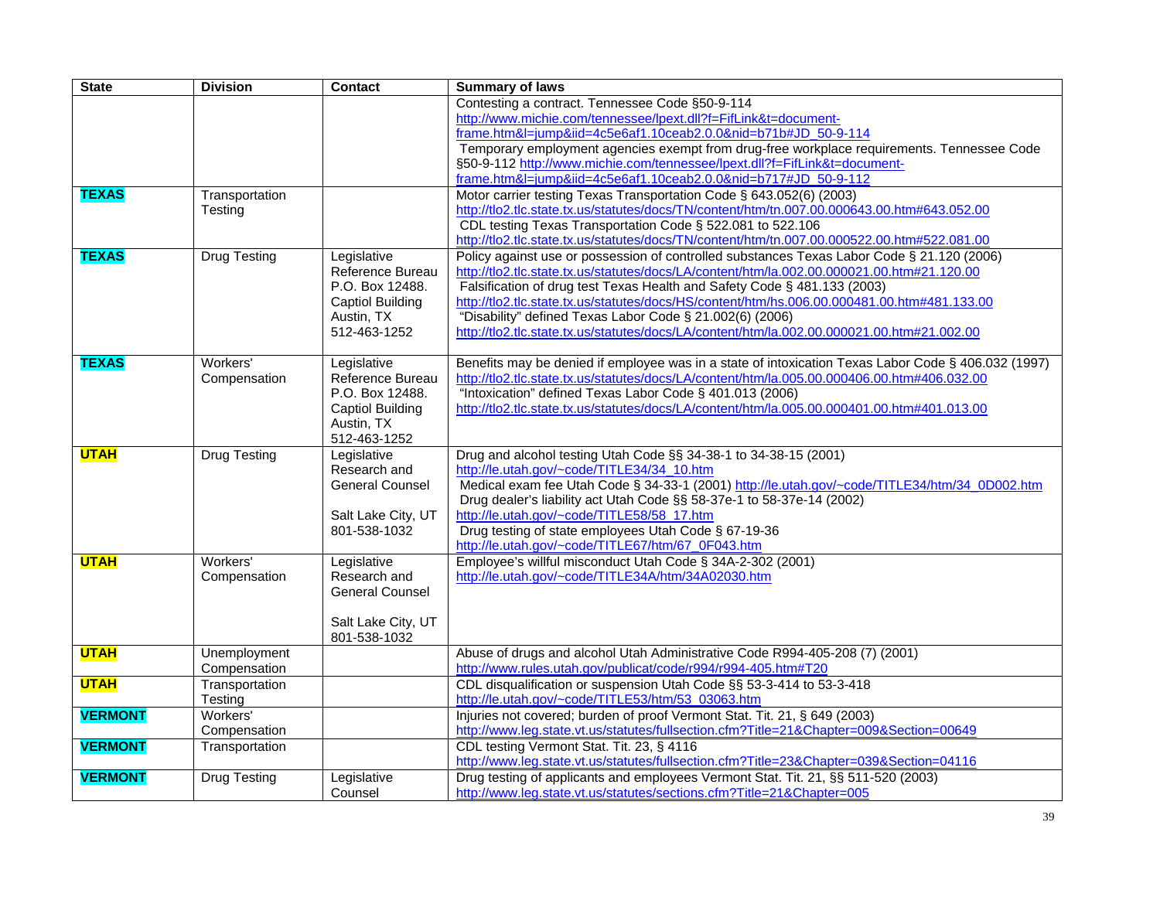| http://www.michie.com/tennessee/lpext.dll?f=FifLink&t=document-<br>frame.htm&l=jump&iid=4c5e6af1.10ceab2.0.0&nid=b71b#JD_50-9-114<br>Temporary employment agencies exempt from drug-free workplace requirements. Tennessee Code<br>§50-9-112 http://www.michie.com/tennessee/lpext.dll?f=FifLink&t=document-<br>frame.htm&l=jump&iid=4c5e6af1.10ceab2.0.0&nid=b717#JD_50-9-112<br><b>TEXAS</b><br>Motor carrier testing Texas Transportation Code § 643.052(6) (2003)<br>Transportation<br>http://tlo2.tlc.state.tx.us/statutes/docs/TN/content/htm/tn.007.00.000643.00.htm#643.052.00<br>Testing<br>CDL testing Texas Transportation Code § 522.081 to 522.106<br>http://tlo2.tlc.state.tx.us/statutes/docs/TN/content/htm/tn.007.00.000522.00.htm#522.081.00<br>Policy against use or possession of controlled substances Texas Labor Code § 21.120 (2006)<br><b>TEXAS</b><br><b>Drug Testing</b><br>Legislative<br>Reference Bureau<br>http://tlo2.tlc.state.tx.us/statutes/docs/LA/content/htm/la.002.00.000021.00.htm#21.120.00<br>Falsification of drug test Texas Health and Safety Code § 481.133 (2003)<br>P.O. Box 12488.<br>http://tlo2.tlc.state.tx.us/statutes/docs/HS/content/htm/hs.006.00.000481.00.htm#481.133.00<br><b>Captiol Building</b><br>"Disability" defined Texas Labor Code § 21.002(6) (2006)<br>Austin, TX<br>http://tlo2.tlc.state.tx.us/statutes/docs/LA/content/htm/la.002.00.000021.00.htm#21.002.00<br>512-463-1252<br><b>TEXAS</b><br>Workers'<br>Legislative<br>Benefits may be denied if employee was in a state of intoxication Texas Labor Code § 406.032 (1997)<br>http://tlo2.tlc.state.tx.us/statutes/docs/LA/content/htm/la.005.00.000406.00.htm#406.032.00<br>Reference Bureau<br>Compensation<br>"Intoxication" defined Texas Labor Code § 401.013 (2006)<br>P.O. Box 12488.<br>http://tlo2.tlc.state.tx.us/statutes/docs/LA/content/htm/la.005.00.000401.00.htm#401.013.00<br><b>Captiol Building</b><br>Austin, TX<br>512-463-1252<br><b>Drug Testing</b><br>Legislative<br>Drug and alcohol testing Utah Code §§ 34-38-1 to 34-38-15 (2001)<br><b>UTAH</b><br>Research and<br>http://le.utah.gov/~code/TITLE34/34_10.htm<br><b>General Counsel</b><br>Medical exam fee Utah Code § 34-33-1 (2001) http://le.utah.gov/~code/TITLE34/htm/34_0D002.htm<br>Drug dealer's liability act Utah Code §§ 58-37e-1 to 58-37e-14 (2002)<br>http://le.utah.gov/~code/TITLE58/58_17.htm<br>Salt Lake City, UT<br>Drug testing of state employees Utah Code § 67-19-36<br>801-538-1032<br>http://le.utah.gov/~code/TITLE67/htm/67_0F043.htm<br><b>UTAH</b><br>Workers'<br>Employee's willful misconduct Utah Code § 34A-2-302 (2001)<br>Legislative<br>http://le.utah.gov/~code/TITLE34A/htm/34A02030.htm<br>Research and<br>Compensation<br><b>General Counsel</b><br>Salt Lake City, UT | <b>State</b> | <b>Division</b> | <b>Contact</b> | <b>Summary of laws</b>                          |
|-----------------------------------------------------------------------------------------------------------------------------------------------------------------------------------------------------------------------------------------------------------------------------------------------------------------------------------------------------------------------------------------------------------------------------------------------------------------------------------------------------------------------------------------------------------------------------------------------------------------------------------------------------------------------------------------------------------------------------------------------------------------------------------------------------------------------------------------------------------------------------------------------------------------------------------------------------------------------------------------------------------------------------------------------------------------------------------------------------------------------------------------------------------------------------------------------------------------------------------------------------------------------------------------------------------------------------------------------------------------------------------------------------------------------------------------------------------------------------------------------------------------------------------------------------------------------------------------------------------------------------------------------------------------------------------------------------------------------------------------------------------------------------------------------------------------------------------------------------------------------------------------------------------------------------------------------------------------------------------------------------------------------------------------------------------------------------------------------------------------------------------------------------------------------------------------------------------------------------------------------------------------------------------------------------------------------------------------------------------------------------------------------------------------------------------------------------------------------------------------------------------------------------------------------------------------------------------------------------------------------------------------------------------------------------------------------------------------------------------------------------------------------------------------------------------------------------|--------------|-----------------|----------------|-------------------------------------------------|
|                                                                                                                                                                                                                                                                                                                                                                                                                                                                                                                                                                                                                                                                                                                                                                                                                                                                                                                                                                                                                                                                                                                                                                                                                                                                                                                                                                                                                                                                                                                                                                                                                                                                                                                                                                                                                                                                                                                                                                                                                                                                                                                                                                                                                                                                                                                                                                                                                                                                                                                                                                                                                                                                                                                                                                                                                             |              |                 |                | Contesting a contract. Tennessee Code §50-9-114 |
|                                                                                                                                                                                                                                                                                                                                                                                                                                                                                                                                                                                                                                                                                                                                                                                                                                                                                                                                                                                                                                                                                                                                                                                                                                                                                                                                                                                                                                                                                                                                                                                                                                                                                                                                                                                                                                                                                                                                                                                                                                                                                                                                                                                                                                                                                                                                                                                                                                                                                                                                                                                                                                                                                                                                                                                                                             |              |                 |                |                                                 |
|                                                                                                                                                                                                                                                                                                                                                                                                                                                                                                                                                                                                                                                                                                                                                                                                                                                                                                                                                                                                                                                                                                                                                                                                                                                                                                                                                                                                                                                                                                                                                                                                                                                                                                                                                                                                                                                                                                                                                                                                                                                                                                                                                                                                                                                                                                                                                                                                                                                                                                                                                                                                                                                                                                                                                                                                                             |              |                 |                |                                                 |
|                                                                                                                                                                                                                                                                                                                                                                                                                                                                                                                                                                                                                                                                                                                                                                                                                                                                                                                                                                                                                                                                                                                                                                                                                                                                                                                                                                                                                                                                                                                                                                                                                                                                                                                                                                                                                                                                                                                                                                                                                                                                                                                                                                                                                                                                                                                                                                                                                                                                                                                                                                                                                                                                                                                                                                                                                             |              |                 |                |                                                 |
|                                                                                                                                                                                                                                                                                                                                                                                                                                                                                                                                                                                                                                                                                                                                                                                                                                                                                                                                                                                                                                                                                                                                                                                                                                                                                                                                                                                                                                                                                                                                                                                                                                                                                                                                                                                                                                                                                                                                                                                                                                                                                                                                                                                                                                                                                                                                                                                                                                                                                                                                                                                                                                                                                                                                                                                                                             |              |                 |                |                                                 |
|                                                                                                                                                                                                                                                                                                                                                                                                                                                                                                                                                                                                                                                                                                                                                                                                                                                                                                                                                                                                                                                                                                                                                                                                                                                                                                                                                                                                                                                                                                                                                                                                                                                                                                                                                                                                                                                                                                                                                                                                                                                                                                                                                                                                                                                                                                                                                                                                                                                                                                                                                                                                                                                                                                                                                                                                                             |              |                 |                |                                                 |
|                                                                                                                                                                                                                                                                                                                                                                                                                                                                                                                                                                                                                                                                                                                                                                                                                                                                                                                                                                                                                                                                                                                                                                                                                                                                                                                                                                                                                                                                                                                                                                                                                                                                                                                                                                                                                                                                                                                                                                                                                                                                                                                                                                                                                                                                                                                                                                                                                                                                                                                                                                                                                                                                                                                                                                                                                             |              |                 |                |                                                 |
|                                                                                                                                                                                                                                                                                                                                                                                                                                                                                                                                                                                                                                                                                                                                                                                                                                                                                                                                                                                                                                                                                                                                                                                                                                                                                                                                                                                                                                                                                                                                                                                                                                                                                                                                                                                                                                                                                                                                                                                                                                                                                                                                                                                                                                                                                                                                                                                                                                                                                                                                                                                                                                                                                                                                                                                                                             |              |                 |                |                                                 |
|                                                                                                                                                                                                                                                                                                                                                                                                                                                                                                                                                                                                                                                                                                                                                                                                                                                                                                                                                                                                                                                                                                                                                                                                                                                                                                                                                                                                                                                                                                                                                                                                                                                                                                                                                                                                                                                                                                                                                                                                                                                                                                                                                                                                                                                                                                                                                                                                                                                                                                                                                                                                                                                                                                                                                                                                                             |              |                 |                |                                                 |
|                                                                                                                                                                                                                                                                                                                                                                                                                                                                                                                                                                                                                                                                                                                                                                                                                                                                                                                                                                                                                                                                                                                                                                                                                                                                                                                                                                                                                                                                                                                                                                                                                                                                                                                                                                                                                                                                                                                                                                                                                                                                                                                                                                                                                                                                                                                                                                                                                                                                                                                                                                                                                                                                                                                                                                                                                             |              |                 |                |                                                 |
|                                                                                                                                                                                                                                                                                                                                                                                                                                                                                                                                                                                                                                                                                                                                                                                                                                                                                                                                                                                                                                                                                                                                                                                                                                                                                                                                                                                                                                                                                                                                                                                                                                                                                                                                                                                                                                                                                                                                                                                                                                                                                                                                                                                                                                                                                                                                                                                                                                                                                                                                                                                                                                                                                                                                                                                                                             |              |                 |                |                                                 |
|                                                                                                                                                                                                                                                                                                                                                                                                                                                                                                                                                                                                                                                                                                                                                                                                                                                                                                                                                                                                                                                                                                                                                                                                                                                                                                                                                                                                                                                                                                                                                                                                                                                                                                                                                                                                                                                                                                                                                                                                                                                                                                                                                                                                                                                                                                                                                                                                                                                                                                                                                                                                                                                                                                                                                                                                                             |              |                 |                |                                                 |
|                                                                                                                                                                                                                                                                                                                                                                                                                                                                                                                                                                                                                                                                                                                                                                                                                                                                                                                                                                                                                                                                                                                                                                                                                                                                                                                                                                                                                                                                                                                                                                                                                                                                                                                                                                                                                                                                                                                                                                                                                                                                                                                                                                                                                                                                                                                                                                                                                                                                                                                                                                                                                                                                                                                                                                                                                             |              |                 |                |                                                 |
|                                                                                                                                                                                                                                                                                                                                                                                                                                                                                                                                                                                                                                                                                                                                                                                                                                                                                                                                                                                                                                                                                                                                                                                                                                                                                                                                                                                                                                                                                                                                                                                                                                                                                                                                                                                                                                                                                                                                                                                                                                                                                                                                                                                                                                                                                                                                                                                                                                                                                                                                                                                                                                                                                                                                                                                                                             |              |                 |                |                                                 |
|                                                                                                                                                                                                                                                                                                                                                                                                                                                                                                                                                                                                                                                                                                                                                                                                                                                                                                                                                                                                                                                                                                                                                                                                                                                                                                                                                                                                                                                                                                                                                                                                                                                                                                                                                                                                                                                                                                                                                                                                                                                                                                                                                                                                                                                                                                                                                                                                                                                                                                                                                                                                                                                                                                                                                                                                                             |              |                 |                |                                                 |
|                                                                                                                                                                                                                                                                                                                                                                                                                                                                                                                                                                                                                                                                                                                                                                                                                                                                                                                                                                                                                                                                                                                                                                                                                                                                                                                                                                                                                                                                                                                                                                                                                                                                                                                                                                                                                                                                                                                                                                                                                                                                                                                                                                                                                                                                                                                                                                                                                                                                                                                                                                                                                                                                                                                                                                                                                             |              |                 |                |                                                 |
|                                                                                                                                                                                                                                                                                                                                                                                                                                                                                                                                                                                                                                                                                                                                                                                                                                                                                                                                                                                                                                                                                                                                                                                                                                                                                                                                                                                                                                                                                                                                                                                                                                                                                                                                                                                                                                                                                                                                                                                                                                                                                                                                                                                                                                                                                                                                                                                                                                                                                                                                                                                                                                                                                                                                                                                                                             |              |                 |                |                                                 |
|                                                                                                                                                                                                                                                                                                                                                                                                                                                                                                                                                                                                                                                                                                                                                                                                                                                                                                                                                                                                                                                                                                                                                                                                                                                                                                                                                                                                                                                                                                                                                                                                                                                                                                                                                                                                                                                                                                                                                                                                                                                                                                                                                                                                                                                                                                                                                                                                                                                                                                                                                                                                                                                                                                                                                                                                                             |              |                 |                |                                                 |
|                                                                                                                                                                                                                                                                                                                                                                                                                                                                                                                                                                                                                                                                                                                                                                                                                                                                                                                                                                                                                                                                                                                                                                                                                                                                                                                                                                                                                                                                                                                                                                                                                                                                                                                                                                                                                                                                                                                                                                                                                                                                                                                                                                                                                                                                                                                                                                                                                                                                                                                                                                                                                                                                                                                                                                                                                             |              |                 |                |                                                 |
|                                                                                                                                                                                                                                                                                                                                                                                                                                                                                                                                                                                                                                                                                                                                                                                                                                                                                                                                                                                                                                                                                                                                                                                                                                                                                                                                                                                                                                                                                                                                                                                                                                                                                                                                                                                                                                                                                                                                                                                                                                                                                                                                                                                                                                                                                                                                                                                                                                                                                                                                                                                                                                                                                                                                                                                                                             |              |                 |                |                                                 |
|                                                                                                                                                                                                                                                                                                                                                                                                                                                                                                                                                                                                                                                                                                                                                                                                                                                                                                                                                                                                                                                                                                                                                                                                                                                                                                                                                                                                                                                                                                                                                                                                                                                                                                                                                                                                                                                                                                                                                                                                                                                                                                                                                                                                                                                                                                                                                                                                                                                                                                                                                                                                                                                                                                                                                                                                                             |              |                 |                |                                                 |
|                                                                                                                                                                                                                                                                                                                                                                                                                                                                                                                                                                                                                                                                                                                                                                                                                                                                                                                                                                                                                                                                                                                                                                                                                                                                                                                                                                                                                                                                                                                                                                                                                                                                                                                                                                                                                                                                                                                                                                                                                                                                                                                                                                                                                                                                                                                                                                                                                                                                                                                                                                                                                                                                                                                                                                                                                             |              |                 |                |                                                 |
|                                                                                                                                                                                                                                                                                                                                                                                                                                                                                                                                                                                                                                                                                                                                                                                                                                                                                                                                                                                                                                                                                                                                                                                                                                                                                                                                                                                                                                                                                                                                                                                                                                                                                                                                                                                                                                                                                                                                                                                                                                                                                                                                                                                                                                                                                                                                                                                                                                                                                                                                                                                                                                                                                                                                                                                                                             |              |                 |                |                                                 |
|                                                                                                                                                                                                                                                                                                                                                                                                                                                                                                                                                                                                                                                                                                                                                                                                                                                                                                                                                                                                                                                                                                                                                                                                                                                                                                                                                                                                                                                                                                                                                                                                                                                                                                                                                                                                                                                                                                                                                                                                                                                                                                                                                                                                                                                                                                                                                                                                                                                                                                                                                                                                                                                                                                                                                                                                                             |              |                 |                |                                                 |
|                                                                                                                                                                                                                                                                                                                                                                                                                                                                                                                                                                                                                                                                                                                                                                                                                                                                                                                                                                                                                                                                                                                                                                                                                                                                                                                                                                                                                                                                                                                                                                                                                                                                                                                                                                                                                                                                                                                                                                                                                                                                                                                                                                                                                                                                                                                                                                                                                                                                                                                                                                                                                                                                                                                                                                                                                             |              |                 |                |                                                 |
|                                                                                                                                                                                                                                                                                                                                                                                                                                                                                                                                                                                                                                                                                                                                                                                                                                                                                                                                                                                                                                                                                                                                                                                                                                                                                                                                                                                                                                                                                                                                                                                                                                                                                                                                                                                                                                                                                                                                                                                                                                                                                                                                                                                                                                                                                                                                                                                                                                                                                                                                                                                                                                                                                                                                                                                                                             |              |                 |                |                                                 |
|                                                                                                                                                                                                                                                                                                                                                                                                                                                                                                                                                                                                                                                                                                                                                                                                                                                                                                                                                                                                                                                                                                                                                                                                                                                                                                                                                                                                                                                                                                                                                                                                                                                                                                                                                                                                                                                                                                                                                                                                                                                                                                                                                                                                                                                                                                                                                                                                                                                                                                                                                                                                                                                                                                                                                                                                                             |              |                 |                |                                                 |
|                                                                                                                                                                                                                                                                                                                                                                                                                                                                                                                                                                                                                                                                                                                                                                                                                                                                                                                                                                                                                                                                                                                                                                                                                                                                                                                                                                                                                                                                                                                                                                                                                                                                                                                                                                                                                                                                                                                                                                                                                                                                                                                                                                                                                                                                                                                                                                                                                                                                                                                                                                                                                                                                                                                                                                                                                             |              |                 |                |                                                 |
|                                                                                                                                                                                                                                                                                                                                                                                                                                                                                                                                                                                                                                                                                                                                                                                                                                                                                                                                                                                                                                                                                                                                                                                                                                                                                                                                                                                                                                                                                                                                                                                                                                                                                                                                                                                                                                                                                                                                                                                                                                                                                                                                                                                                                                                                                                                                                                                                                                                                                                                                                                                                                                                                                                                                                                                                                             |              |                 |                |                                                 |
|                                                                                                                                                                                                                                                                                                                                                                                                                                                                                                                                                                                                                                                                                                                                                                                                                                                                                                                                                                                                                                                                                                                                                                                                                                                                                                                                                                                                                                                                                                                                                                                                                                                                                                                                                                                                                                                                                                                                                                                                                                                                                                                                                                                                                                                                                                                                                                                                                                                                                                                                                                                                                                                                                                                                                                                                                             |              |                 |                |                                                 |
|                                                                                                                                                                                                                                                                                                                                                                                                                                                                                                                                                                                                                                                                                                                                                                                                                                                                                                                                                                                                                                                                                                                                                                                                                                                                                                                                                                                                                                                                                                                                                                                                                                                                                                                                                                                                                                                                                                                                                                                                                                                                                                                                                                                                                                                                                                                                                                                                                                                                                                                                                                                                                                                                                                                                                                                                                             |              |                 |                |                                                 |
|                                                                                                                                                                                                                                                                                                                                                                                                                                                                                                                                                                                                                                                                                                                                                                                                                                                                                                                                                                                                                                                                                                                                                                                                                                                                                                                                                                                                                                                                                                                                                                                                                                                                                                                                                                                                                                                                                                                                                                                                                                                                                                                                                                                                                                                                                                                                                                                                                                                                                                                                                                                                                                                                                                                                                                                                                             |              |                 |                |                                                 |
|                                                                                                                                                                                                                                                                                                                                                                                                                                                                                                                                                                                                                                                                                                                                                                                                                                                                                                                                                                                                                                                                                                                                                                                                                                                                                                                                                                                                                                                                                                                                                                                                                                                                                                                                                                                                                                                                                                                                                                                                                                                                                                                                                                                                                                                                                                                                                                                                                                                                                                                                                                                                                                                                                                                                                                                                                             |              |                 |                |                                                 |
|                                                                                                                                                                                                                                                                                                                                                                                                                                                                                                                                                                                                                                                                                                                                                                                                                                                                                                                                                                                                                                                                                                                                                                                                                                                                                                                                                                                                                                                                                                                                                                                                                                                                                                                                                                                                                                                                                                                                                                                                                                                                                                                                                                                                                                                                                                                                                                                                                                                                                                                                                                                                                                                                                                                                                                                                                             |              |                 |                |                                                 |
|                                                                                                                                                                                                                                                                                                                                                                                                                                                                                                                                                                                                                                                                                                                                                                                                                                                                                                                                                                                                                                                                                                                                                                                                                                                                                                                                                                                                                                                                                                                                                                                                                                                                                                                                                                                                                                                                                                                                                                                                                                                                                                                                                                                                                                                                                                                                                                                                                                                                                                                                                                                                                                                                                                                                                                                                                             |              |                 |                |                                                 |
|                                                                                                                                                                                                                                                                                                                                                                                                                                                                                                                                                                                                                                                                                                                                                                                                                                                                                                                                                                                                                                                                                                                                                                                                                                                                                                                                                                                                                                                                                                                                                                                                                                                                                                                                                                                                                                                                                                                                                                                                                                                                                                                                                                                                                                                                                                                                                                                                                                                                                                                                                                                                                                                                                                                                                                                                                             |              |                 | 801-538-1032   |                                                 |
| <b>UTAH</b><br>Unemployment<br>Abuse of drugs and alcohol Utah Administrative Code R994-405-208 (7) (2001)                                                                                                                                                                                                                                                                                                                                                                                                                                                                                                                                                                                                                                                                                                                                                                                                                                                                                                                                                                                                                                                                                                                                                                                                                                                                                                                                                                                                                                                                                                                                                                                                                                                                                                                                                                                                                                                                                                                                                                                                                                                                                                                                                                                                                                                                                                                                                                                                                                                                                                                                                                                                                                                                                                                  |              |                 |                |                                                 |
| http://www.rules.utah.gov/publicat/code/r994/r994-405.htm#T20<br>Compensation                                                                                                                                                                                                                                                                                                                                                                                                                                                                                                                                                                                                                                                                                                                                                                                                                                                                                                                                                                                                                                                                                                                                                                                                                                                                                                                                                                                                                                                                                                                                                                                                                                                                                                                                                                                                                                                                                                                                                                                                                                                                                                                                                                                                                                                                                                                                                                                                                                                                                                                                                                                                                                                                                                                                               |              |                 |                |                                                 |
| <b>UTAH</b><br>Transportation<br>CDL disqualification or suspension Utah Code §§ 53-3-414 to 53-3-418                                                                                                                                                                                                                                                                                                                                                                                                                                                                                                                                                                                                                                                                                                                                                                                                                                                                                                                                                                                                                                                                                                                                                                                                                                                                                                                                                                                                                                                                                                                                                                                                                                                                                                                                                                                                                                                                                                                                                                                                                                                                                                                                                                                                                                                                                                                                                                                                                                                                                                                                                                                                                                                                                                                       |              |                 |                |                                                 |
| Testing<br>http://le.utah.gov/~code/TITLE53/htm/53_03063.htm                                                                                                                                                                                                                                                                                                                                                                                                                                                                                                                                                                                                                                                                                                                                                                                                                                                                                                                                                                                                                                                                                                                                                                                                                                                                                                                                                                                                                                                                                                                                                                                                                                                                                                                                                                                                                                                                                                                                                                                                                                                                                                                                                                                                                                                                                                                                                                                                                                                                                                                                                                                                                                                                                                                                                                |              |                 |                |                                                 |
| Injuries not covered; burden of proof Vermont Stat. Tit. 21, § 649 (2003)<br><b>VERMONT</b><br>Workers'                                                                                                                                                                                                                                                                                                                                                                                                                                                                                                                                                                                                                                                                                                                                                                                                                                                                                                                                                                                                                                                                                                                                                                                                                                                                                                                                                                                                                                                                                                                                                                                                                                                                                                                                                                                                                                                                                                                                                                                                                                                                                                                                                                                                                                                                                                                                                                                                                                                                                                                                                                                                                                                                                                                     |              |                 |                |                                                 |
| http://www.leg.state.vt.us/statutes/fullsection.cfm?Title=21&Chapter=009&Section=00649<br>Compensation                                                                                                                                                                                                                                                                                                                                                                                                                                                                                                                                                                                                                                                                                                                                                                                                                                                                                                                                                                                                                                                                                                                                                                                                                                                                                                                                                                                                                                                                                                                                                                                                                                                                                                                                                                                                                                                                                                                                                                                                                                                                                                                                                                                                                                                                                                                                                                                                                                                                                                                                                                                                                                                                                                                      |              |                 |                |                                                 |
| <b>VERMONT</b><br>CDL testing Vermont Stat. Tit. 23, § 4116<br>Transportation                                                                                                                                                                                                                                                                                                                                                                                                                                                                                                                                                                                                                                                                                                                                                                                                                                                                                                                                                                                                                                                                                                                                                                                                                                                                                                                                                                                                                                                                                                                                                                                                                                                                                                                                                                                                                                                                                                                                                                                                                                                                                                                                                                                                                                                                                                                                                                                                                                                                                                                                                                                                                                                                                                                                               |              |                 |                |                                                 |
| http://www.leg.state.vt.us/statutes/fullsection.cfm?Title=23&Chapter=039&Section=04116                                                                                                                                                                                                                                                                                                                                                                                                                                                                                                                                                                                                                                                                                                                                                                                                                                                                                                                                                                                                                                                                                                                                                                                                                                                                                                                                                                                                                                                                                                                                                                                                                                                                                                                                                                                                                                                                                                                                                                                                                                                                                                                                                                                                                                                                                                                                                                                                                                                                                                                                                                                                                                                                                                                                      |              |                 |                |                                                 |
| <b>VERMONT</b><br>Drug testing of applicants and employees Vermont Stat. Tit. 21, §§ 511-520 (2003)<br><b>Drug Testing</b><br>Legislative                                                                                                                                                                                                                                                                                                                                                                                                                                                                                                                                                                                                                                                                                                                                                                                                                                                                                                                                                                                                                                                                                                                                                                                                                                                                                                                                                                                                                                                                                                                                                                                                                                                                                                                                                                                                                                                                                                                                                                                                                                                                                                                                                                                                                                                                                                                                                                                                                                                                                                                                                                                                                                                                                   |              |                 |                |                                                 |
| http://www.leg.state.vt.us/statutes/sections.cfm?Title=21&Chapter=005<br>Counsel                                                                                                                                                                                                                                                                                                                                                                                                                                                                                                                                                                                                                                                                                                                                                                                                                                                                                                                                                                                                                                                                                                                                                                                                                                                                                                                                                                                                                                                                                                                                                                                                                                                                                                                                                                                                                                                                                                                                                                                                                                                                                                                                                                                                                                                                                                                                                                                                                                                                                                                                                                                                                                                                                                                                            |              |                 |                |                                                 |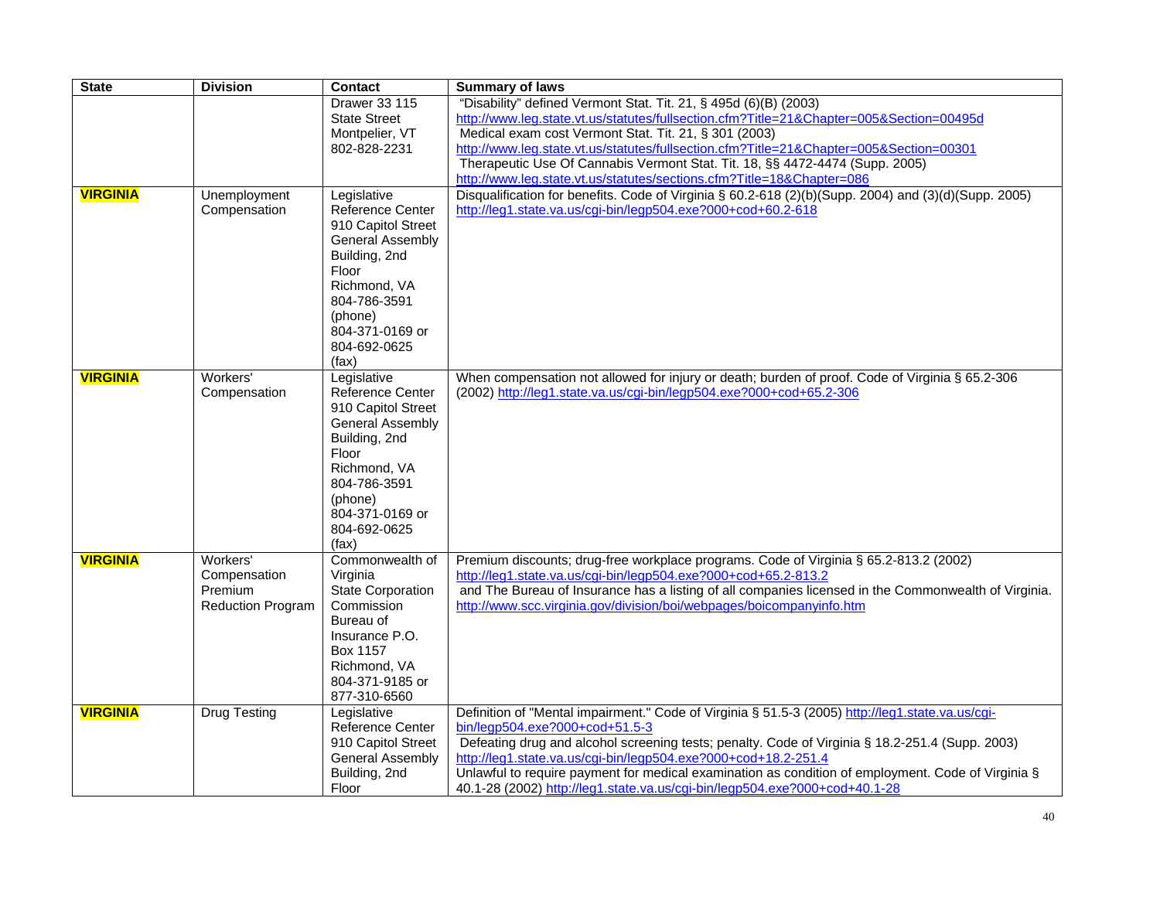| <b>State</b>    | <b>Division</b>          | Contact                  | <b>Summary of laws</b>                                                                               |
|-----------------|--------------------------|--------------------------|------------------------------------------------------------------------------------------------------|
|                 |                          | <b>Drawer 33 115</b>     | "Disability" defined Vermont Stat. Tit. 21, § 495d (6)(B) (2003)                                     |
|                 |                          | <b>State Street</b>      | http://www.leg.state.vt.us/statutes/fullsection.cfm?Title=21&Chapter=005&Section=00495d              |
|                 |                          | Montpelier, VT           | Medical exam cost Vermont Stat. Tit. 21, § 301 (2003)                                                |
|                 |                          | 802-828-2231             | http://www.leg.state.vt.us/statutes/fullsection.cfm?Title=21&Chapter=005&Section=00301               |
|                 |                          |                          | Therapeutic Use Of Cannabis Vermont Stat. Tit. 18, §§ 4472-4474 (Supp. 2005)                         |
|                 |                          |                          | http://www.leg.state.vt.us/statutes/sections.cfm?Title=18&Chapter=086                                |
| <b>VIRGINIA</b> | Unemployment             | Legislative              | Disqualification for benefits. Code of Virginia § 60.2-618 (2)(b)(Supp. 2004) and (3)(d)(Supp. 2005) |
|                 | Compensation             | Reference Center         | http://leg1.state.va.us/cgi-bin/legp504.exe?000+cod+60.2-618                                         |
|                 |                          | 910 Capitol Street       |                                                                                                      |
|                 |                          | General Assembly         |                                                                                                      |
|                 |                          | Building, 2nd            |                                                                                                      |
|                 |                          | Floor                    |                                                                                                      |
|                 |                          | Richmond, VA             |                                                                                                      |
|                 |                          | 804-786-3591             |                                                                                                      |
|                 |                          | (phone)                  |                                                                                                      |
|                 |                          | 804-371-0169 or          |                                                                                                      |
|                 |                          | 804-692-0625             |                                                                                                      |
|                 |                          | (fax)                    |                                                                                                      |
| <b>VIRGINIA</b> | Workers'                 | Legislative              | When compensation not allowed for injury or death; burden of proof. Code of Virginia § 65.2-306      |
|                 | Compensation             | Reference Center         | (2002) http://leg1.state.va.us/cgi-bin/legp504.exe?000+cod+65.2-306                                  |
|                 |                          | 910 Capitol Street       |                                                                                                      |
|                 |                          | <b>General Assembly</b>  |                                                                                                      |
|                 |                          | Building, 2nd            |                                                                                                      |
|                 |                          | Floor                    |                                                                                                      |
|                 |                          | Richmond, VA             |                                                                                                      |
|                 |                          | 804-786-3591             |                                                                                                      |
|                 |                          | (phone)                  |                                                                                                      |
|                 |                          | 804-371-0169 or          |                                                                                                      |
|                 |                          | 804-692-0625             |                                                                                                      |
| <b>VIRGINIA</b> | Workers'                 | (fax)<br>Commonwealth of | Premium discounts; drug-free workplace programs. Code of Virginia § 65.2-813.2 (2002)                |
|                 | Compensation             | Virginia                 | http://leg1.state.va.us/cgi-bin/legp504.exe?000+cod+65.2-813.2                                       |
|                 | Premium                  | <b>State Corporation</b> | and The Bureau of Insurance has a listing of all companies licensed in the Commonwealth of Virginia. |
|                 | <b>Reduction Program</b> | Commission               | http://www.scc.virginia.gov/division/boi/webpages/boicompanyinfo.htm                                 |
|                 |                          | Bureau of                |                                                                                                      |
|                 |                          | Insurance P.O.           |                                                                                                      |
|                 |                          | Box 1157                 |                                                                                                      |
|                 |                          | Richmond, VA             |                                                                                                      |
|                 |                          | 804-371-9185 or          |                                                                                                      |
|                 |                          | 877-310-6560             |                                                                                                      |
| <b>VIRGINIA</b> | Drug Testing             | Legislative              | Definition of "Mental impairment." Code of Virginia § 51.5-3 (2005) http://leg1.state.va.us/cgi-     |
|                 |                          | Reference Center         | bin/legp504.exe?000+cod+51.5-3                                                                       |
|                 |                          | 910 Capitol Street       | Defeating drug and alcohol screening tests; penalty. Code of Virginia § 18.2-251.4 (Supp. 2003)      |
|                 |                          | <b>General Assembly</b>  | http://leg1.state.va.us/cgi-bin/legp504.exe?000+cod+18.2-251.4                                       |
|                 |                          | Building, 2nd            | Unlawful to require payment for medical examination as condition of employment. Code of Virginia §   |
|                 |                          | Floor                    | 40.1-28 (2002) http://leg1.state.va.us/cgi-bin/legp504.exe?000+cod+40.1-28                           |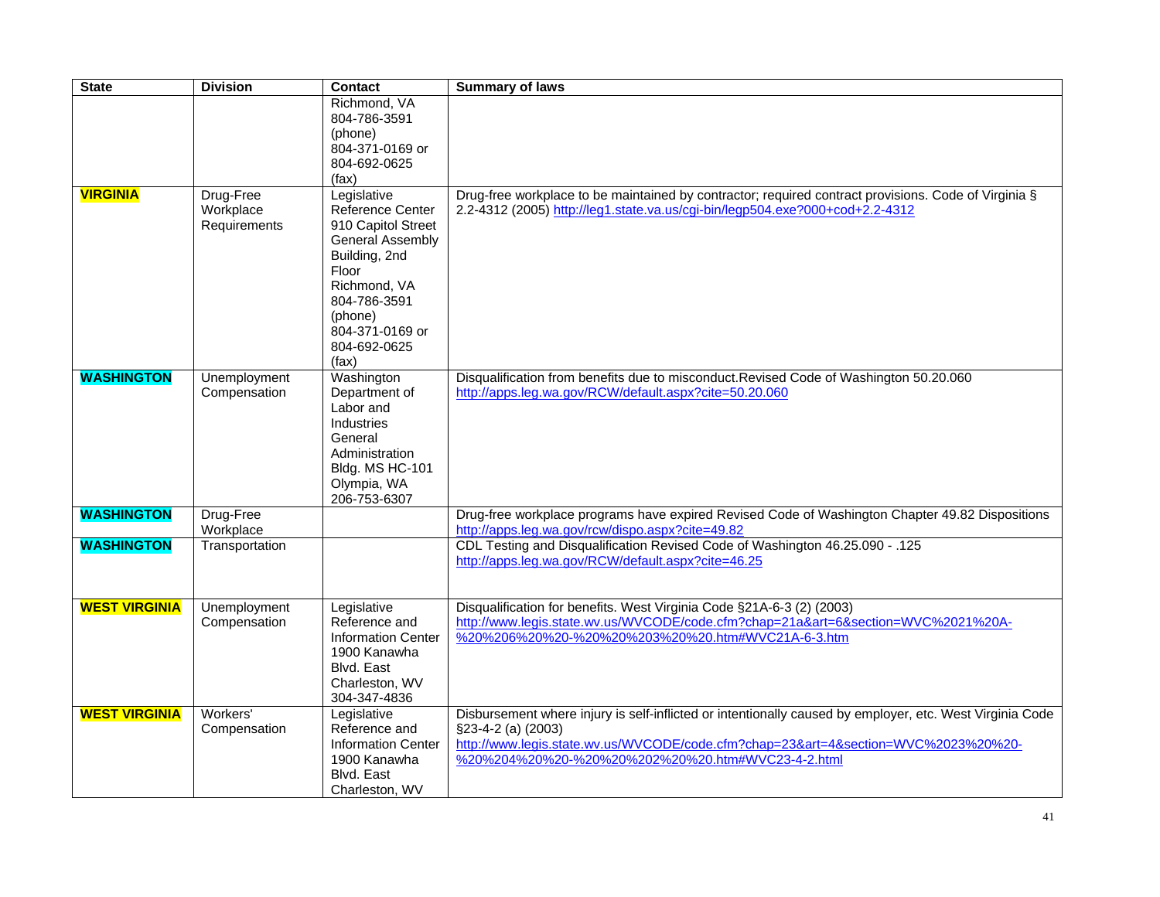| <b>State</b>         | <b>Division</b>                        | <b>Contact</b>                                                                                                                                                                                    | <b>Summary of laws</b>                                                                                                                                                                                                                                                    |
|----------------------|----------------------------------------|---------------------------------------------------------------------------------------------------------------------------------------------------------------------------------------------------|---------------------------------------------------------------------------------------------------------------------------------------------------------------------------------------------------------------------------------------------------------------------------|
|                      |                                        | Richmond, VA<br>804-786-3591<br>(phone)<br>804-371-0169 or<br>804-692-0625<br>(fax)                                                                                                               |                                                                                                                                                                                                                                                                           |
| <b>VIRGINIA</b>      | Drug-Free<br>Workplace<br>Requirements | Legislative<br>Reference Center<br>910 Capitol Street<br><b>General Assembly</b><br>Building, 2nd<br>Floor<br>Richmond, VA<br>804-786-3591<br>(phone)<br>804-371-0169 or<br>804-692-0625<br>(fax) | Drug-free workplace to be maintained by contractor; required contract provisions. Code of Virginia §<br>2.2-4312 (2005) http://leg1.state.va.us/cgi-bin/legp504.exe?000+cod+2.2-4312                                                                                      |
| <b>WASHINGTON</b>    | Unemployment<br>Compensation           | Washington<br>Department of<br>Labor and<br>Industries<br>General<br>Administration<br>Bldg. MS HC-101<br>Olympia, WA<br>206-753-6307                                                             | Disqualification from benefits due to misconduct.Revised Code of Washington 50.20.060<br>http://apps.leg.wa.gov/RCW/default.aspx?cite=50.20.060                                                                                                                           |
| <b>WASHINGTON</b>    | Drug-Free<br>Workplace                 |                                                                                                                                                                                                   | Drug-free workplace programs have expired Revised Code of Washington Chapter 49.82 Dispositions<br>http://apps.leg.wa.gov/rcw/dispo.aspx?cite=49.82                                                                                                                       |
| <b>WASHINGTON</b>    | Transportation                         |                                                                                                                                                                                                   | CDL Testing and Disqualification Revised Code of Washington 46.25.090 - .125<br>http://apps.leg.wa.gov/RCW/default.aspx?cite=46.25                                                                                                                                        |
| <b>WEST VIRGINIA</b> | Unemployment<br>Compensation           | Legislative<br>Reference and<br><b>Information Center</b><br>1900 Kanawha<br>Blvd. East<br>Charleston, WV<br>304-347-4836                                                                         | Disqualification for benefits. West Virginia Code §21A-6-3 (2) (2003)<br>http://www.legis.state.wv.us/WVCODE/code.cfm?chap=21a&art=6&section=WVC%2021%20A-<br>%20%206%20%20-%20%20%203%20%20.htm#WVC21A-6-3.htm                                                           |
| <b>WEST VIRGINIA</b> | Workers'<br>Compensation               | Legislative<br>Reference and<br><b>Information Center</b><br>1900 Kanawha<br>Blvd. East<br>Charleston, WV                                                                                         | Disbursement where injury is self-inflicted or intentionally caused by employer, etc. West Virginia Code<br>§23-4-2 (a) (2003)<br>http://www.legis.state.wv.us/WVCODE/code.cfm?chap=23&art=4&section=WVC%2023%20%20-<br>%20%204%20%20-%20%20%202%20%20.htm#WVC23-4-2.html |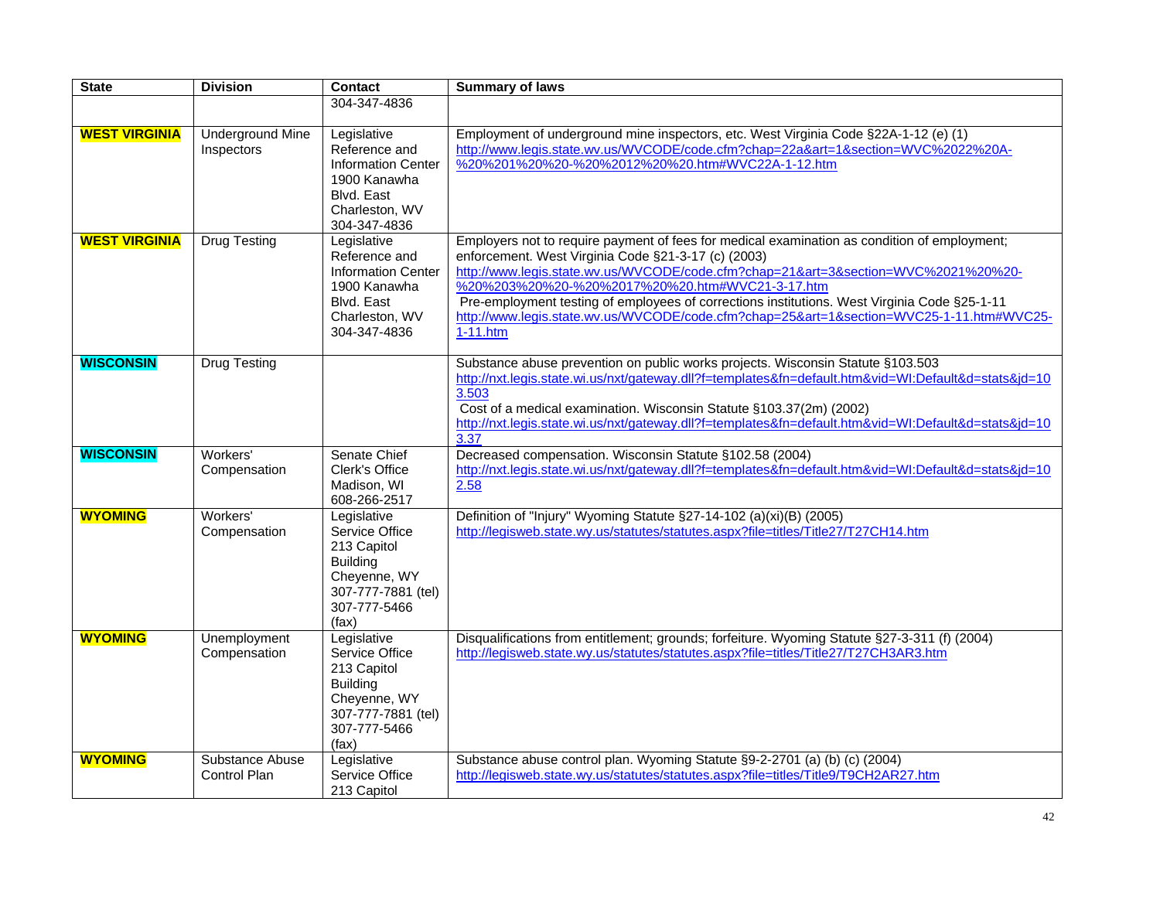| <b>State</b>         | <b>Division</b>                       | <b>Contact</b>                                                                                                                 | <b>Summary of laws</b>                                                                                                                                                                                                                                                                                                                                                                                                                                                                                 |
|----------------------|---------------------------------------|--------------------------------------------------------------------------------------------------------------------------------|--------------------------------------------------------------------------------------------------------------------------------------------------------------------------------------------------------------------------------------------------------------------------------------------------------------------------------------------------------------------------------------------------------------------------------------------------------------------------------------------------------|
|                      |                                       | 304-347-4836                                                                                                                   |                                                                                                                                                                                                                                                                                                                                                                                                                                                                                                        |
| <b>WEST VIRGINIA</b> | <b>Underground Mine</b><br>Inspectors | Legislative<br>Reference and<br><b>Information Center</b><br>1900 Kanawha<br>Blvd. East<br>Charleston, WV<br>304-347-4836      | Employment of underground mine inspectors, etc. West Virginia Code §22A-1-12 (e) (1)<br>http://www.legis.state.wv.us/WVCODE/code.cfm?chap=22a&art=1&section=WVC%2022%20A-<br>%20%201%20%20-%20%2012%20%20.htm#WVC22A-1-12.htm                                                                                                                                                                                                                                                                          |
| <b>WEST VIRGINIA</b> | <b>Drug Testing</b>                   | Legislative<br>Reference and<br><b>Information Center</b><br>1900 Kanawha<br>Blvd. East<br>Charleston, WV<br>304-347-4836      | Employers not to require payment of fees for medical examination as condition of employment;<br>enforcement. West Virginia Code §21-3-17 (c) (2003)<br>http://www.legis.state.wv.us/WVCODE/code.cfm?chap=21&art=3&section=WVC%2021%20%20-<br>%20%203%20%20-%20%2017%20%20.htm#WVC21-3-17.htm<br>Pre-employment testing of employees of corrections institutions. West Virginia Code §25-1-11<br>http://www.legis.state.wv.us/WVCODE/code.cfm?chap=25&art=1&section=WVC25-1-11.htm#WVC25-<br>$1-11.htm$ |
| <b>WISCONSIN</b>     | <b>Drug Testing</b>                   |                                                                                                                                | Substance abuse prevention on public works projects. Wisconsin Statute §103.503<br>http://nxt.legis.state.wi.us/nxt/gateway.dll?f=templates&fn=default.htm&vid=WI:Default&d=stats&jd=10<br>3.503<br>Cost of a medical examination. Wisconsin Statute §103.37(2m) (2002)<br>http://nxt.legis.state.wi.us/nxt/gateway.dll?f=templates&fn=default.htm&vid=WI:Default&d=stats&jd=10<br>3.37                                                                                                                |
| <b>WISCONSIN</b>     | Workers'<br>Compensation              | Senate Chief<br>Clerk's Office<br>Madison, WI<br>608-266-2517                                                                  | Decreased compensation. Wisconsin Statute §102.58 (2004)<br>http://nxt.legis.state.wi.us/nxt/gateway.dll?f=templates&fn=default.htm&vid=WI:Default&d=stats&jd=10<br>2.58                                                                                                                                                                                                                                                                                                                               |
| <b>WYOMING</b>       | Workers'<br>Compensation              | Legislative<br>Service Office<br>213 Capitol<br><b>Building</b><br>Cheyenne, WY<br>307-777-7881 (tel)<br>307-777-5466<br>(fax) | Definition of "Injury" Wyoming Statute §27-14-102 (a)(xi)(B) (2005)<br>http://legisweb.state.wy.us/statutes/statutes.aspx?file=titles/Title27/T27CH14.htm                                                                                                                                                                                                                                                                                                                                              |
| <b>WYOMING</b>       | Unemployment<br>Compensation          | Legislative<br>Service Office<br>213 Capitol<br><b>Building</b><br>Cheyenne, WY<br>307-777-7881 (tel)<br>307-777-5466<br>(fax) | Disqualifications from entitlement; grounds; forfeiture. Wyoming Statute §27-3-311 (f) (2004)<br>http://legisweb.state.wy.us/statutes/statutes.aspx?file=titles/Title27/T27CH3AR3.htm                                                                                                                                                                                                                                                                                                                  |
| <b>WYOMING</b>       | Substance Abuse<br>Control Plan       | Legislative<br>Service Office<br>213 Capitol                                                                                   | Substance abuse control plan. Wyoming Statute §9-2-2701 (a) (b) (c) (2004)<br>http://legisweb.state.wy.us/statutes/statutes.aspx?file=titles/Title9/T9CH2AR27.htm                                                                                                                                                                                                                                                                                                                                      |